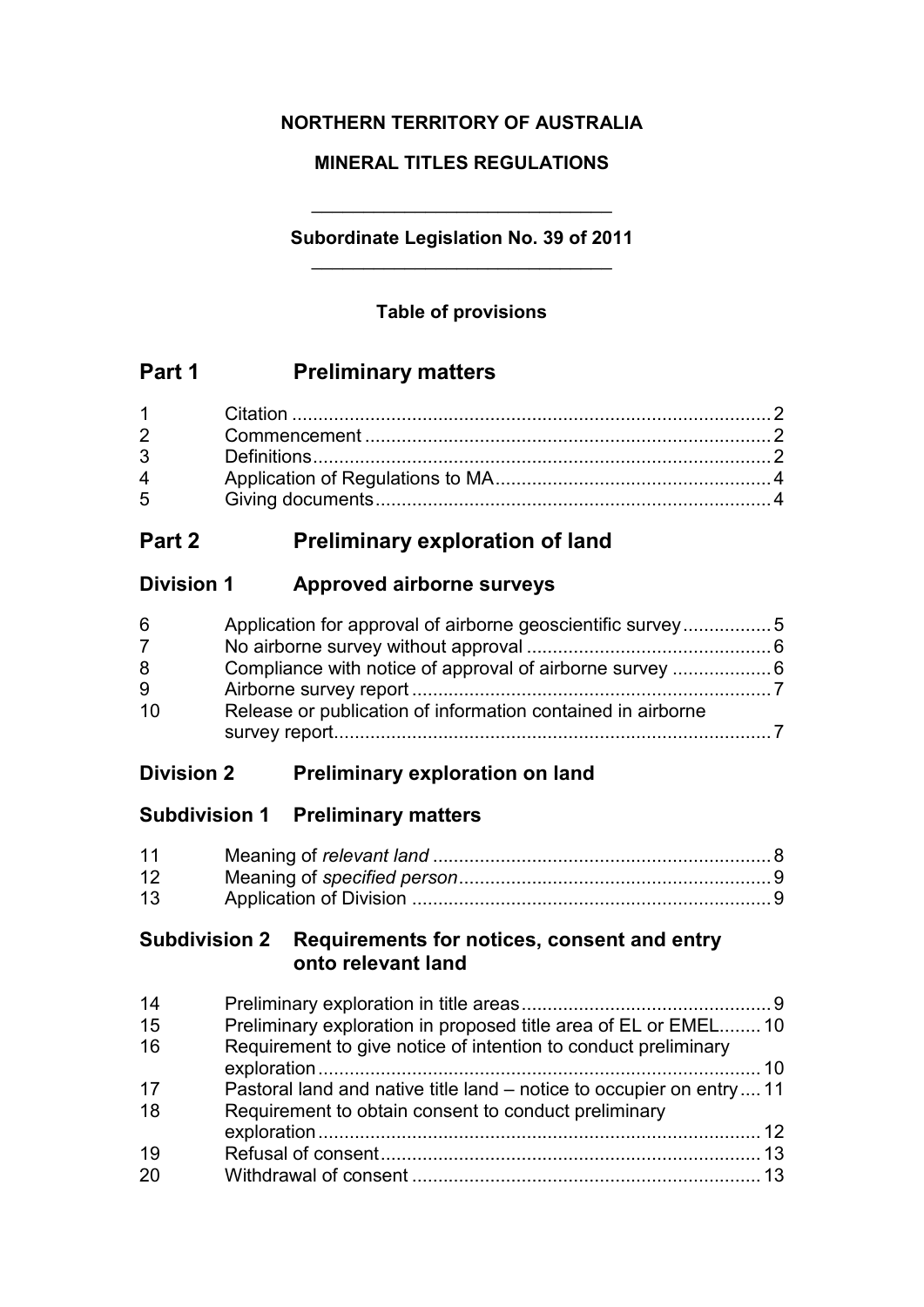## **NORTHERN TERRITORY OF AUSTRALIA**

## **MINERAL TITLES REGULATIONS**

## **Subordinate Legislation No. 39 of 2011** \_\_\_\_\_\_\_\_\_\_\_\_\_\_\_\_\_\_\_\_\_\_\_\_\_\_\_\_\_

\_\_\_\_\_\_\_\_\_\_\_\_\_\_\_\_\_\_\_\_\_\_\_\_\_\_\_\_\_

## **Table of provisions**

# **Part 1 Preliminary matters**

| $1 \quad \blacksquare$ |  |
|------------------------|--|
|                        |  |
| $\mathbf{3}$           |  |
| $\overline{4}$         |  |
| $5^{\circ}$            |  |

# **Part 2 Preliminary exploration of land**

## **Division 1 Approved airborne surveys**

| 6   | Application for approval of airborne geoscientific survey 5 |  |
|-----|-------------------------------------------------------------|--|
| 7   |                                                             |  |
| 8   |                                                             |  |
| 9   |                                                             |  |
| -10 | Release or publication of information contained in airborne |  |
|     |                                                             |  |

# **Division 2 Preliminary exploration on land**

# **Subdivision 1 Preliminary matters**

| 11 |  |
|----|--|
| 12 |  |
| 13 |  |

## **Subdivision 2 Requirements for notices, consent and entry onto relevant land**

| Requirement to give notice of intention to conduct preliminary        |                                                                 |
|-----------------------------------------------------------------------|-----------------------------------------------------------------|
|                                                                       |                                                                 |
| Pastoral land and native title land – notice to occupier on entry  11 |                                                                 |
| Requirement to obtain consent to conduct preliminary                  |                                                                 |
|                                                                       |                                                                 |
|                                                                       |                                                                 |
|                                                                       |                                                                 |
|                                                                       | Preliminary exploration in proposed title area of EL or EMEL 10 |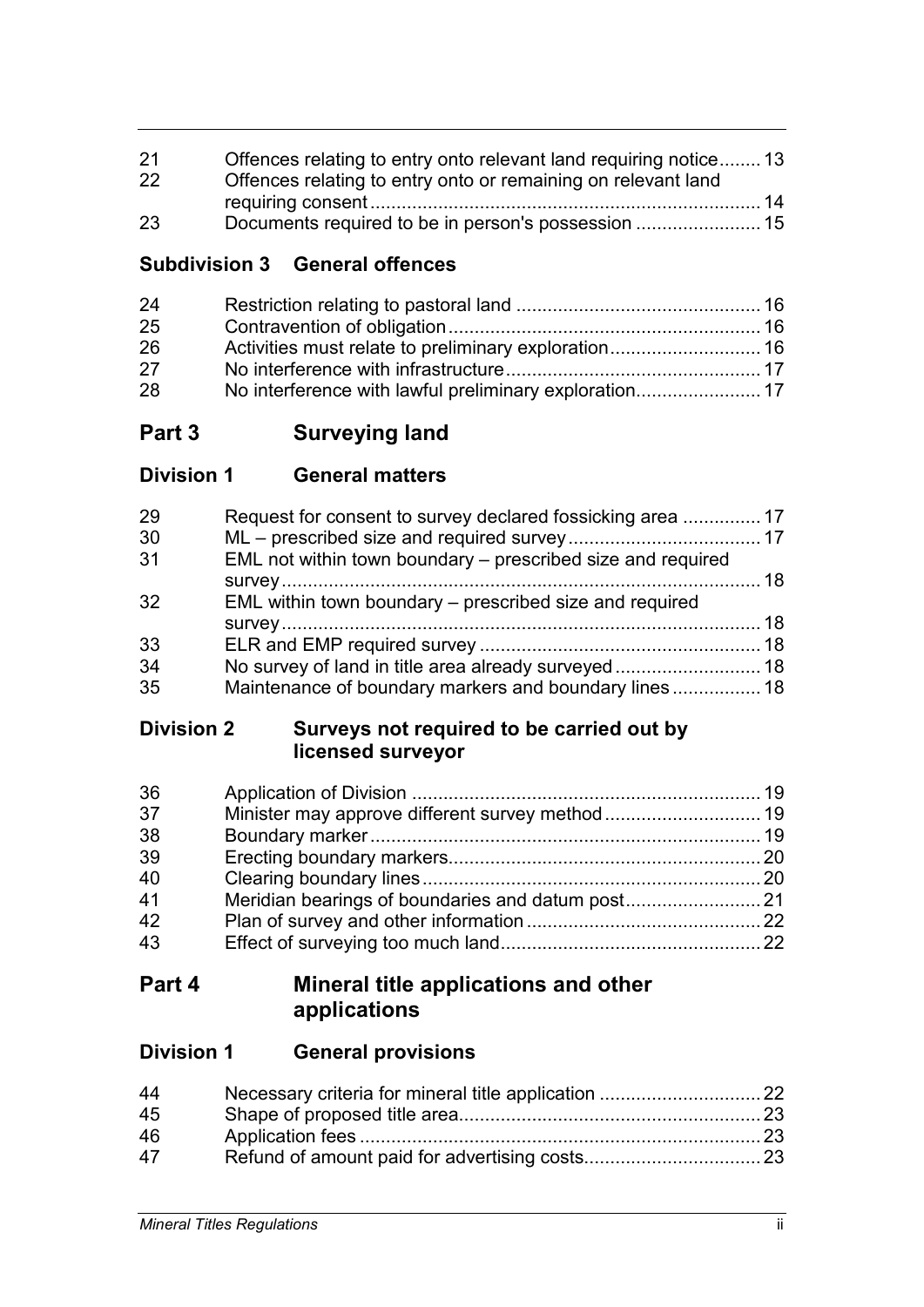| 21 | Offences relating to entry onto relevant land requiring notice 13 |  |
|----|-------------------------------------------------------------------|--|
| 22 | Offences relating to entry onto or remaining on relevant land     |  |
|    |                                                                   |  |
| 23 |                                                                   |  |

## **Subdivision 3 General offences**

| 24 |  |
|----|--|
| 25 |  |
| 26 |  |
| 27 |  |
| 28 |  |

# **Part 3 Surveying land**

# **Division 1 General matters**

| 29 | Request for consent to survey declared fossicking area  17  |  |
|----|-------------------------------------------------------------|--|
| 30 |                                                             |  |
| 31 | EML not within town boundary – prescribed size and required |  |
|    |                                                             |  |
| 32 | EML within town boundary – prescribed size and required     |  |
|    |                                                             |  |
| 33 |                                                             |  |
| 34 |                                                             |  |
| 35 | Maintenance of boundary markers and boundary lines 18       |  |

## **Division 2 Surveys not required to be carried out by licensed surveyor**

| 36 |  |
|----|--|
| 37 |  |
| 38 |  |
| 39 |  |
| 40 |  |
| 41 |  |
| 42 |  |
| 43 |  |

# **Part 4 Mineral title applications and other applications**

## **Division 1 General provisions**

| 44 |  |
|----|--|
| 45 |  |
| 46 |  |
| 47 |  |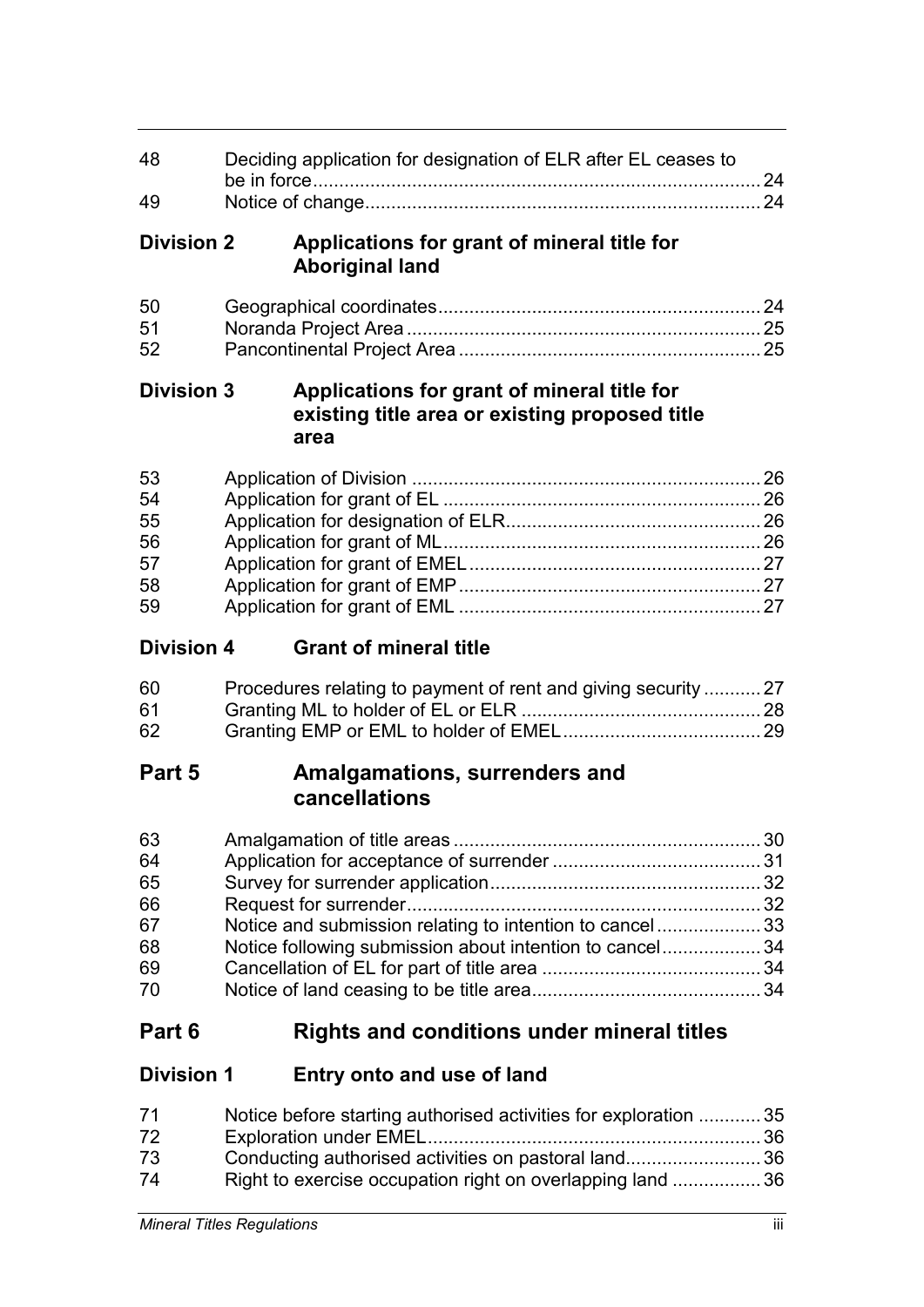| 48                                     | Deciding application for designation of ELR after EL ceases to                                        |    |
|----------------------------------------|-------------------------------------------------------------------------------------------------------|----|
| 49                                     |                                                                                                       |    |
| <b>Division 2</b>                      | Applications for grant of mineral title for<br><b>Aboriginal land</b>                                 |    |
| 50<br>51<br>52                         |                                                                                                       |    |
| <b>Division 3</b>                      | Applications for grant of mineral title for<br>existing title area or existing proposed title<br>area |    |
| 53<br>54<br>55<br>56<br>57<br>58<br>59 |                                                                                                       |    |
| <b>Division 4</b>                      | <b>Grant of mineral title</b>                                                                         |    |
| 60<br>61<br>62                         | Procedures relating to payment of rent and giving security  27                                        |    |
| Part 5                                 | Amalgamations, surrenders and<br>cancellations                                                        |    |
| 63<br>64<br>65<br>66<br>67             | Notice and submission relating to intention to cancel 33                                              | 30 |
| 68<br>69<br>70                         | Notice following submission about intention to cancel 34                                              |    |

# **Part 6 Rights and conditions under mineral titles**

# **Division 1 Entry onto and use of land**

| 71 | Notice before starting authorised activities for exploration 35 |  |
|----|-----------------------------------------------------------------|--|
| 72 |                                                                 |  |
| 73 | Conducting authorised activities on pastoral land36             |  |
| 74 | Right to exercise occupation right on overlapping land 36       |  |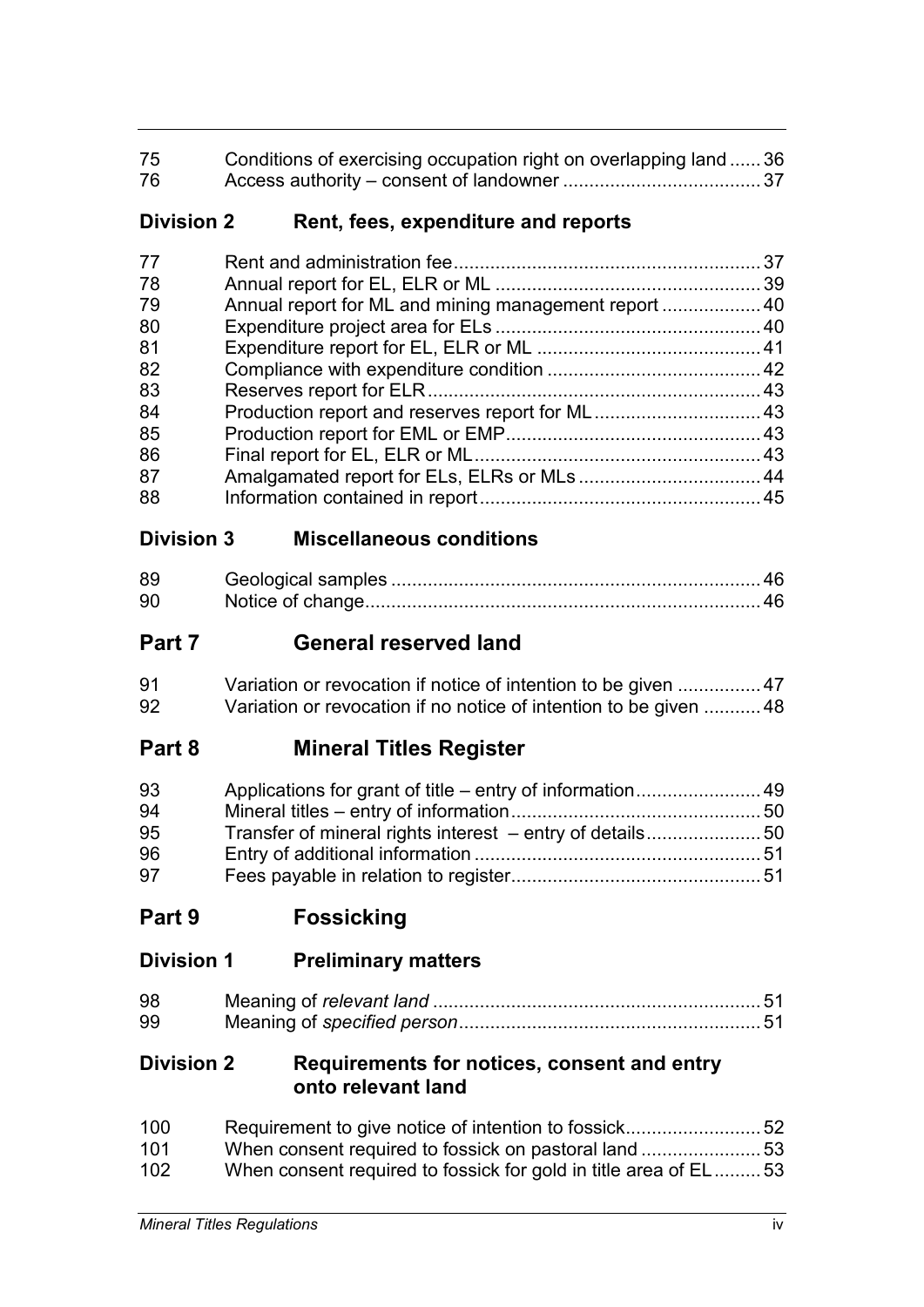| 75 | Conditions of exercising occupation right on overlapping land  36 |  |
|----|-------------------------------------------------------------------|--|
| 76 |                                                                   |  |

## **Division 2 Rent, fees, expenditure and reports**

| 77 |                                                       |  |
|----|-------------------------------------------------------|--|
| 78 |                                                       |  |
| 79 | Annual report for ML and mining management report  40 |  |
| 80 |                                                       |  |
| 81 |                                                       |  |
| 82 |                                                       |  |
| 83 |                                                       |  |
| 84 |                                                       |  |
| 85 |                                                       |  |
| 86 |                                                       |  |
| 87 |                                                       |  |
| 88 |                                                       |  |

# **Division 3 Miscellaneous conditions**

| 89 |  |
|----|--|
| 90 |  |

# **Part 7 General reserved land**

| 91 | Variation or revocation if notice of intention to be given  47    |  |
|----|-------------------------------------------------------------------|--|
| 92 | Variation or revocation if no notice of intention to be given  48 |  |

# **Part 8 Mineral Titles Register**

| 93 |  |
|----|--|
| 94 |  |
| 95 |  |
| 96 |  |
| 97 |  |

**Part 9 Fossicking**

| <b>Division 1</b> | <b>Preliminary matters</b> |  |
|-------------------|----------------------------|--|
|-------------------|----------------------------|--|

| 98 |  |
|----|--|
| 99 |  |

## **Division 2 Requirements for notices, consent and entry onto relevant land**

| 100 |                                                                 |  |
|-----|-----------------------------------------------------------------|--|
| 101 |                                                                 |  |
| 102 | When consent required to fossick for gold in title area of EL53 |  |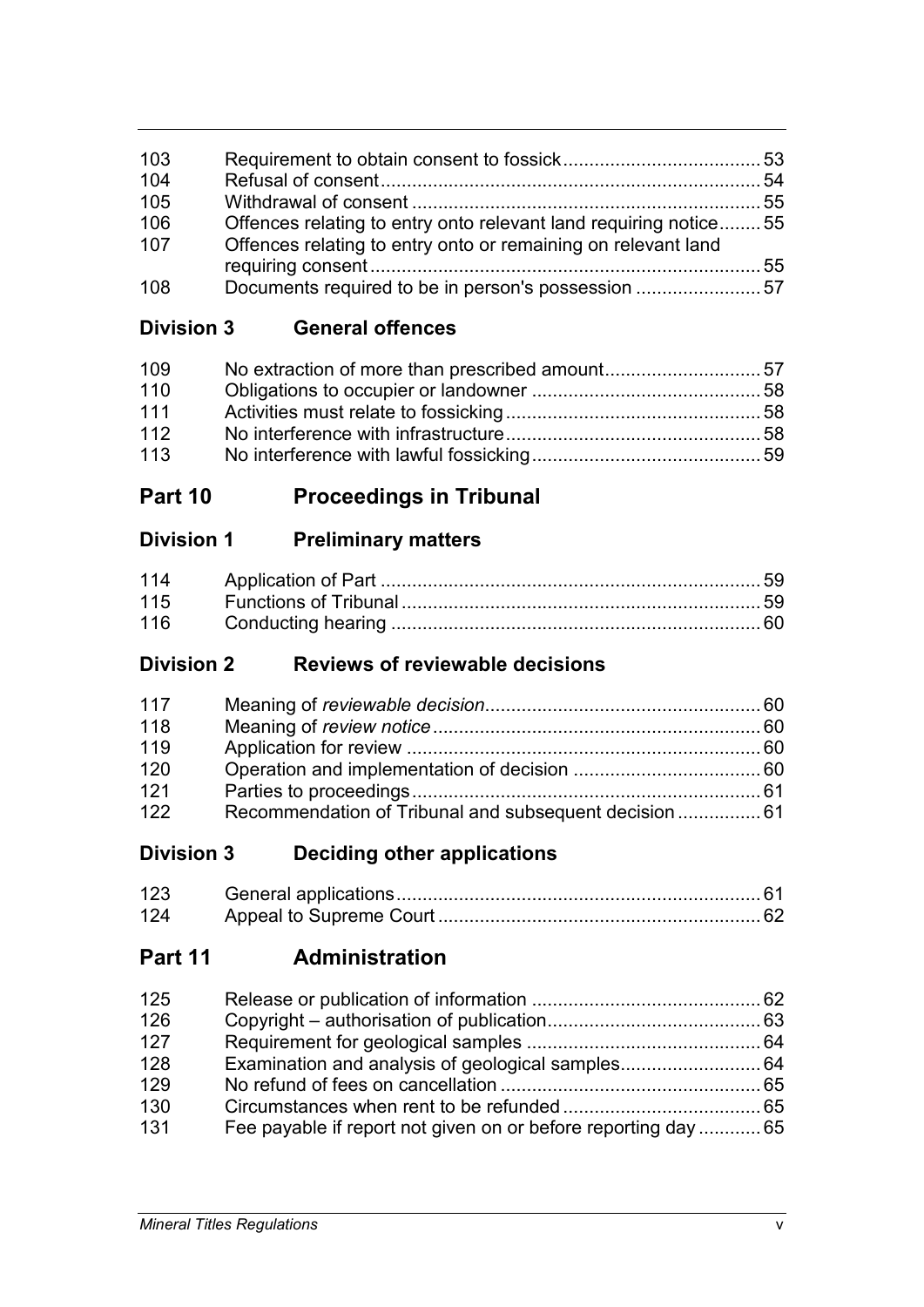| 103 |                                                                  |  |
|-----|------------------------------------------------------------------|--|
| 104 |                                                                  |  |
| 105 |                                                                  |  |
| 106 | Offences relating to entry onto relevant land requiring notice55 |  |
| 107 | Offences relating to entry onto or remaining on relevant land    |  |
|     |                                                                  |  |
| 108 |                                                                  |  |

**Division 3 General offences**

| 109 |  |
|-----|--|
| 110 |  |
| 111 |  |
| 112 |  |
| 113 |  |

# **Part 10 Proceedings in Tribunal**

# **Division 1 Preliminary matters**

| 115 |  |
|-----|--|
| 116 |  |

# **Division 2 Reviews of reviewable decisions**

| 117 |                                                       |  |
|-----|-------------------------------------------------------|--|
| 118 |                                                       |  |
| 119 |                                                       |  |
| 120 |                                                       |  |
| 121 |                                                       |  |
| 122 | Recommendation of Tribunal and subsequent decision 61 |  |

# **Division 3 Deciding other applications**

| 123 |  |
|-----|--|
| 124 |  |

# **Part 11 Administration**

| 125 |                                                                |  |
|-----|----------------------------------------------------------------|--|
| 126 |                                                                |  |
| 127 |                                                                |  |
| 128 | Examination and analysis of geological samples 64              |  |
| 129 |                                                                |  |
| 130 |                                                                |  |
| 131 | Fee payable if report not given on or before reporting day  65 |  |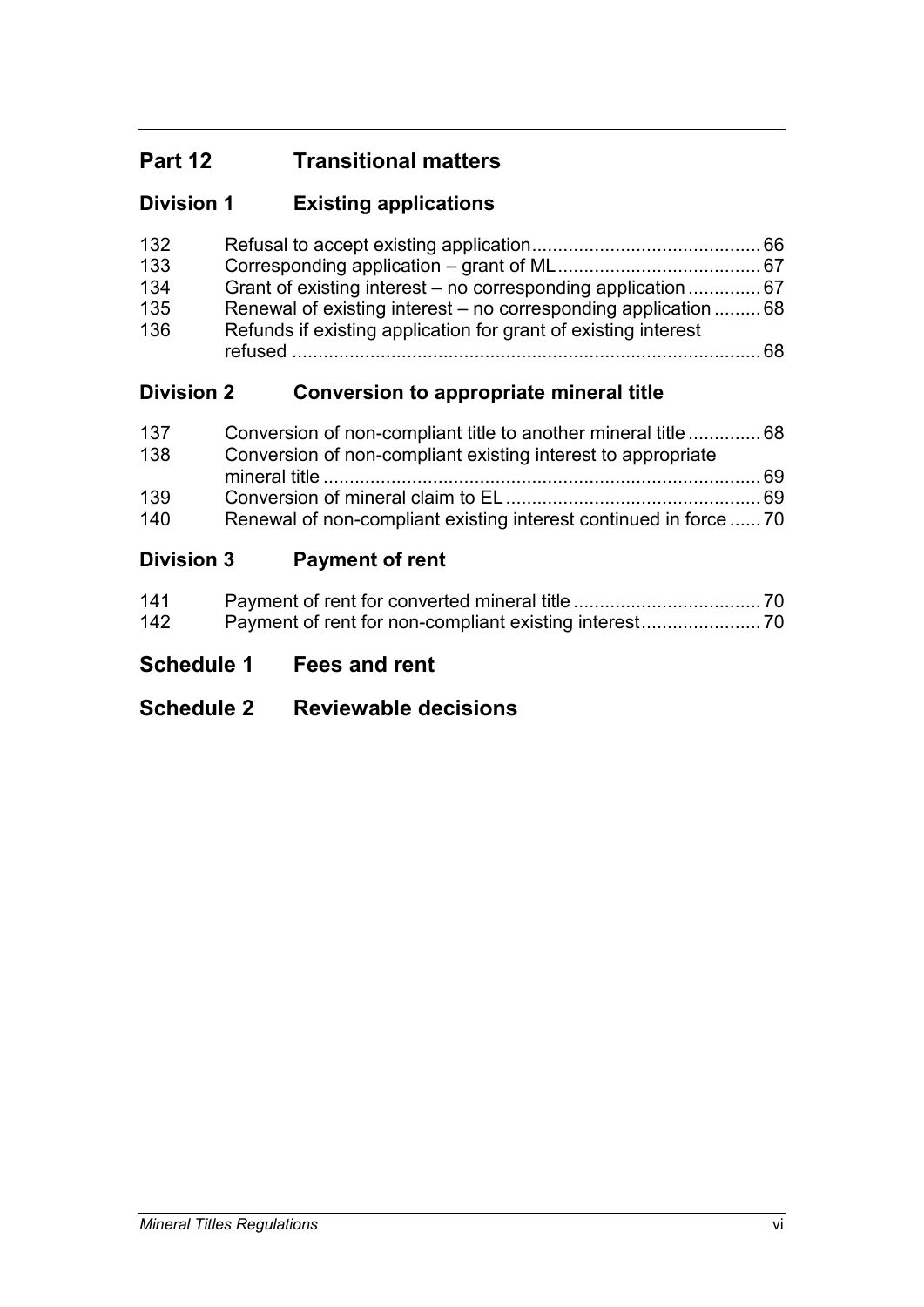# **Part 12 Transitional matters**

# **Division 1 Existing applications**

| 132 |                                                                 |    |
|-----|-----------------------------------------------------------------|----|
| 133 |                                                                 |    |
| 134 | Grant of existing interest – no corresponding application  67   |    |
| 135 | Renewal of existing interest – no corresponding application  68 |    |
| 136 | Refunds if existing application for grant of existing interest  |    |
|     |                                                                 | 68 |

# **Division 2 Conversion to appropriate mineral title**

| 137 | Conversion of non-compliant title to another mineral title  68    |  |
|-----|-------------------------------------------------------------------|--|
| 138 | Conversion of non-compliant existing interest to appropriate      |  |
|     |                                                                   |  |
| 139 |                                                                   |  |
| 140 | Renewal of non-compliant existing interest continued in force  70 |  |

# **Division 3 Payment of rent**

| 141 |  |
|-----|--|
| 142 |  |

# **Schedule 1 Fees and rent**

# **Schedule 2 Reviewable decisions**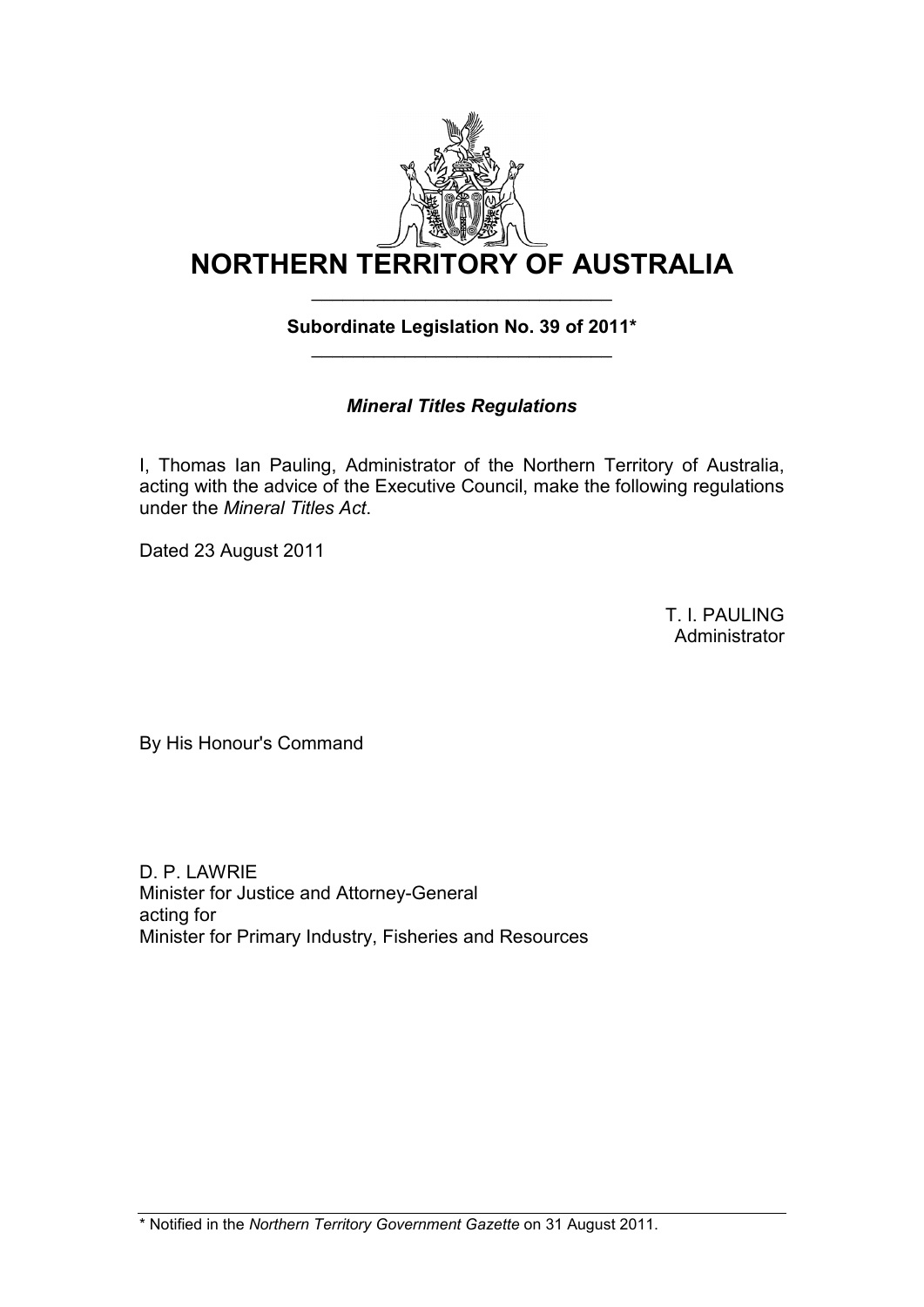

## **Subordinate Legislation No. 39 of 2011\*** \_\_\_\_\_\_\_\_\_\_\_\_\_\_\_\_\_\_\_\_\_\_\_\_\_\_\_\_\_

## *Mineral Titles Regulations*

I, Thomas Ian Pauling, Administrator of the Northern Territory of Australia, acting with the advice of the Executive Council, make the following regulations under the *Mineral Titles Act*.

Dated 23 August 2011

T. I. PAULING **Administrator** 

By His Honour's Command

D. P. LAWRIE Minister for Justice and Attorney-General acting for Minister for Primary Industry, Fisheries and Resources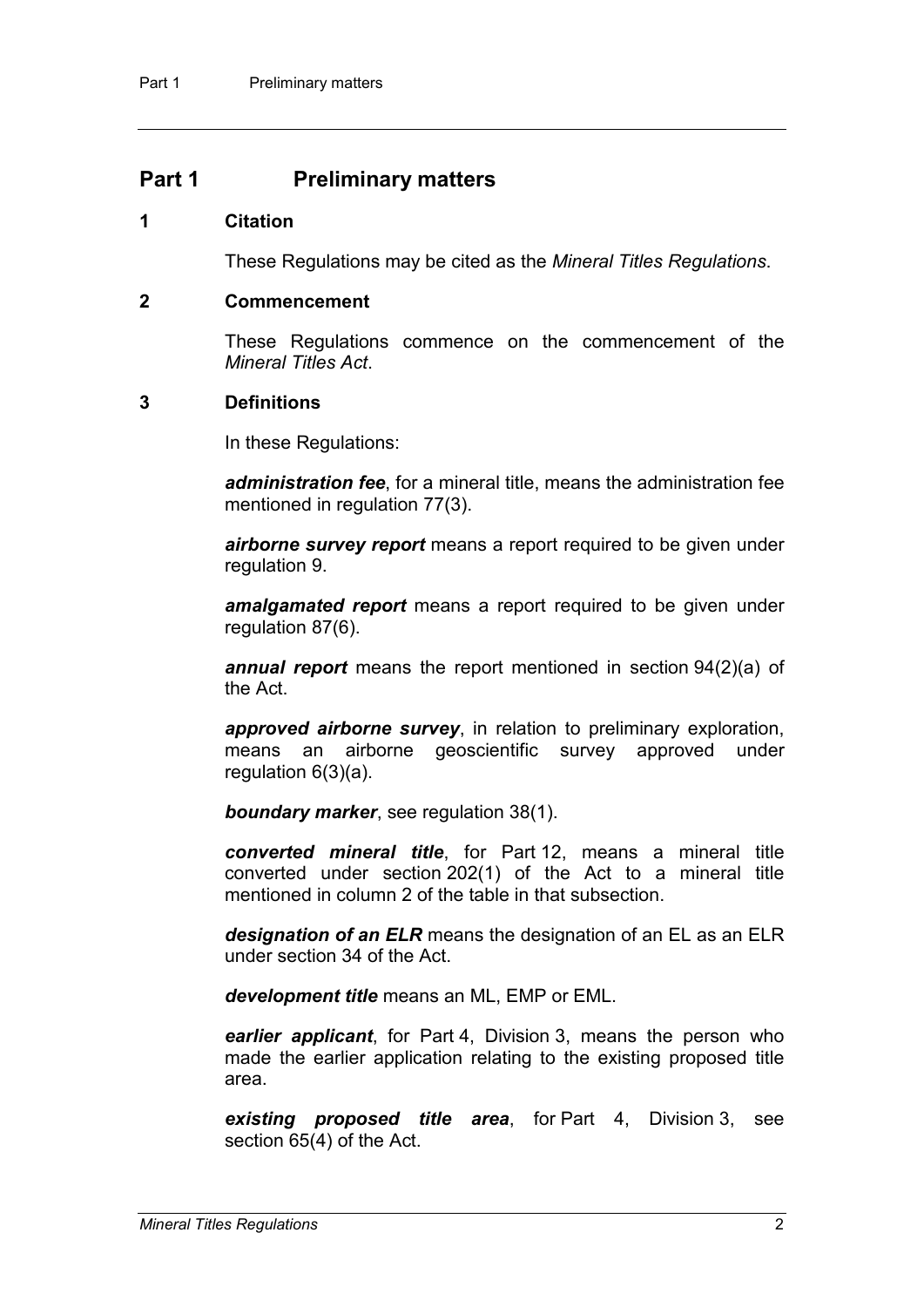## **Part 1 Preliminary matters**

#### **1 Citation**

These Regulations may be cited as the *Mineral Titles Regulations*.

#### **2 Commencement**

These Regulations commence on the commencement of the *Mineral Titles Act*.

### **3 Definitions**

In these Regulations:

*administration fee*, for a mineral title, means the administration fee mentioned in regulation 77(3).

*airborne survey report* means a report required to be given under regulation 9.

*amalgamated report* means a report required to be given under regulation 87(6).

*annual report* means the report mentioned in section 94(2)(a) of the Act.

*approved airborne survey*, in relation to preliminary exploration, means an airborne geoscientific survey approved under regulation 6(3)(a).

*boundary marker*, see regulation 38(1).

*converted mineral title*, for Part 12, means a mineral title converted under section 202(1) of the Act to a mineral title mentioned in column 2 of the table in that subsection

*designation of an ELR* means the designation of an EL as an ELR under section 34 of the Act.

*development title* means an ML, EMP or EML.

*earlier applicant*, for Part 4, Division 3, means the person who made the earlier application relating to the existing proposed title area.

*existing proposed title area*, for Part 4, Division 3, see section 65(4) of the Act.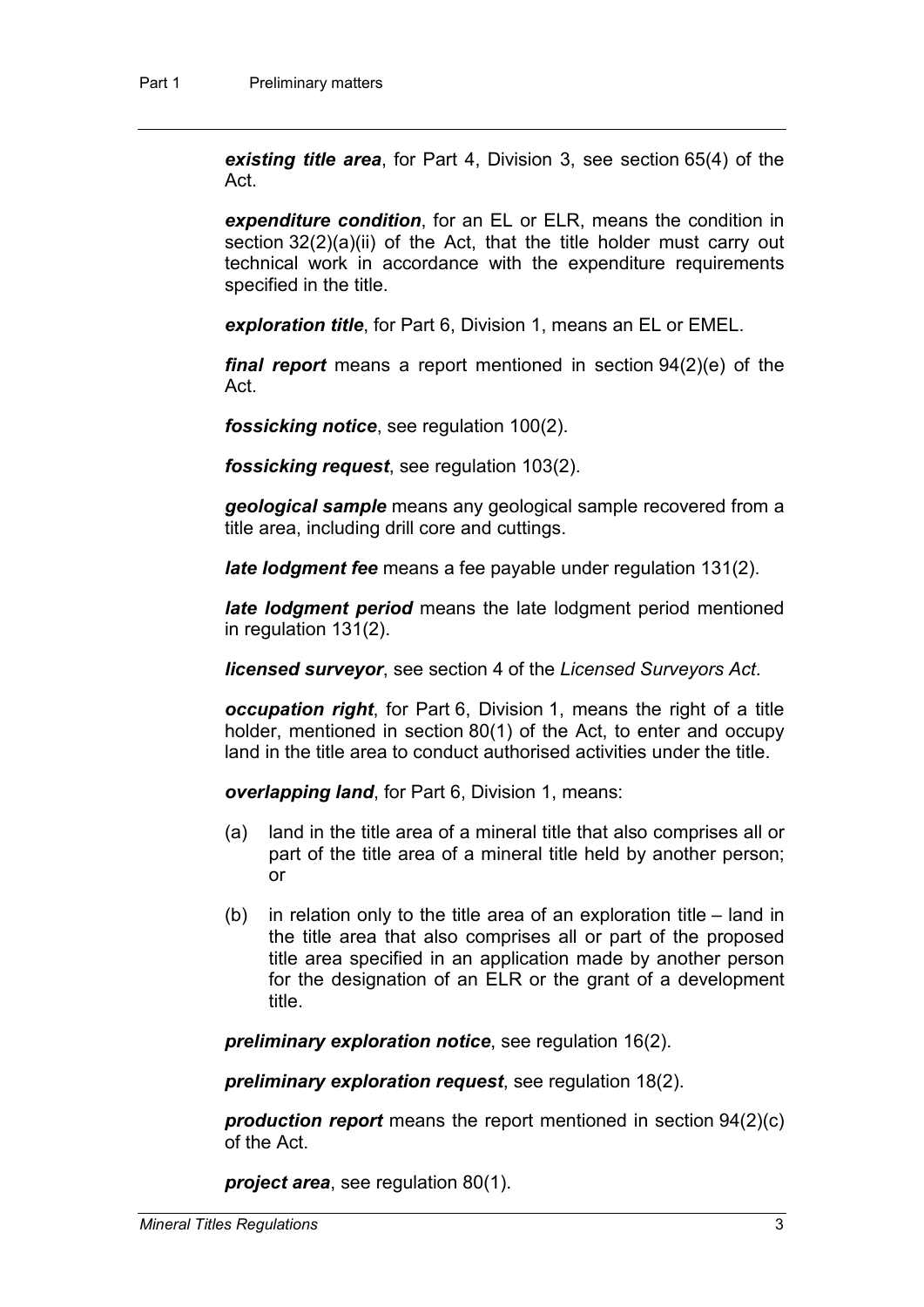*existing title area*, for Part 4, Division 3, see section 65(4) of the Act.

*expenditure condition*, for an EL or ELR, means the condition in section 32(2)(a)(ii) of the Act, that the title holder must carry out technical work in accordance with the expenditure requirements specified in the title.

*exploration title*, for Part 6, Division 1, means an EL or EMEL.

*final report* means a report mentioned in section 94(2)(e) of the Act.

*fossicking notice*, see regulation 100(2).

*fossicking request*, see regulation 103(2).

*geological sample* means any geological sample recovered from a title area, including drill core and cuttings.

*late lodgment fee* means a fee payable under regulation 131(2).

*late lodgment period* means the late lodgment period mentioned in regulation 131(2).

*licensed surveyor*, see section 4 of the *Licensed Surveyors Act*.

*occupation right*, for Part 6, Division 1, means the right of a title holder, mentioned in section 80(1) of the Act, to enter and occupy land in the title area to conduct authorised activities under the title.

*overlapping land*, for Part 6, Division 1, means:

- (a) land in the title area of a mineral title that also comprises all or part of the title area of a mineral title held by another person; or
- (b) in relation only to the title area of an exploration title land in the title area that also comprises all or part of the proposed title area specified in an application made by another person for the designation of an ELR or the grant of a development title.

*preliminary exploration notice*, see regulation 16(2).

*preliminary exploration request*, see regulation 18(2).

*production report* means the report mentioned in section 94(2)(c) of the Act.

*project area*, see regulation 80(1).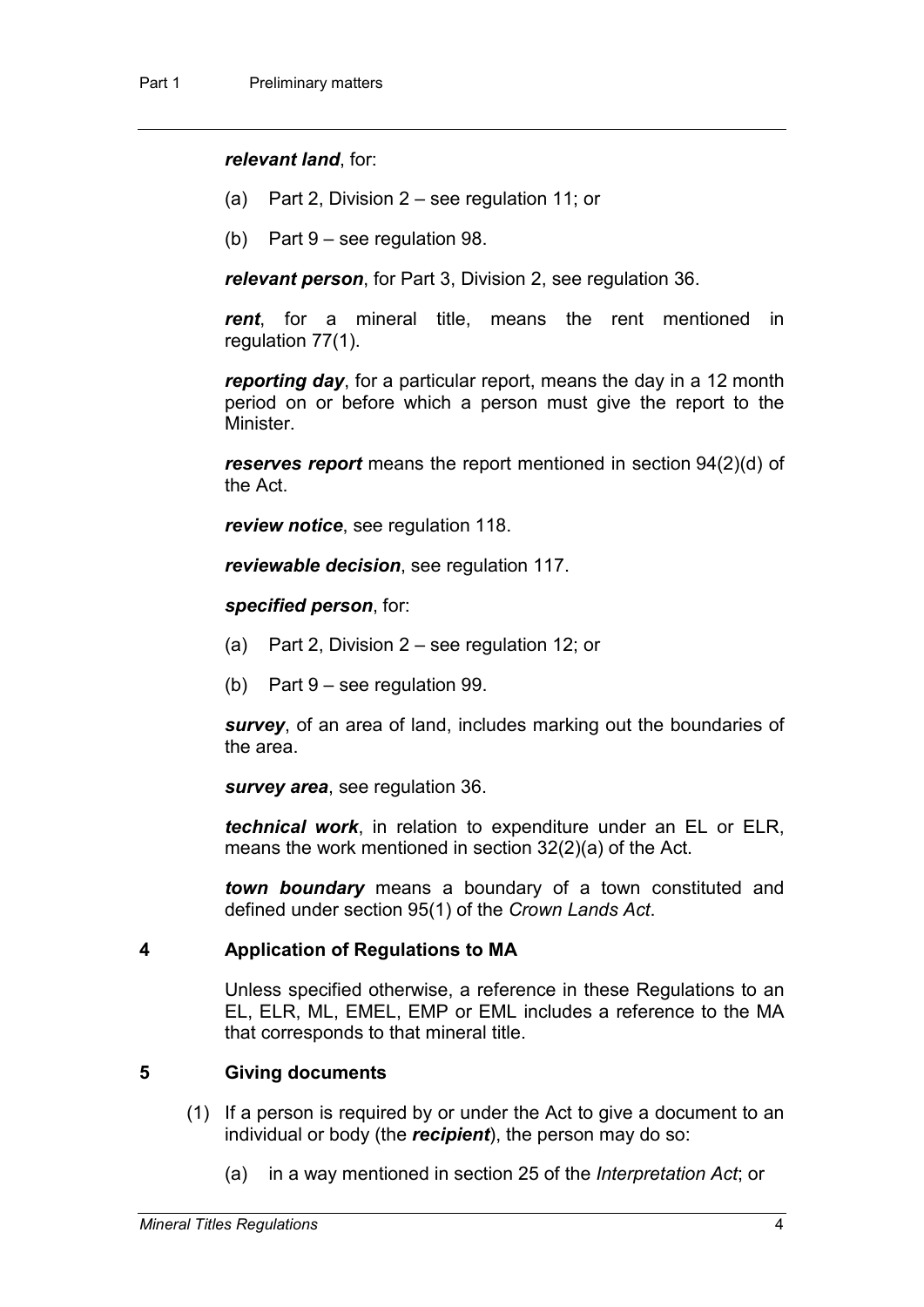#### *relevant land*, for:

- (a) Part 2, Division 2 see regulation 11; or
- (b) Part 9 see regulation 98.

*relevant person*, for Part 3, Division 2, see regulation 36.

*rent*, for a mineral title, means the rent mentioned in regulation 77(1).

*reporting day*, for a particular report, means the day in a 12 month period on or before which a person must give the report to the Minister.

*reserves report* means the report mentioned in section 94(2)(d) of the Act.

*review notice*, see regulation 118.

*reviewable decision*, see regulation 117.

#### *specified person*, for:

- (a) Part 2, Division 2 see regulation 12; or
- (b) Part 9 see regulation 99.

*survey*, of an area of land, includes marking out the boundaries of the area.

*survey area*, see regulation 36.

*technical work*, in relation to expenditure under an EL or ELR, means the work mentioned in section 32(2)(a) of the Act.

*town boundary* means a boundary of a town constituted and defined under section 95(1) of the *Crown Lands Act*.

### **4 Application of Regulations to MA**

Unless specified otherwise, a reference in these Regulations to an EL, ELR, ML, EMEL, EMP or EML includes a reference to the MA that corresponds to that mineral title.

## **5 Giving documents**

- (1) If a person is required by or under the Act to give a document to an individual or body (the *recipient*), the person may do so:
	- (a) in a way mentioned in section 25 of the *Interpretation Act*; or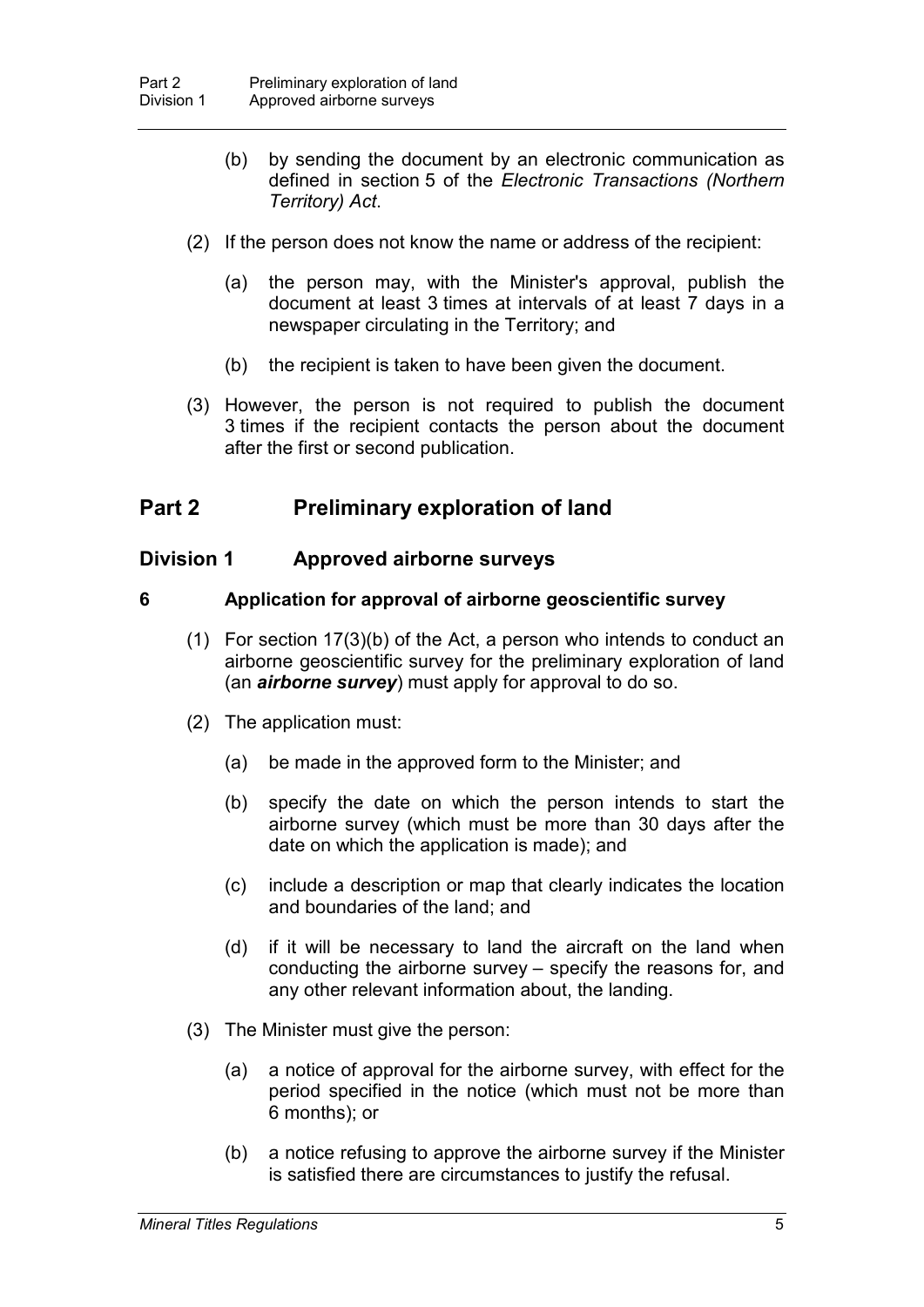- (b) by sending the document by an electronic communication as defined in section 5 of the *Electronic Transactions (Northern Territory) Act*.
- (2) If the person does not know the name or address of the recipient:
	- (a) the person may, with the Minister's approval, publish the document at least 3 times at intervals of at least 7 days in a newspaper circulating in the Territory; and
	- (b) the recipient is taken to have been given the document.
- (3) However, the person is not required to publish the document 3 times if the recipient contacts the person about the document after the first or second publication.

## **Part 2 Preliminary exploration of land**

## **Division 1 Approved airborne surveys**

### **6 Application for approval of airborne geoscientific survey**

- (1) For section 17(3)(b) of the Act, a person who intends to conduct an airborne geoscientific survey for the preliminary exploration of land (an *airborne survey*) must apply for approval to do so.
- (2) The application must:
	- (a) be made in the approved form to the Minister; and
	- (b) specify the date on which the person intends to start the airborne survey (which must be more than 30 days after the date on which the application is made); and
	- (c) include a description or map that clearly indicates the location and boundaries of the land; and
	- (d) if it will be necessary to land the aircraft on the land when conducting the airborne survey – specify the reasons for, and any other relevant information about, the landing.
- (3) The Minister must give the person:
	- (a) a notice of approval for the airborne survey, with effect for the period specified in the notice (which must not be more than 6 months); or
	- (b) a notice refusing to approve the airborne survey if the Minister is satisfied there are circumstances to justify the refusal.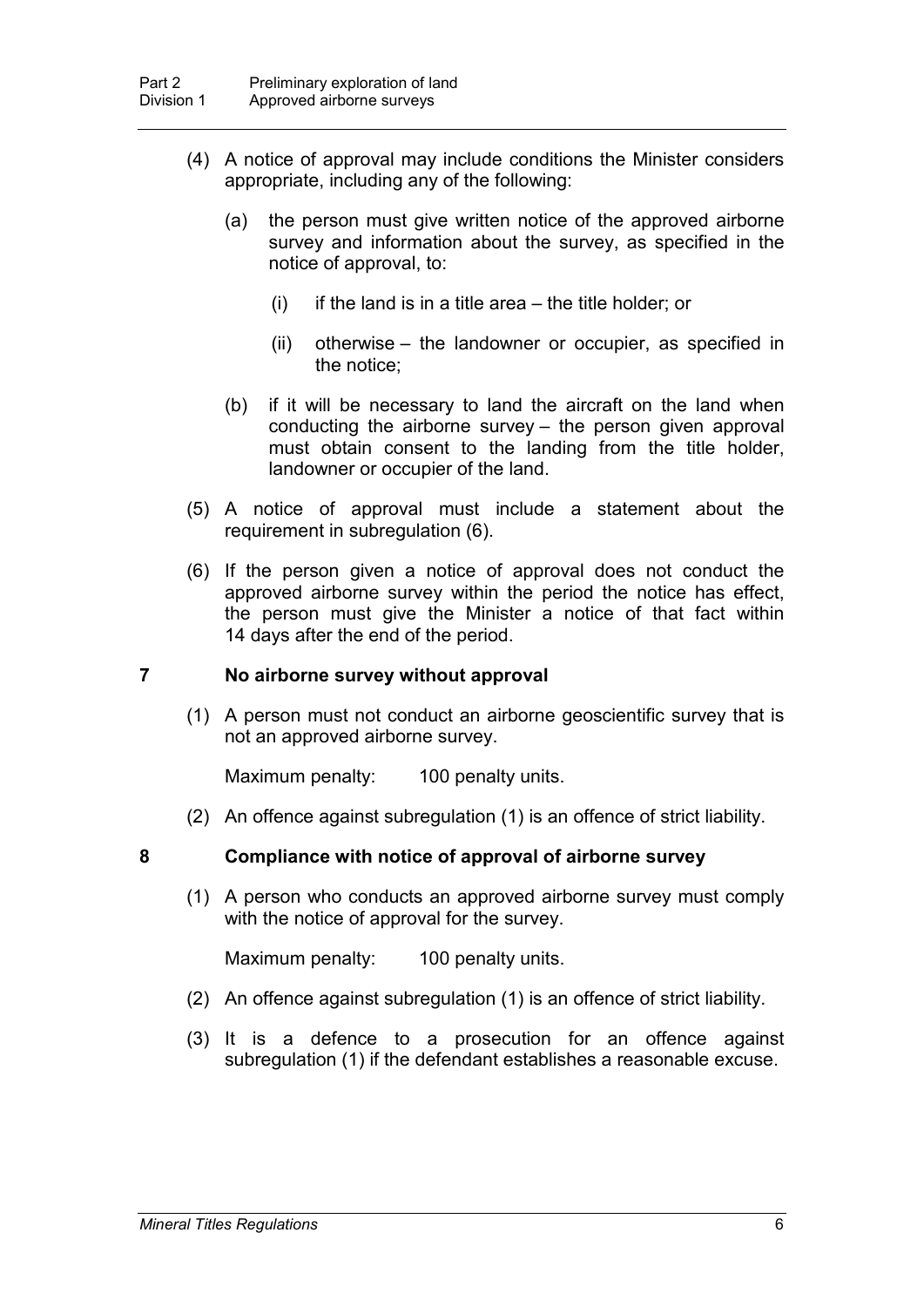- (4) A notice of approval may include conditions the Minister considers appropriate, including any of the following:
	- (a) the person must give written notice of the approved airborne survey and information about the survey, as specified in the notice of approval, to:
		- $(i)$  if the land is in a title area the title holder; or
		- (ii) otherwise the landowner or occupier, as specified in the notice;
	- (b) if it will be necessary to land the aircraft on the land when conducting the airborne survey – the person given approval must obtain consent to the landing from the title holder, landowner or occupier of the land.
- (5) A notice of approval must include a statement about the requirement in subregulation (6).
- (6) If the person given a notice of approval does not conduct the approved airborne survey within the period the notice has effect, the person must give the Minister a notice of that fact within 14 days after the end of the period.

### **7 No airborne survey without approval**

(1) A person must not conduct an airborne geoscientific survey that is not an approved airborne survey.

Maximum penalty: 100 penalty units.

(2) An offence against subregulation (1) is an offence of strict liability.

#### **8 Compliance with notice of approval of airborne survey**

(1) A person who conducts an approved airborne survey must comply with the notice of approval for the survey.

Maximum penalty: 100 penalty units.

- (2) An offence against subregulation (1) is an offence of strict liability.
- (3) It is a defence to a prosecution for an offence against subregulation (1) if the defendant establishes a reasonable excuse.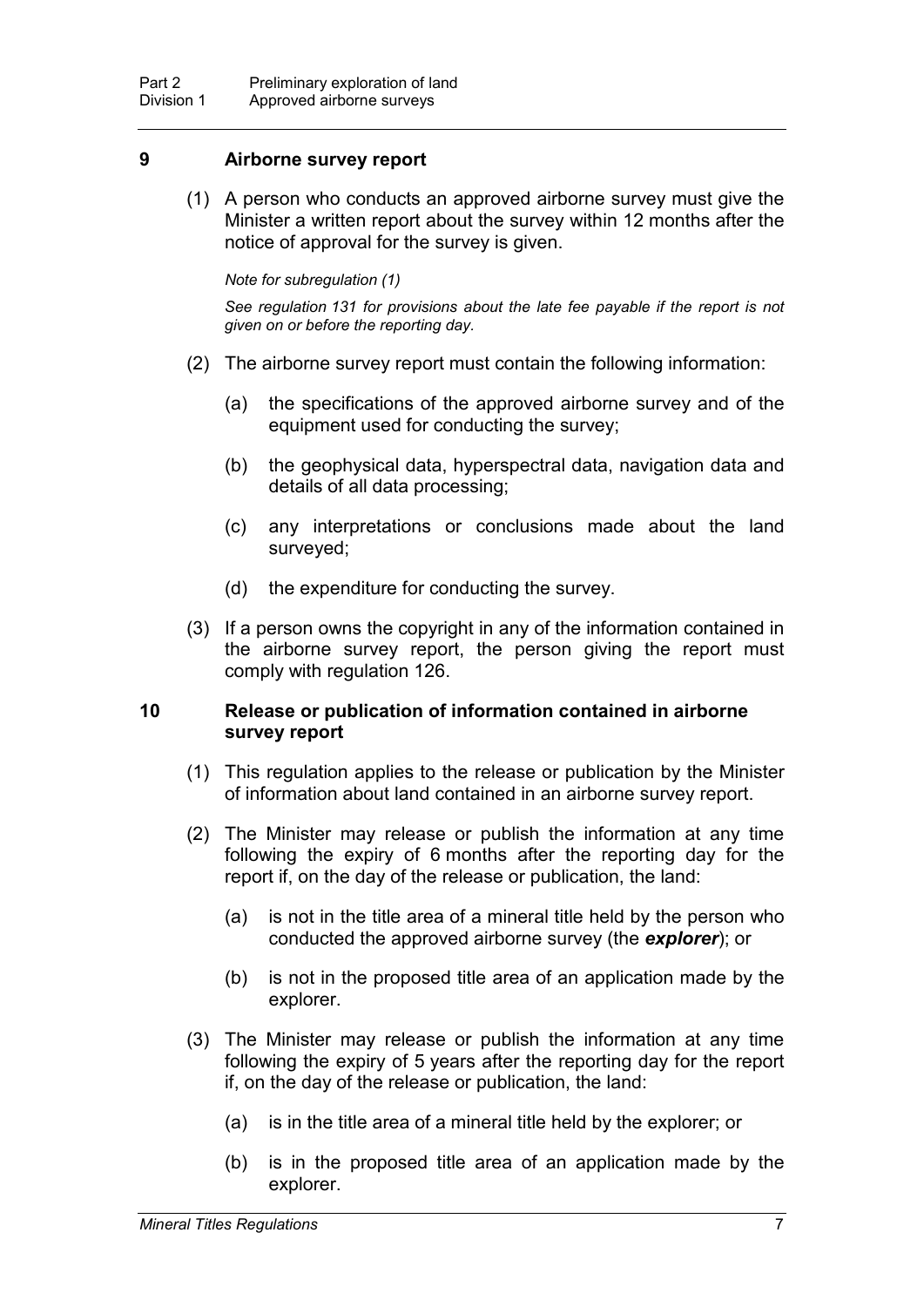### **9 Airborne survey report**

(1) A person who conducts an approved airborne survey must give the Minister a written report about the survey within 12 months after the notice of approval for the survey is given.

#### *Note for subregulation (1)*

*See regulation 131 for provisions about the late fee payable if the report is not given on or before the reporting day.*

- (2) The airborne survey report must contain the following information:
	- (a) the specifications of the approved airborne survey and of the equipment used for conducting the survey;
	- (b) the geophysical data, hyperspectral data, navigation data and details of all data processing;
	- (c) any interpretations or conclusions made about the land surveyed;
	- (d) the expenditure for conducting the survey.
- (3) If a person owns the copyright in any of the information contained in the airborne survey report, the person giving the report must comply with regulation 126.

### **10 Release or publication of information contained in airborne survey report**

- (1) This regulation applies to the release or publication by the Minister of information about land contained in an airborne survey report.
- (2) The Minister may release or publish the information at any time following the expiry of 6 months after the reporting day for the report if, on the day of the release or publication, the land:
	- (a) is not in the title area of a mineral title held by the person who conducted the approved airborne survey (the *explorer*); or
	- (b) is not in the proposed title area of an application made by the explorer.
- (3) The Minister may release or publish the information at any time following the expiry of 5 years after the reporting day for the report if, on the day of the release or publication, the land:
	- (a) is in the title area of a mineral title held by the explorer; or
	- (b) is in the proposed title area of an application made by the explorer.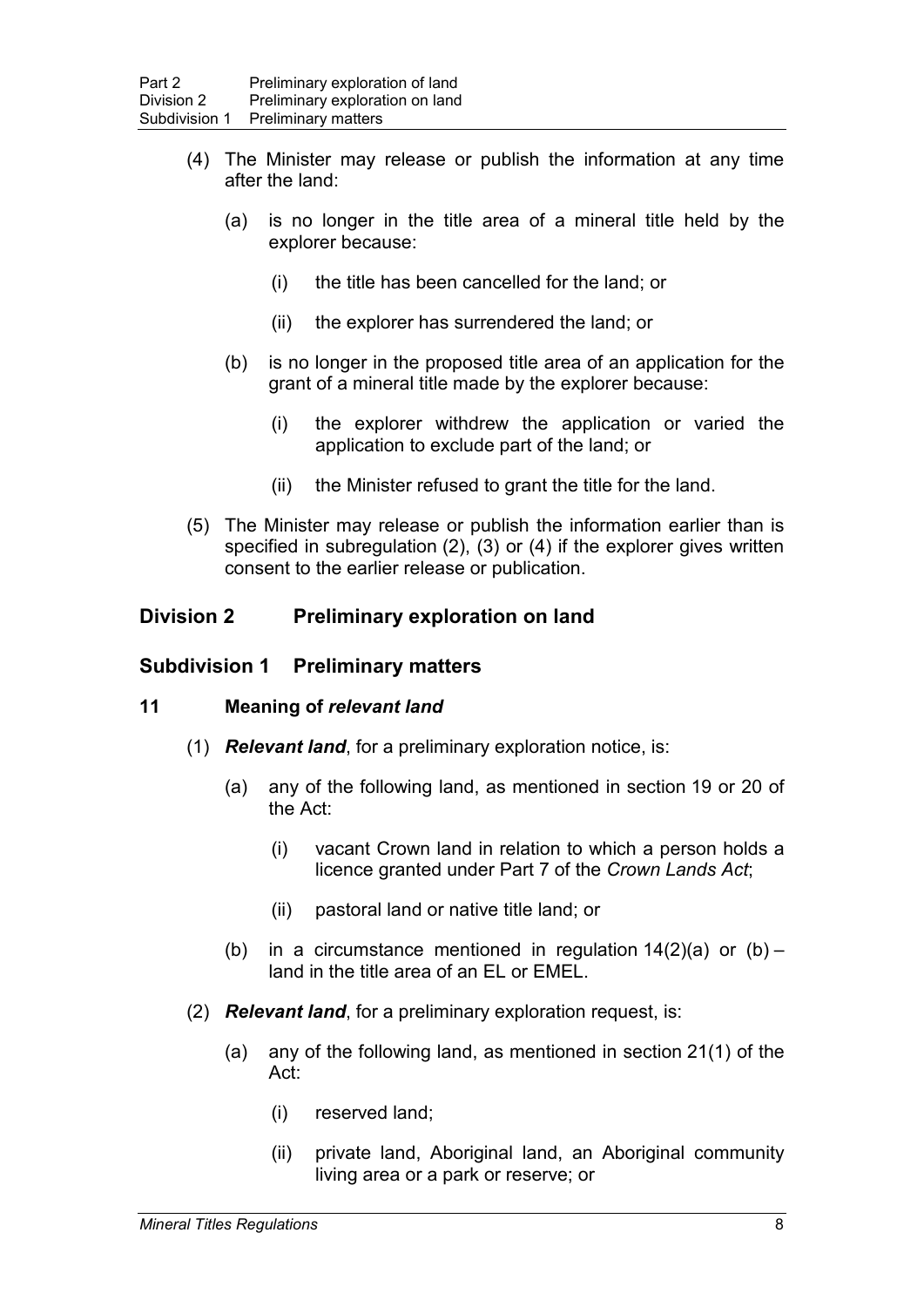- (4) The Minister may release or publish the information at any time after the land:
	- (a) is no longer in the title area of a mineral title held by the explorer because:
		- (i) the title has been cancelled for the land; or
		- (ii) the explorer has surrendered the land; or
	- (b) is no longer in the proposed title area of an application for the grant of a mineral title made by the explorer because:
		- (i) the explorer withdrew the application or varied the application to exclude part of the land; or
		- (ii) the Minister refused to grant the title for the land.
- (5) The Minister may release or publish the information earlier than is specified in subregulation (2), (3) or (4) if the explorer gives written consent to the earlier release or publication.

### **Division 2 Preliminary exploration on land**

### **Subdivision 1 Preliminary matters**

#### **11 Meaning of** *relevant land*

- (1) *Relevant land*, for a preliminary exploration notice, is:
	- (a) any of the following land, as mentioned in section 19 or 20 of the Act:
		- (i) vacant Crown land in relation to which a person holds a licence granted under Part 7 of the *Crown Lands Act*;
		- (ii) pastoral land or native title land; or
	- (b) in a circumstance mentioned in regulation  $14(2)(a)$  or  $(b)$  land in the title area of an EL or EMEL.
- (2) *Relevant land*, for a preliminary exploration request, is:
	- (a) any of the following land, as mentioned in section 21(1) of the Act:
		- (i) reserved land;
		- (ii) private land, Aboriginal land, an Aboriginal community living area or a park or reserve; or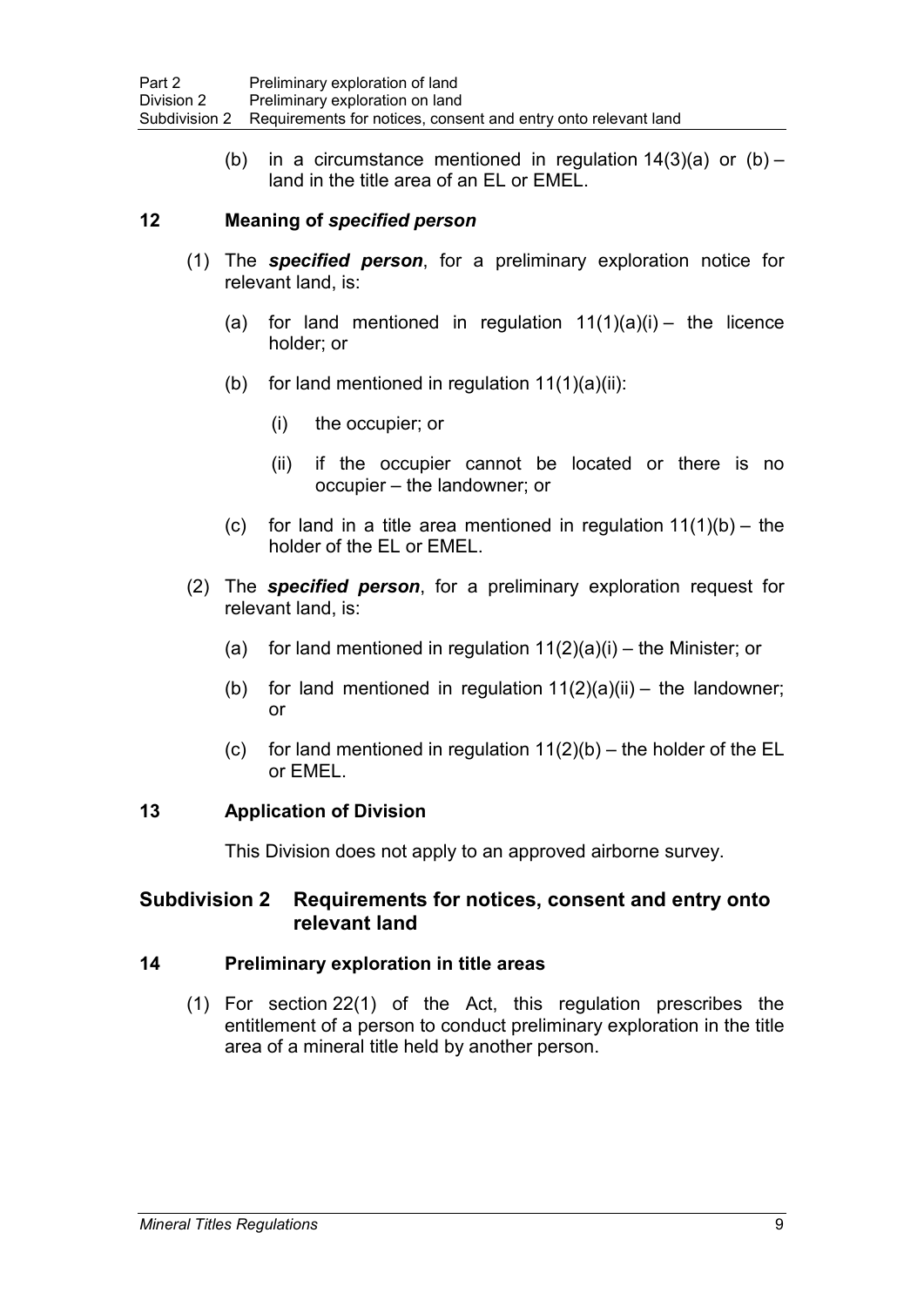(b) in a circumstance mentioned in regulation  $14(3)(a)$  or  $(b)$  – land in the title area of an EL or EMEL.

### **12 Meaning of** *specified person*

- (1) The *specified person*, for a preliminary exploration notice for relevant land, is:
	- (a) for land mentioned in regulation  $11(1)(a)(i)$  the licence holder; or
	- (b) for land mentioned in regulation  $11(1)(a)(ii)$ :
		- (i) the occupier; or
		- (ii) if the occupier cannot be located or there is no occupier – the landowner; or
	- (c) for land in a title area mentioned in regulation  $11(1)(b) -$  the holder of the EL or EMEL.
- (2) The *specified person*, for a preliminary exploration request for relevant land, is:
	- (a) for land mentioned in regulation  $11(2)(a)(i)$  the Minister; or
	- (b) for land mentioned in regulation  $11(2)(a)(ii) -$  the landowner; or
	- (c) for land mentioned in regulation  $11(2)(b)$  the holder of the EL or EMEL.

### **13 Application of Division**

This Division does not apply to an approved airborne survey.

## **Subdivision 2 Requirements for notices, consent and entry onto relevant land**

### **14 Preliminary exploration in title areas**

(1) For section 22(1) of the Act, this regulation prescribes the entitlement of a person to conduct preliminary exploration in the title area of a mineral title held by another person.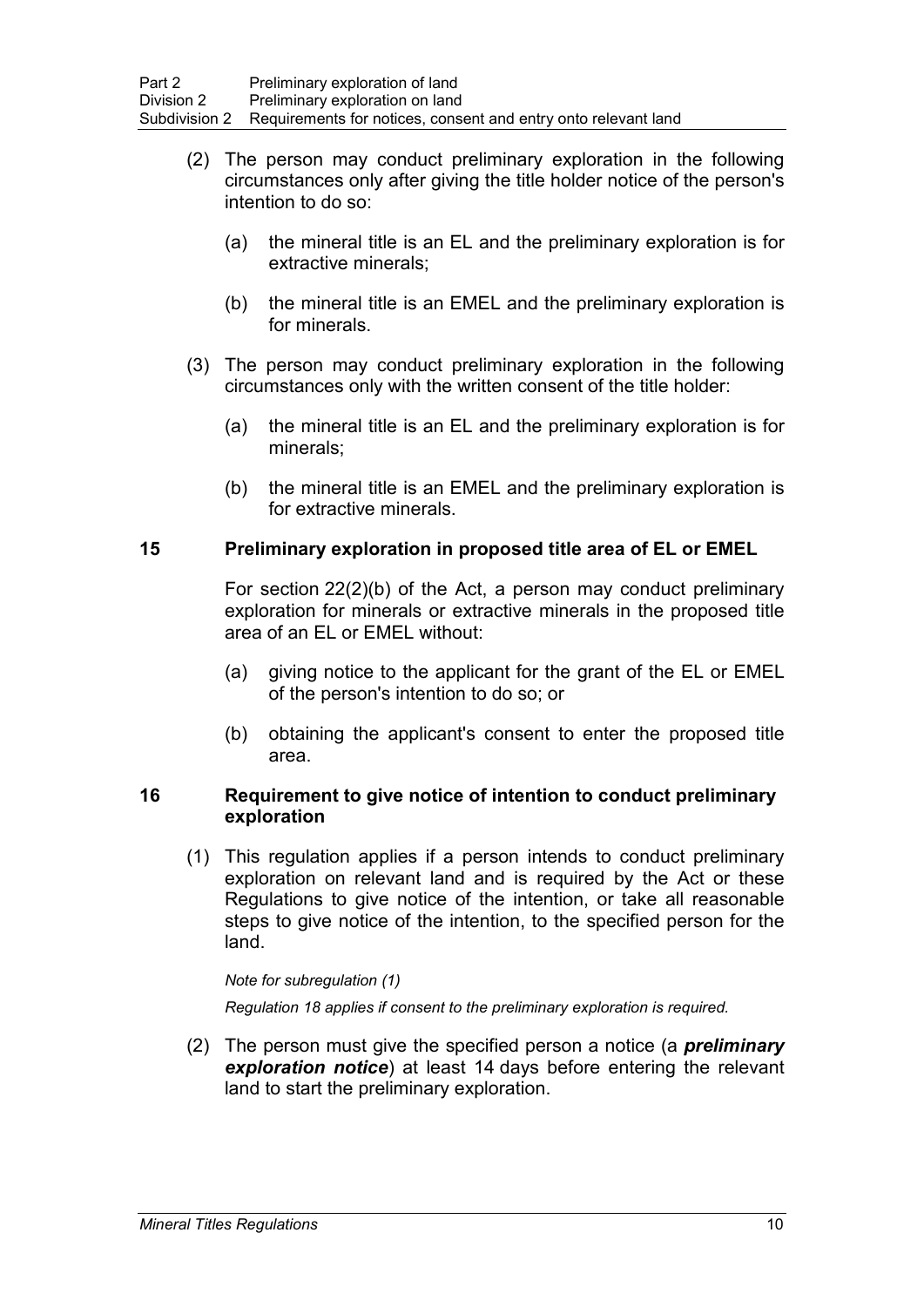- (2) The person may conduct preliminary exploration in the following circumstances only after giving the title holder notice of the person's intention to do so:
	- (a) the mineral title is an EL and the preliminary exploration is for extractive minerals;
	- (b) the mineral title is an EMEL and the preliminary exploration is for minerals.
- (3) The person may conduct preliminary exploration in the following circumstances only with the written consent of the title holder:
	- (a) the mineral title is an EL and the preliminary exploration is for minerals;
	- (b) the mineral title is an EMEL and the preliminary exploration is for extractive minerals.

### **15 Preliminary exploration in proposed title area of EL or EMEL**

For section 22(2)(b) of the Act, a person may conduct preliminary exploration for minerals or extractive minerals in the proposed title area of an EL or EMEL without:

- (a) giving notice to the applicant for the grant of the EL or EMEL of the person's intention to do so; or
- (b) obtaining the applicant's consent to enter the proposed title area.

#### **16 Requirement to give notice of intention to conduct preliminary exploration**

(1) This regulation applies if a person intends to conduct preliminary exploration on relevant land and is required by the Act or these Regulations to give notice of the intention, or take all reasonable steps to give notice of the intention, to the specified person for the land.

#### *Note for subregulation (1)*

*Regulation 18 applies if consent to the preliminary exploration is required.*

(2) The person must give the specified person a notice (a *preliminary exploration notice*) at least 14 days before entering the relevant land to start the preliminary exploration.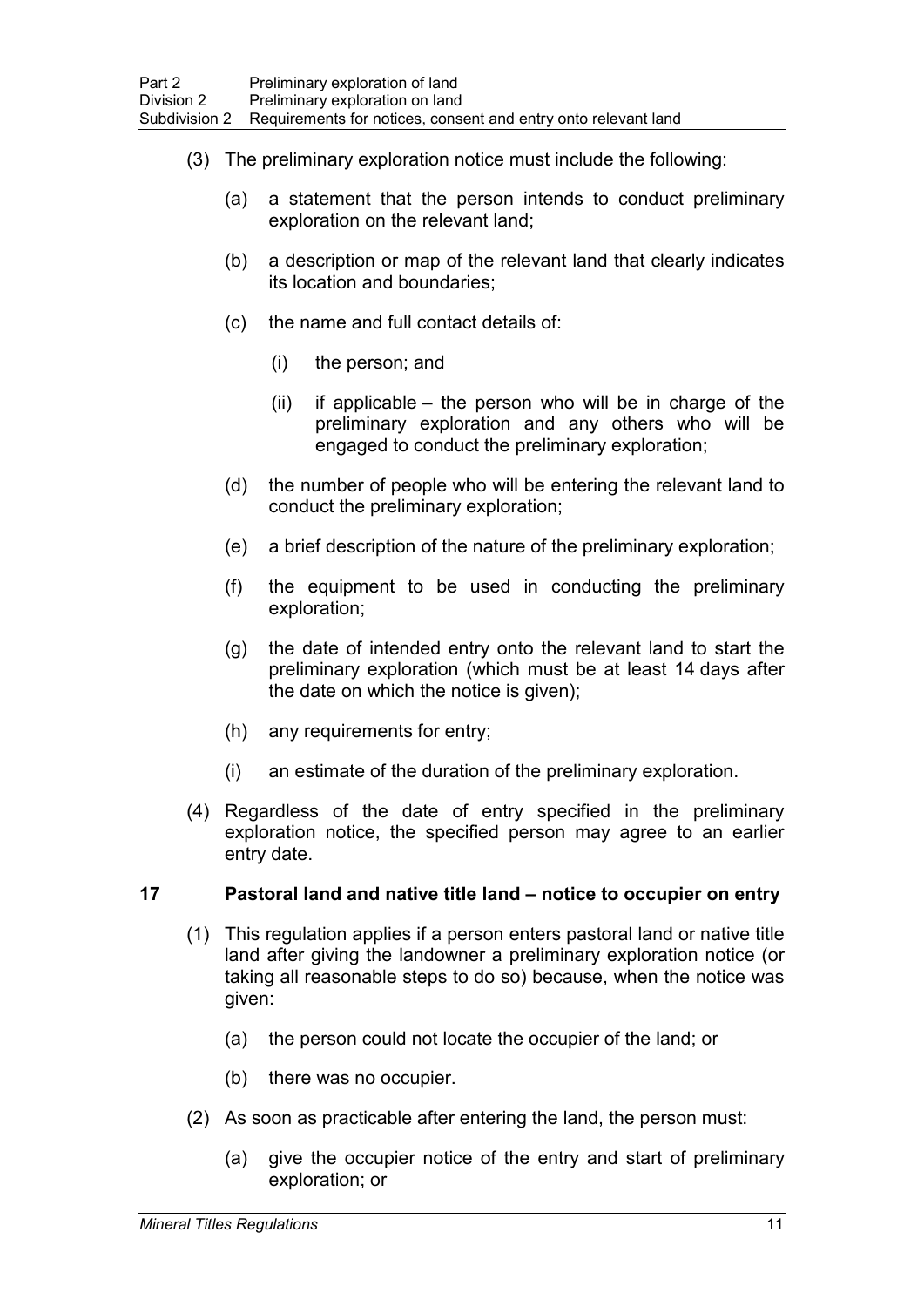- (3) The preliminary exploration notice must include the following:
	- (a) a statement that the person intends to conduct preliminary exploration on the relevant land;
	- (b) a description or map of the relevant land that clearly indicates its location and boundaries;
	- (c) the name and full contact details of:
		- (i) the person; and
		- (ii) if applicable the person who will be in charge of the preliminary exploration and any others who will be engaged to conduct the preliminary exploration;
	- (d) the number of people who will be entering the relevant land to conduct the preliminary exploration;
	- (e) a brief description of the nature of the preliminary exploration;
	- (f) the equipment to be used in conducting the preliminary exploration;
	- (g) the date of intended entry onto the relevant land to start the preliminary exploration (which must be at least 14 days after the date on which the notice is given);
	- (h) any requirements for entry;
	- (i) an estimate of the duration of the preliminary exploration.
- (4) Regardless of the date of entry specified in the preliminary exploration notice, the specified person may agree to an earlier entry date.

### **17 Pastoral land and native title land – notice to occupier on entry**

- (1) This regulation applies if a person enters pastoral land or native title land after giving the landowner a preliminary exploration notice (or taking all reasonable steps to do so) because, when the notice was given:
	- (a) the person could not locate the occupier of the land; or
	- (b) there was no occupier.
- (2) As soon as practicable after entering the land, the person must:
	- (a) give the occupier notice of the entry and start of preliminary exploration; or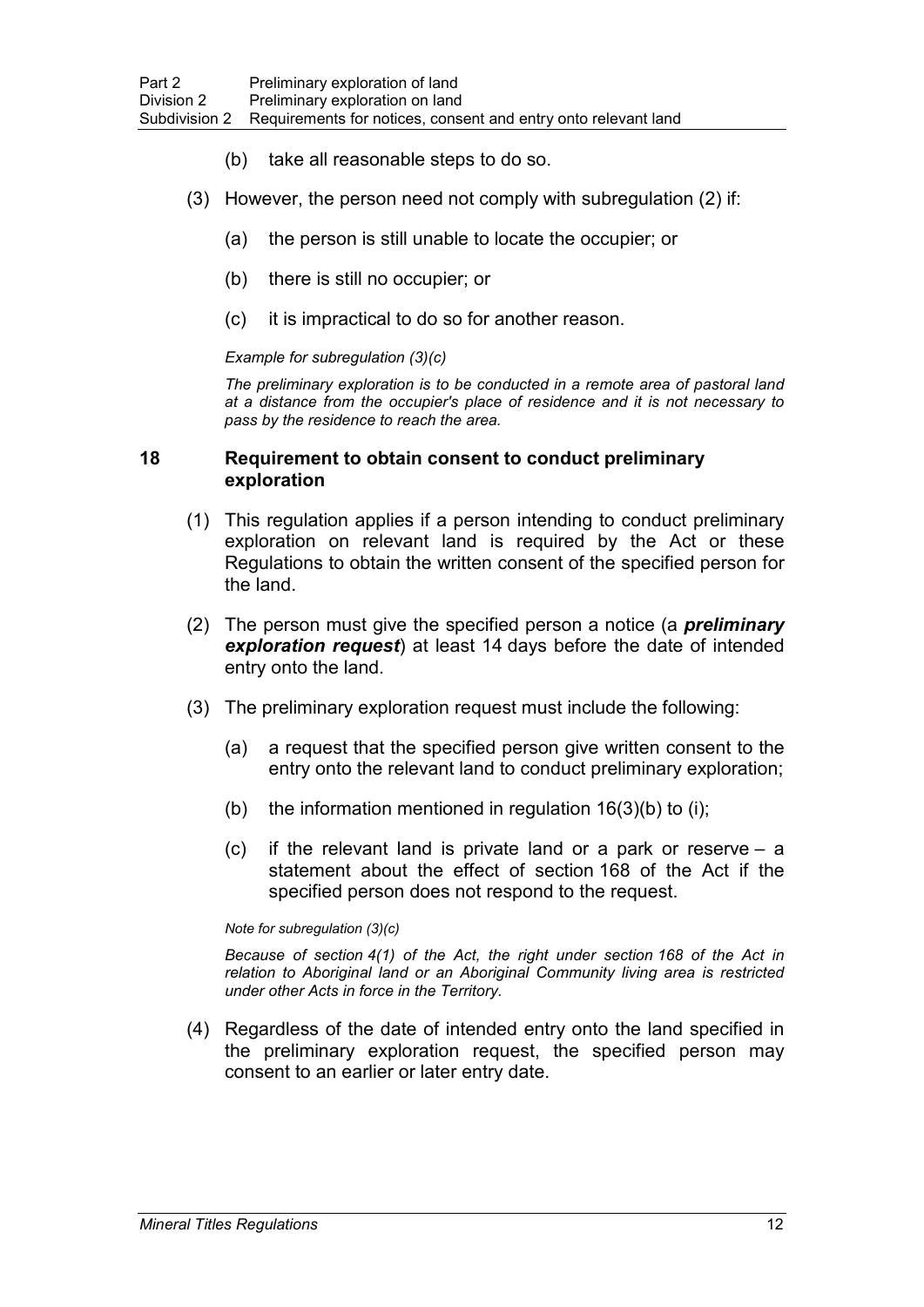- (b) take all reasonable steps to do so.
- (3) However, the person need not comply with subregulation (2) if:
	- (a) the person is still unable to locate the occupier; or
	- (b) there is still no occupier; or
	- (c) it is impractical to do so for another reason.

#### *Example for subregulation (3)(c)*

*The preliminary exploration is to be conducted in a remote area of pastoral land at a distance from the occupier's place of residence and it is not necessary to pass by the residence to reach the area.*

#### **18 Requirement to obtain consent to conduct preliminary exploration**

- (1) This regulation applies if a person intending to conduct preliminary exploration on relevant land is required by the Act or these Regulations to obtain the written consent of the specified person for the land.
- (2) The person must give the specified person a notice (a *preliminary exploration request*) at least 14 days before the date of intended entry onto the land.
- (3) The preliminary exploration request must include the following:
	- (a) a request that the specified person give written consent to the entry onto the relevant land to conduct preliminary exploration;
	- (b) the information mentioned in regulation  $16(3)(b)$  to (i);
	- (c) if the relevant land is private land or a park or reserve a statement about the effect of section 168 of the Act if the specified person does not respond to the request.

#### *Note for subregulation (3)(c)*

*Because of section 4(1) of the Act, the right under section 168 of the Act in relation to Aboriginal land or an Aboriginal Community living area is restricted under other Acts in force in the Territory.*

(4) Regardless of the date of intended entry onto the land specified in the preliminary exploration request, the specified person may consent to an earlier or later entry date.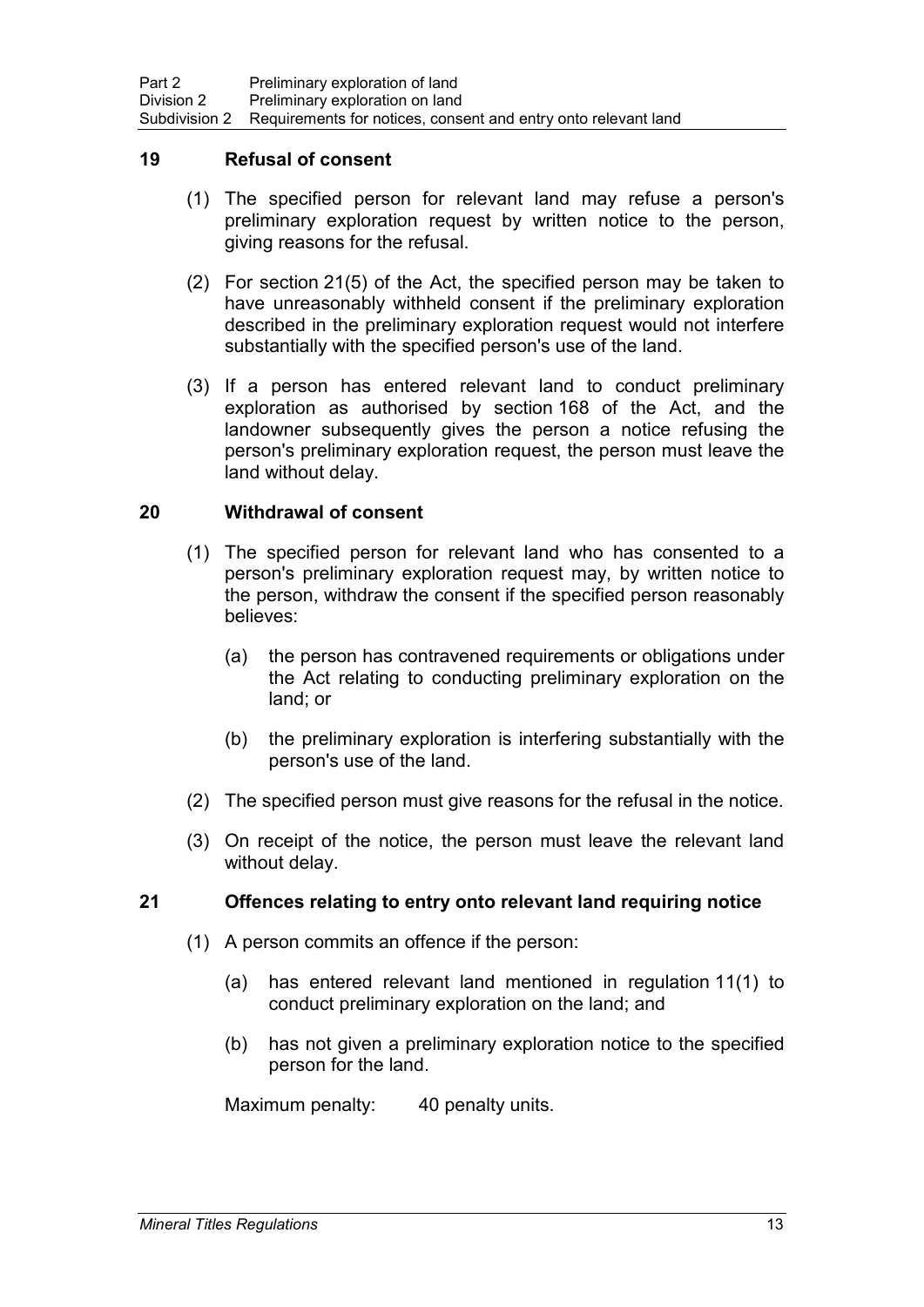#### **19 Refusal of consent**

- (1) The specified person for relevant land may refuse a person's preliminary exploration request by written notice to the person, giving reasons for the refusal.
- (2) For section 21(5) of the Act, the specified person may be taken to have unreasonably withheld consent if the preliminary exploration described in the preliminary exploration request would not interfere substantially with the specified person's use of the land.
- (3) If a person has entered relevant land to conduct preliminary exploration as authorised by section 168 of the Act, and the landowner subsequently gives the person a notice refusing the person's preliminary exploration request, the person must leave the land without delay.

#### **20 Withdrawal of consent**

- (1) The specified person for relevant land who has consented to a person's preliminary exploration request may, by written notice to the person, withdraw the consent if the specified person reasonably believes:
	- (a) the person has contravened requirements or obligations under the Act relating to conducting preliminary exploration on the land; or
	- (b) the preliminary exploration is interfering substantially with the person's use of the land.
- (2) The specified person must give reasons for the refusal in the notice.
- (3) On receipt of the notice, the person must leave the relevant land without delay.

### **21 Offences relating to entry onto relevant land requiring notice**

- (1) A person commits an offence if the person:
	- (a) has entered relevant land mentioned in regulation 11(1) to conduct preliminary exploration on the land; and
	- (b) has not given a preliminary exploration notice to the specified person for the land.

Maximum penalty: 40 penalty units.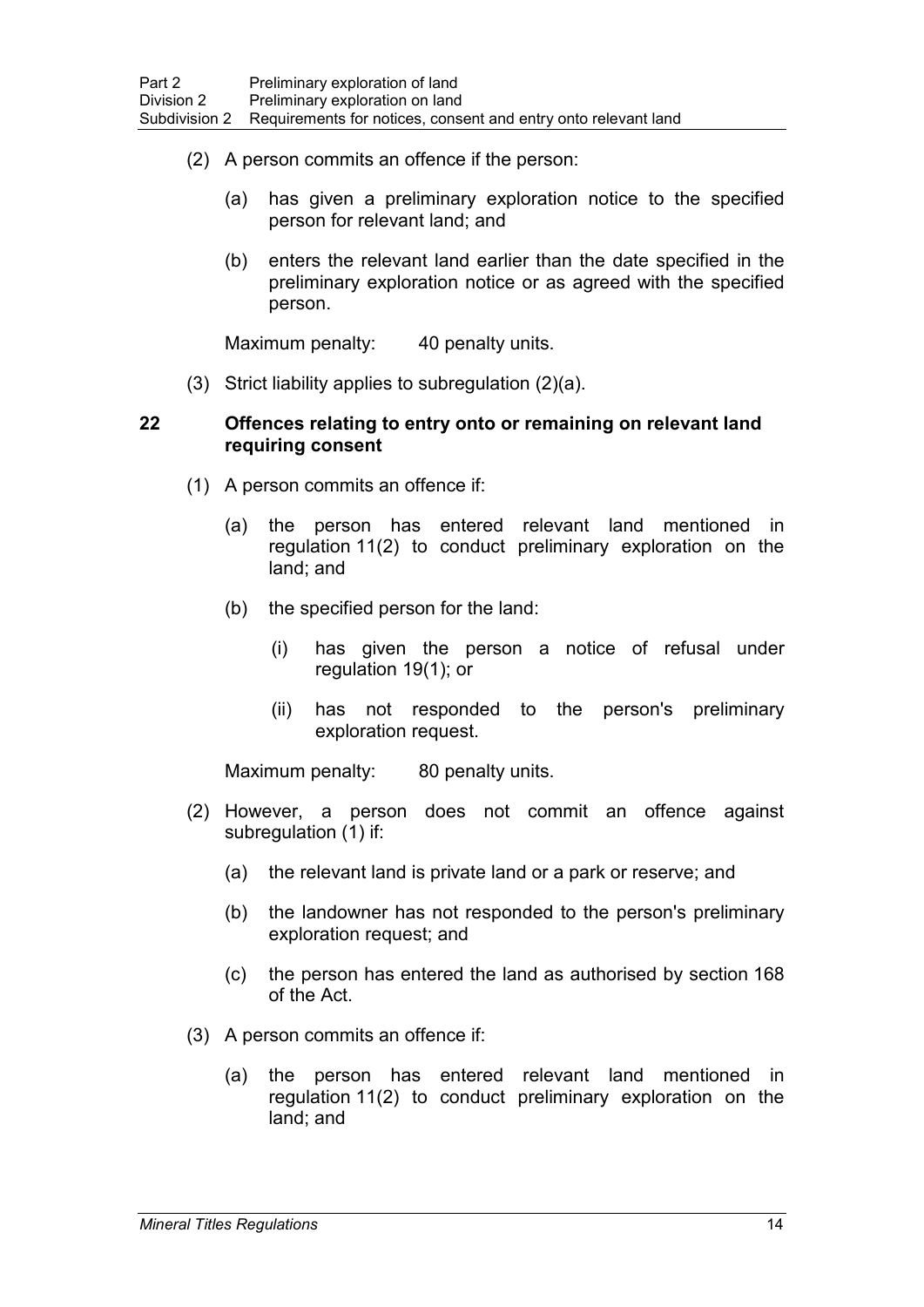- (2) A person commits an offence if the person:
	- (a) has given a preliminary exploration notice to the specified person for relevant land; and
	- (b) enters the relevant land earlier than the date specified in the preliminary exploration notice or as agreed with the specified person.

Maximum penalty: 40 penalty units.

(3) Strict liability applies to subregulation (2)(a).

#### **22 Offences relating to entry onto or remaining on relevant land requiring consent**

- (1) A person commits an offence if:
	- (a) the person has entered relevant land mentioned in regulation 11(2) to conduct preliminary exploration on the land; and
	- (b) the specified person for the land:
		- (i) has given the person a notice of refusal under regulation 19(1); or
		- (ii) has not responded to the person's preliminary exploration request.

Maximum penalty: 80 penalty units.

- (2) However, a person does not commit an offence against subregulation (1) if:
	- (a) the relevant land is private land or a park or reserve; and
	- (b) the landowner has not responded to the person's preliminary exploration request; and
	- (c) the person has entered the land as authorised by section 168 of the Act.
- (3) A person commits an offence if:
	- (a) the person has entered relevant land mentioned in regulation 11(2) to conduct preliminary exploration on the land; and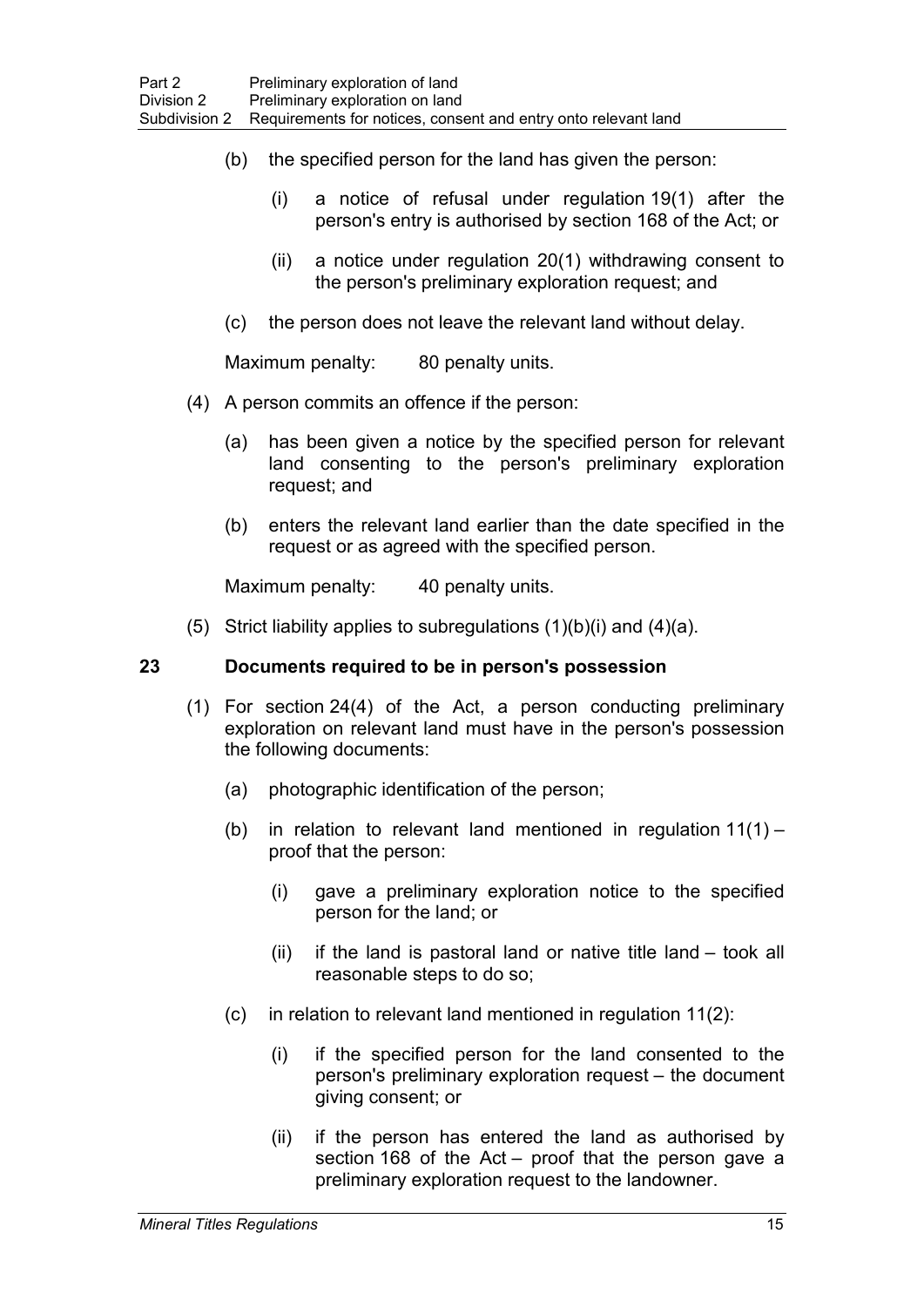- (b) the specified person for the land has given the person:
	- (i) a notice of refusal under regulation 19(1) after the person's entry is authorised by section 168 of the Act; or
	- (ii) a notice under regulation 20(1) withdrawing consent to the person's preliminary exploration request; and
- (c) the person does not leave the relevant land without delay.

Maximum penalty: 80 penalty units.

- (4) A person commits an offence if the person:
	- (a) has been given a notice by the specified person for relevant land consenting to the person's preliminary exploration request; and
	- (b) enters the relevant land earlier than the date specified in the request or as agreed with the specified person.

Maximum penalty: 40 penalty units.

(5) Strict liability applies to subregulations  $(1)(b)(i)$  and  $(4)(a)$ .

### **23 Documents required to be in person's possession**

- (1) For section 24(4) of the Act, a person conducting preliminary exploration on relevant land must have in the person's possession the following documents:
	- (a) photographic identification of the person;
	- (b) in relation to relevant land mentioned in regulation 11(1) proof that the person:
		- (i) gave a preliminary exploration notice to the specified person for the land; or
		- (ii) if the land is pastoral land or native title land took all reasonable steps to do so;
	- (c) in relation to relevant land mentioned in regulation 11(2):
		- (i) if the specified person for the land consented to the person's preliminary exploration request – the document giving consent; or
		- (ii) if the person has entered the land as authorised by section 168 of the Act – proof that the person gave a preliminary exploration request to the landowner.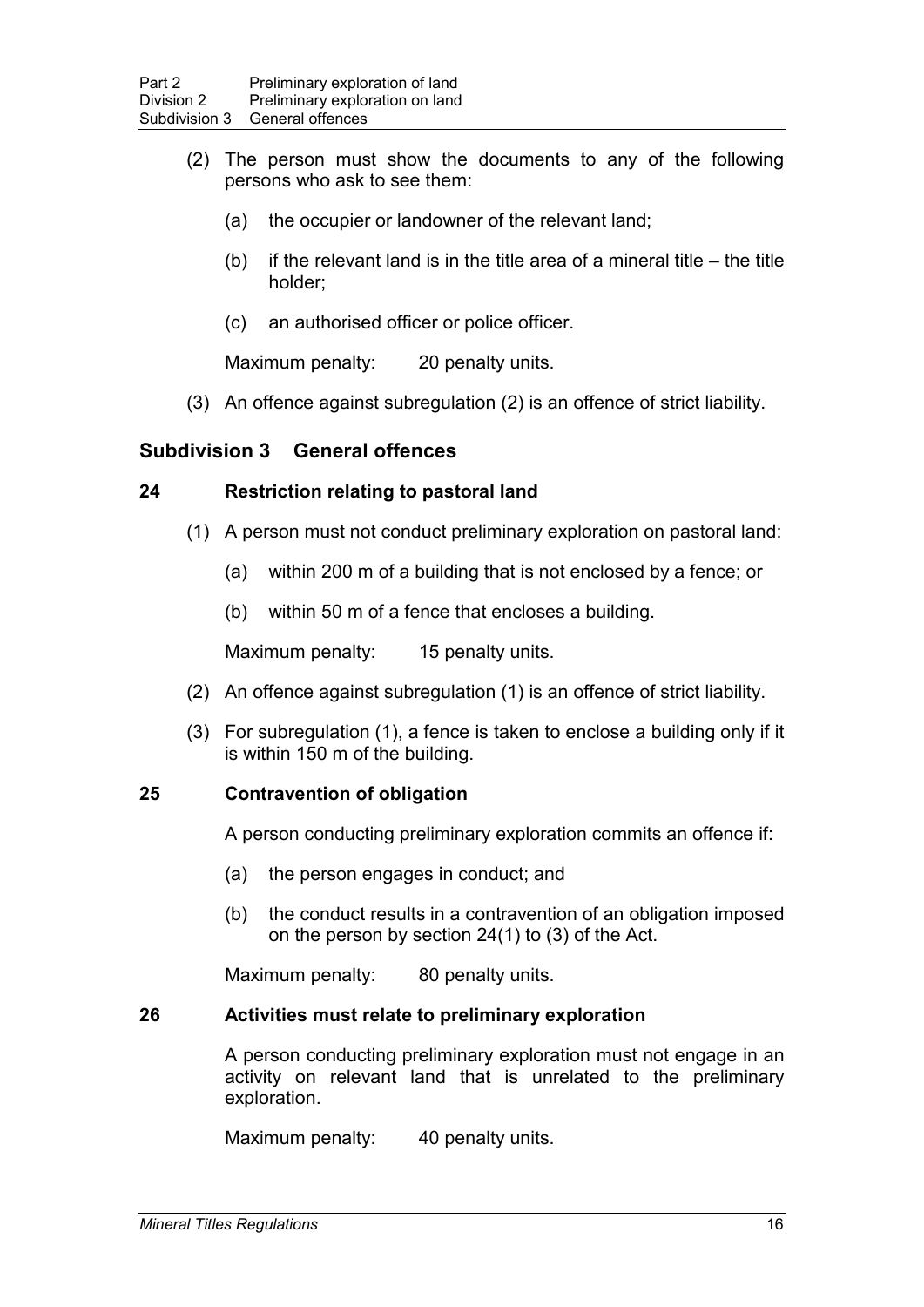- (2) The person must show the documents to any of the following persons who ask to see them:
	- (a) the occupier or landowner of the relevant land;
	- (b) if the relevant land is in the title area of a mineral title  $-$  the title holder;
	- (c) an authorised officer or police officer.

Maximum penalty: 20 penalty units.

(3) An offence against subregulation (2) is an offence of strict liability.

## **Subdivision 3 General offences**

### **24 Restriction relating to pastoral land**

- (1) A person must not conduct preliminary exploration on pastoral land:
	- (a) within 200 m of a building that is not enclosed by a fence; or
	- (b) within 50 m of a fence that encloses a building.

Maximum penalty: 15 penalty units.

- (2) An offence against subregulation (1) is an offence of strict liability.
- (3) For subregulation (1), a fence is taken to enclose a building only if it is within 150 m of the building.

### **25 Contravention of obligation**

A person conducting preliminary exploration commits an offence if:

- (a) the person engages in conduct; and
- (b) the conduct results in a contravention of an obligation imposed on the person by section 24(1) to (3) of the Act.

Maximum penalty: 80 penalty units.

### **26 Activities must relate to preliminary exploration**

A person conducting preliminary exploration must not engage in an activity on relevant land that is unrelated to the preliminary exploration.

Maximum penalty: 40 penalty units.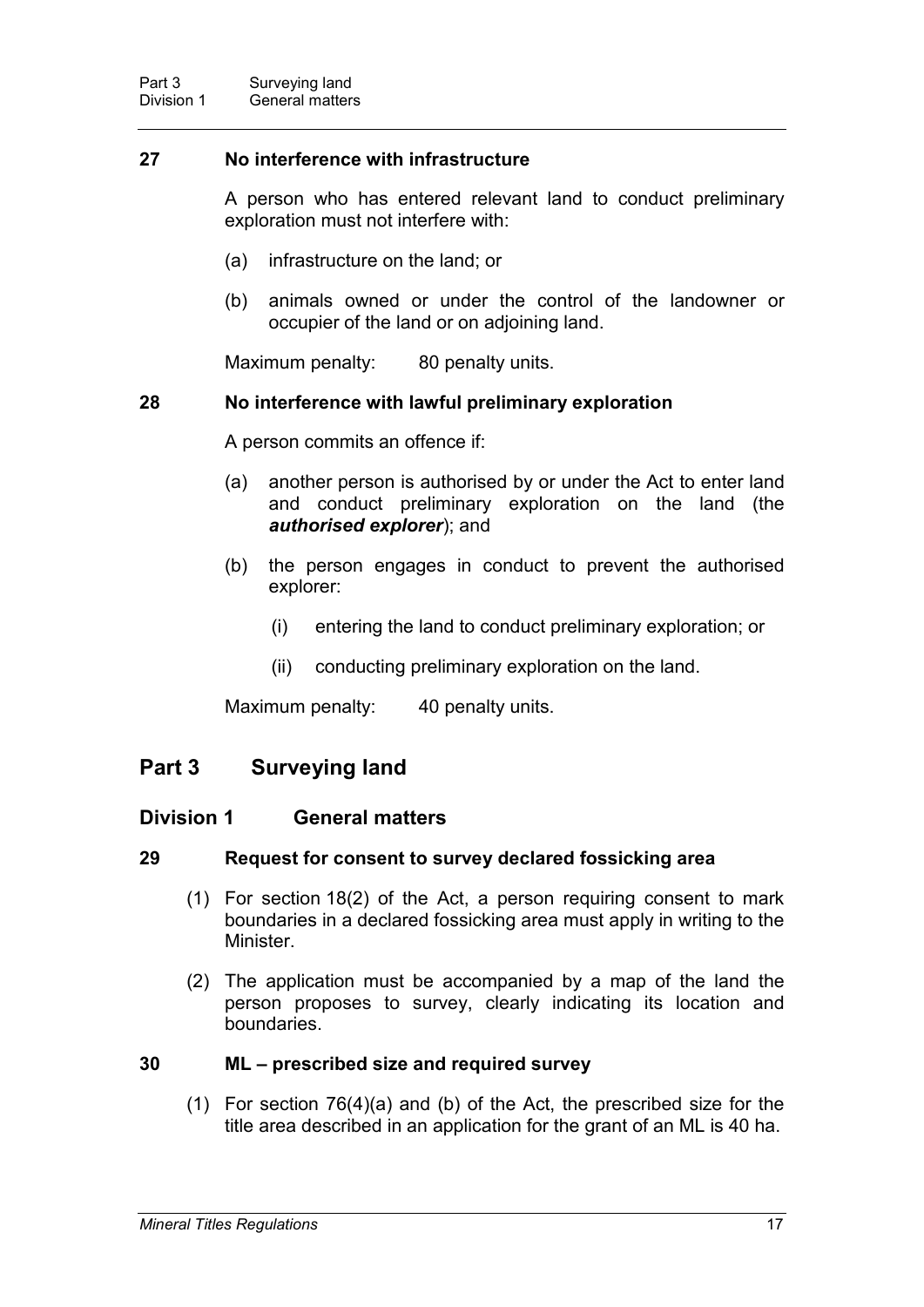### **27 No interference with infrastructure**

A person who has entered relevant land to conduct preliminary exploration must not interfere with:

- (a) infrastructure on the land; or
- (b) animals owned or under the control of the landowner or occupier of the land or on adjoining land.

Maximum penalty: 80 penalty units.

### **28 No interference with lawful preliminary exploration**

A person commits an offence if:

- (a) another person is authorised by or under the Act to enter land and conduct preliminary exploration on the land (the *authorised explorer*); and
- (b) the person engages in conduct to prevent the authorised explorer:
	- (i) entering the land to conduct preliminary exploration; or
	- (ii) conducting preliminary exploration on the land.

Maximum penalty: 40 penalty units.

## **Part 3 Surveying land**

### **Division 1 General matters**

#### **29 Request for consent to survey declared fossicking area**

- (1) For section 18(2) of the Act, a person requiring consent to mark boundaries in a declared fossicking area must apply in writing to the Minister.
- (2) The application must be accompanied by a map of the land the person proposes to survey, clearly indicating its location and boundaries.

### **30 ML – prescribed size and required survey**

(1) For section 76(4)(a) and (b) of the Act, the prescribed size for the title area described in an application for the grant of an ML is 40 ha.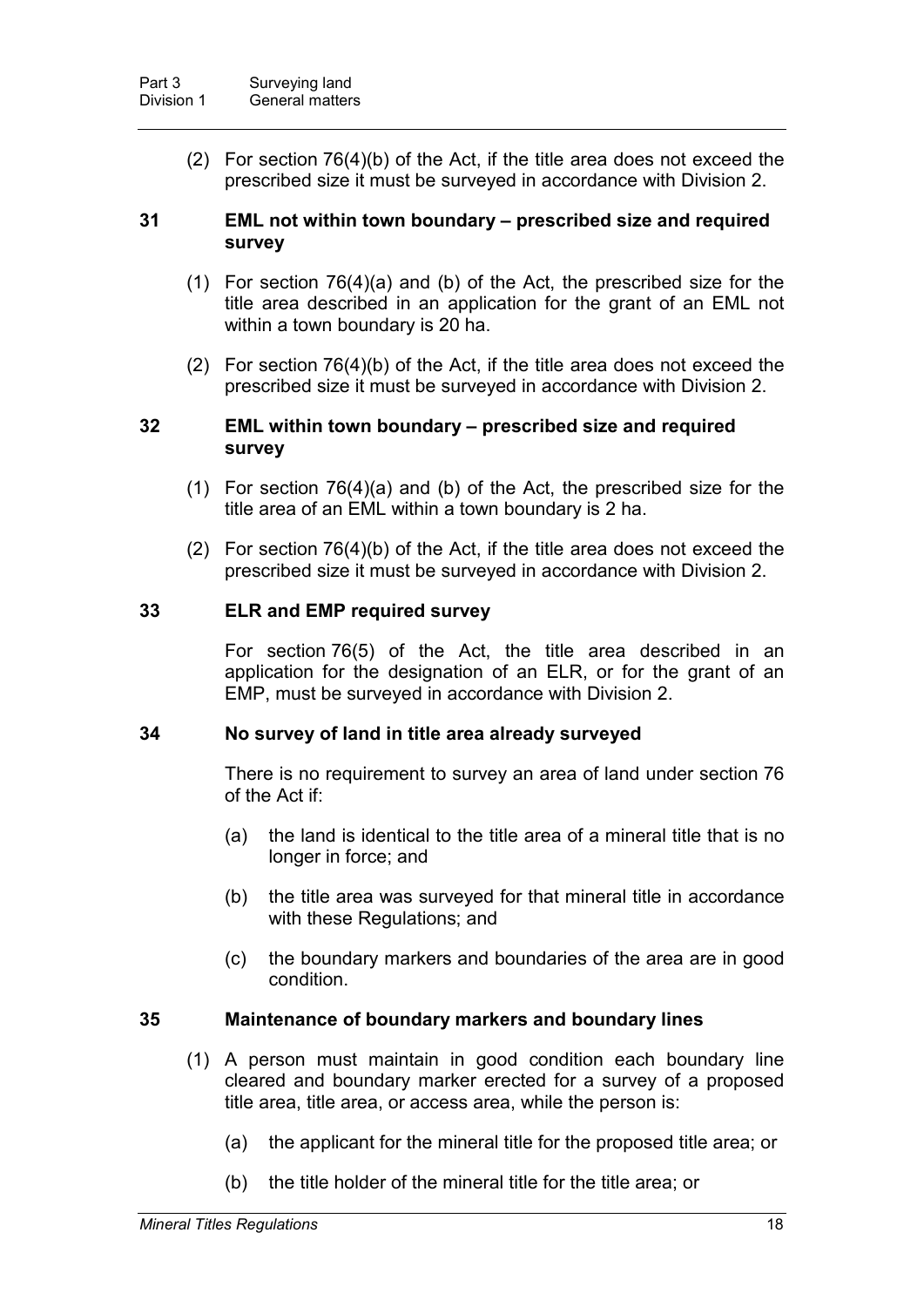(2) For section 76(4)(b) of the Act, if the title area does not exceed the prescribed size it must be surveyed in accordance with Division 2.

#### **31 EML not within town boundary – prescribed size and required survey**

- (1) For section 76(4)(a) and (b) of the Act, the prescribed size for the title area described in an application for the grant of an EML not within a town boundary is 20 ha.
- (2) For section 76(4)(b) of the Act, if the title area does not exceed the prescribed size it must be surveyed in accordance with Division 2.

#### **32 EML within town boundary – prescribed size and required survey**

- (1) For section 76(4)(a) and (b) of the Act, the prescribed size for the title area of an EML within a town boundary is 2 ha.
- (2) For section 76(4)(b) of the Act, if the title area does not exceed the prescribed size it must be surveyed in accordance with Division 2.

#### **33 ELR and EMP required survey**

For section 76(5) of the Act, the title area described in an application for the designation of an ELR, or for the grant of an EMP, must be surveyed in accordance with Division 2.

#### **34 No survey of land in title area already surveyed**

There is no requirement to survey an area of land under section 76 of the Act if:

- (a) the land is identical to the title area of a mineral title that is no longer in force; and
- (b) the title area was surveyed for that mineral title in accordance with these Regulations; and
- (c) the boundary markers and boundaries of the area are in good condition.

### **35 Maintenance of boundary markers and boundary lines**

- (1) A person must maintain in good condition each boundary line cleared and boundary marker erected for a survey of a proposed title area, title area, or access area, while the person is:
	- (a) the applicant for the mineral title for the proposed title area; or
	- (b) the title holder of the mineral title for the title area; or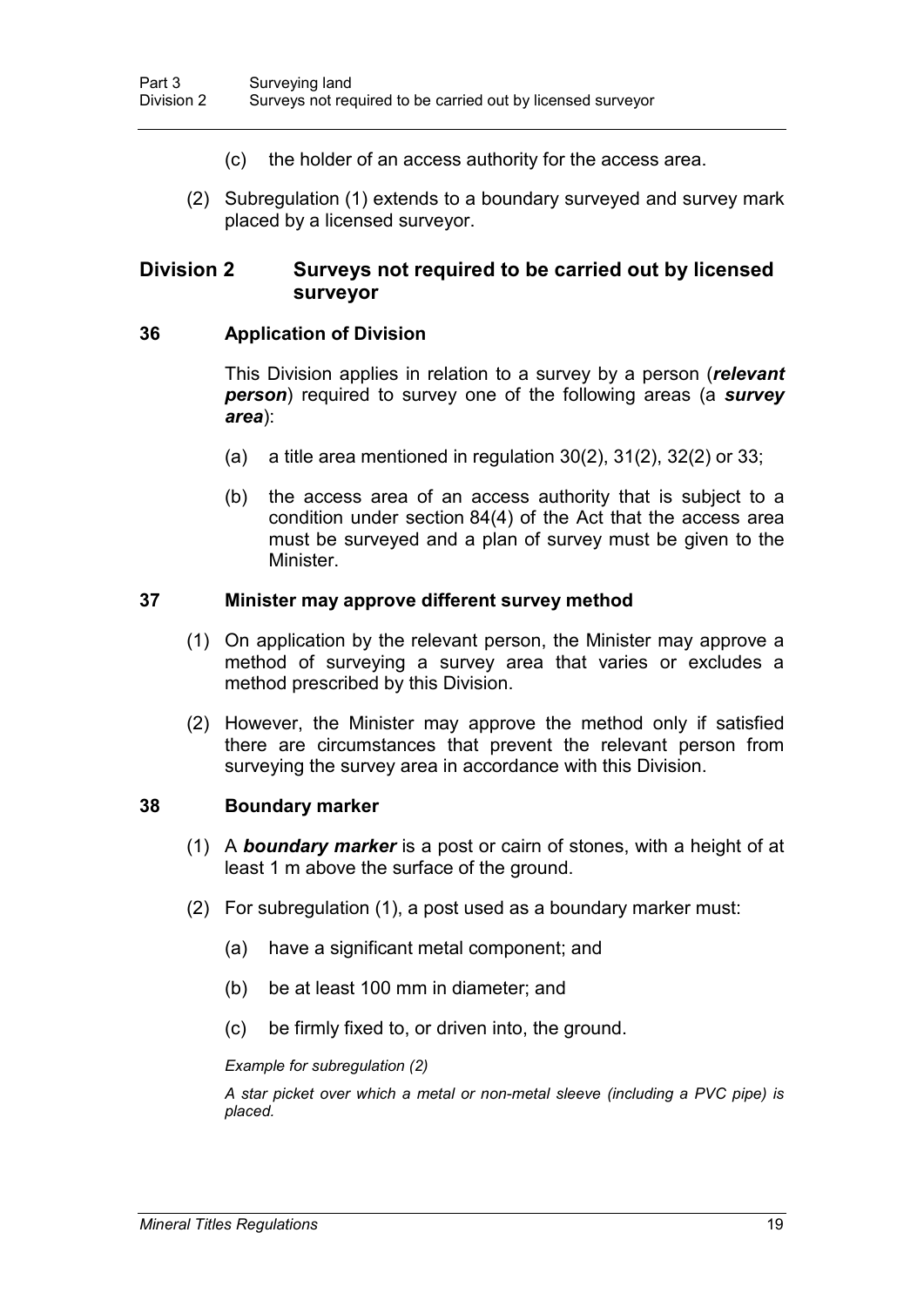- (c) the holder of an access authority for the access area.
- (2) Subregulation (1) extends to a boundary surveyed and survey mark placed by a licensed surveyor.

## **Division 2 Surveys not required to be carried out by licensed surveyor**

### **36 Application of Division**

This Division applies in relation to a survey by a person (*relevant person*) required to survey one of the following areas (a *survey area*):

- (a) a title area mentioned in regulation  $30(2)$ ,  $31(2)$ ,  $32(2)$  or  $33$ ;
- (b) the access area of an access authority that is subject to a condition under section 84(4) of the Act that the access area must be surveyed and a plan of survey must be given to the **Minister**

### **37 Minister may approve different survey method**

- (1) On application by the relevant person, the Minister may approve a method of surveying a survey area that varies or excludes a method prescribed by this Division.
- (2) However, the Minister may approve the method only if satisfied there are circumstances that prevent the relevant person from surveying the survey area in accordance with this Division.

### **38 Boundary marker**

- (1) A *boundary marker* is a post or cairn of stones, with a height of at least 1 m above the surface of the ground.
- (2) For subregulation (1), a post used as a boundary marker must:
	- (a) have a significant metal component; and
	- (b) be at least 100 mm in diameter; and
	- (c) be firmly fixed to, or driven into, the ground.

*Example for subregulation (2)*

*A star picket over which a metal or non-metal sleeve (including a PVC pipe) is placed.*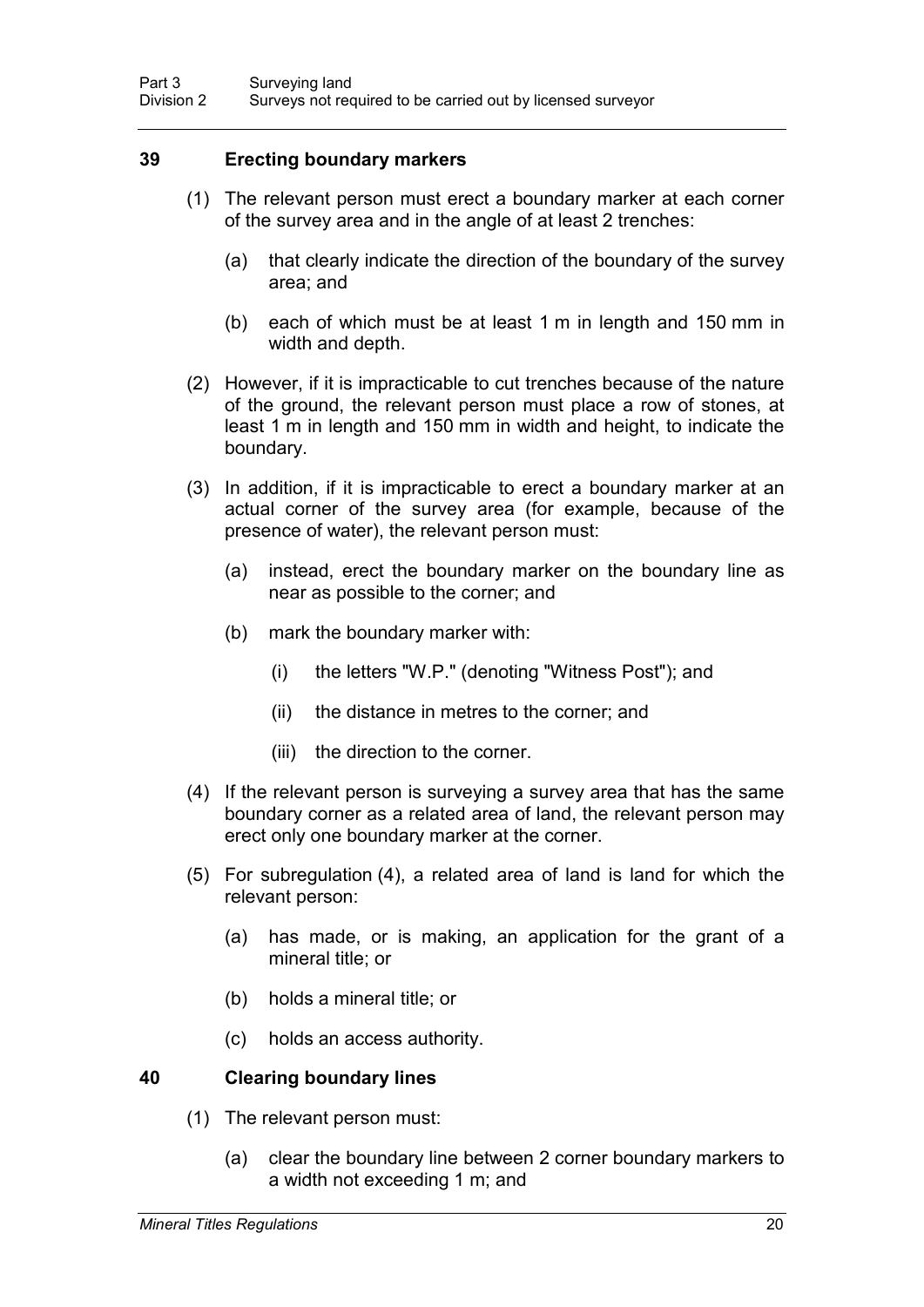### **39 Erecting boundary markers**

- (1) The relevant person must erect a boundary marker at each corner of the survey area and in the angle of at least 2 trenches:
	- (a) that clearly indicate the direction of the boundary of the survey area; and
	- (b) each of which must be at least 1 m in length and 150 mm in width and depth.
- (2) However, if it is impracticable to cut trenches because of the nature of the ground, the relevant person must place a row of stones, at least 1 m in length and 150 mm in width and height, to indicate the boundary.
- (3) In addition, if it is impracticable to erect a boundary marker at an actual corner of the survey area (for example, because of the presence of water), the relevant person must:
	- (a) instead, erect the boundary marker on the boundary line as near as possible to the corner; and
	- (b) mark the boundary marker with:
		- (i) the letters "W.P." (denoting "Witness Post"); and
		- (ii) the distance in metres to the corner; and
		- (iii) the direction to the corner.
- (4) If the relevant person is surveying a survey area that has the same boundary corner as a related area of land, the relevant person may erect only one boundary marker at the corner.
- (5) For subregulation (4), a related area of land is land for which the relevant person:
	- (a) has made, or is making, an application for the grant of a mineral title; or
	- (b) holds a mineral title; or
	- (c) holds an access authority.

#### **40 Clearing boundary lines**

- (1) The relevant person must:
	- (a) clear the boundary line between 2 corner boundary markers to a width not exceeding 1 m; and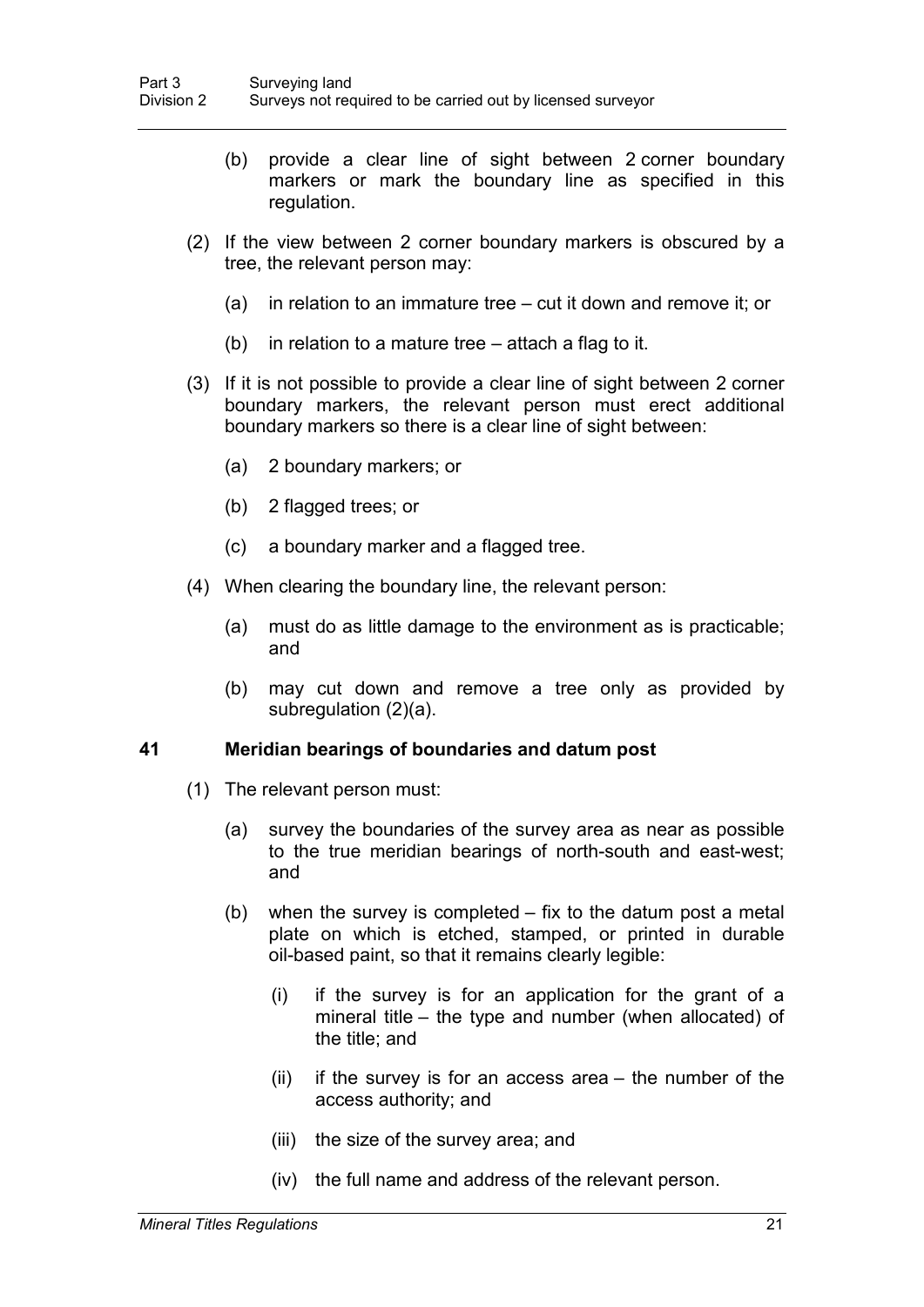- (b) provide a clear line of sight between 2 corner boundary markers or mark the boundary line as specified in this regulation.
- (2) If the view between 2 corner boundary markers is obscured by a tree, the relevant person may:
	- (a) in relation to an immature tree cut it down and remove it; or
	- (b) in relation to a mature tree attach a flag to it.
- (3) If it is not possible to provide a clear line of sight between 2 corner boundary markers, the relevant person must erect additional boundary markers so there is a clear line of sight between:
	- (a) 2 boundary markers; or
	- (b) 2 flagged trees; or
	- (c) a boundary marker and a flagged tree.
- (4) When clearing the boundary line, the relevant person:
	- (a) must do as little damage to the environment as is practicable; and
	- (b) may cut down and remove a tree only as provided by subregulation (2)(a).

#### **41 Meridian bearings of boundaries and datum post**

- (1) The relevant person must:
	- (a) survey the boundaries of the survey area as near as possible to the true meridian bearings of north-south and east-west; and
	- (b) when the survey is completed fix to the datum post a metal plate on which is etched, stamped, or printed in durable oil-based paint, so that it remains clearly legible:
		- (i) if the survey is for an application for the grant of a mineral title – the type and number (when allocated) of the title; and
		- $(ii)$  if the survey is for an access area the number of the access authority; and
		- (iii) the size of the survey area; and
		- (iv) the full name and address of the relevant person.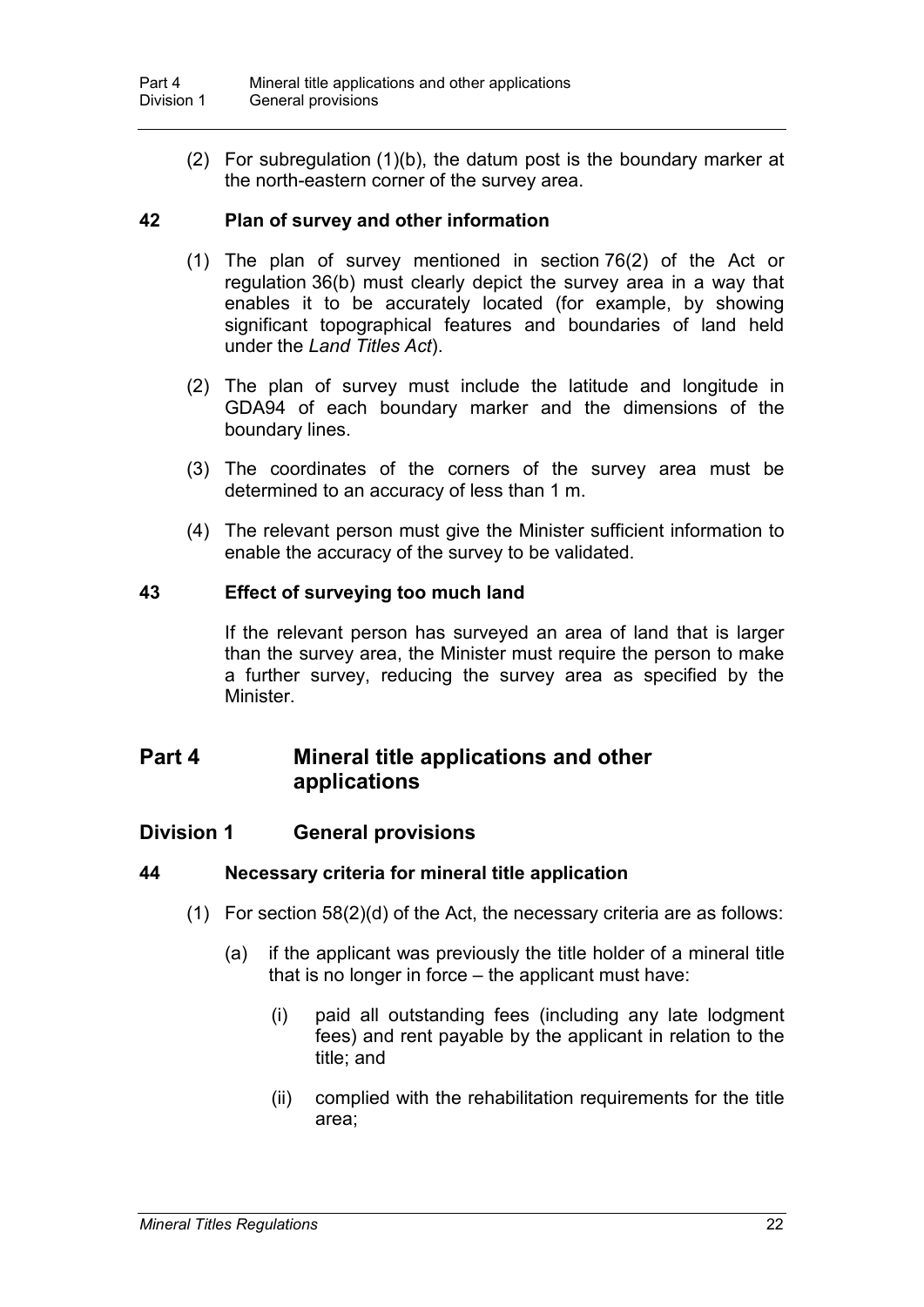(2) For subregulation (1)(b), the datum post is the boundary marker at the north-eastern corner of the survey area.

### **42 Plan of survey and other information**

- (1) The plan of survey mentioned in section 76(2) of the Act or regulation 36(b) must clearly depict the survey area in a way that enables it to be accurately located (for example, by showing significant topographical features and boundaries of land held under the *Land Titles Act*).
- (2) The plan of survey must include the latitude and longitude in GDA94 of each boundary marker and the dimensions of the boundary lines.
- (3) The coordinates of the corners of the survey area must be determined to an accuracy of less than 1 m.
- (4) The relevant person must give the Minister sufficient information to enable the accuracy of the survey to be validated.

### **43 Effect of surveying too much land**

If the relevant person has surveyed an area of land that is larger than the survey area, the Minister must require the person to make a further survey, reducing the survey area as specified by the Minister.

## **Part 4 Mineral title applications and other applications**

## **Division 1 General provisions**

### **44 Necessary criteria for mineral title application**

- (1) For section 58(2)(d) of the Act, the necessary criteria are as follows:
	- (a) if the applicant was previously the title holder of a mineral title that is no longer in force – the applicant must have:
		- (i) paid all outstanding fees (including any late lodgment fees) and rent payable by the applicant in relation to the title; and
		- (ii) complied with the rehabilitation requirements for the title area;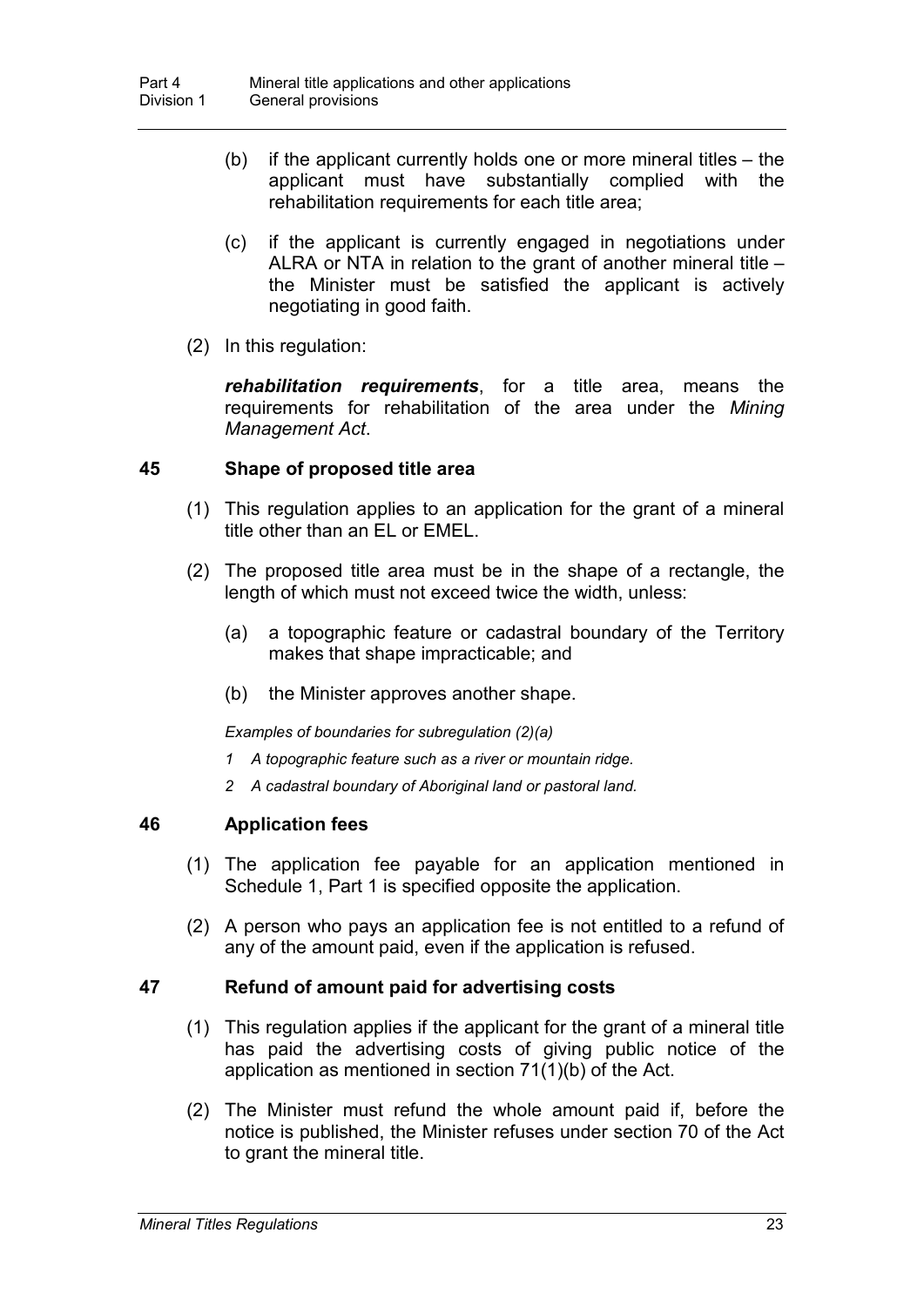- (b) if the applicant currently holds one or more mineral titles the applicant must have substantially complied with the rehabilitation requirements for each title area;
- (c) if the applicant is currently engaged in negotiations under ALRA or NTA in relation to the grant of another mineral title – the Minister must be satisfied the applicant is actively negotiating in good faith.
- (2) In this regulation:

*rehabilitation requirements*, for a title area, means the requirements for rehabilitation of the area under the *Mining Management Act*.

### **45 Shape of proposed title area**

- (1) This regulation applies to an application for the grant of a mineral title other than an EL or EMEL.
- (2) The proposed title area must be in the shape of a rectangle, the length of which must not exceed twice the width, unless:
	- (a) a topographic feature or cadastral boundary of the Territory makes that shape impracticable; and
	- (b) the Minister approves another shape.

*Examples of boundaries for subregulation (2)(a)*

- *1 A topographic feature such as a river or mountain ridge.*
- *2 A cadastral boundary of Aboriginal land or pastoral land.*

### **46 Application fees**

- (1) The application fee payable for an application mentioned in Schedule 1, Part 1 is specified opposite the application.
- (2) A person who pays an application fee is not entitled to a refund of any of the amount paid, even if the application is refused.

### **47 Refund of amount paid for advertising costs**

- (1) This regulation applies if the applicant for the grant of a mineral title has paid the advertising costs of giving public notice of the application as mentioned in section 71(1)(b) of the Act.
- (2) The Minister must refund the whole amount paid if, before the notice is published, the Minister refuses under section 70 of the Act to grant the mineral title.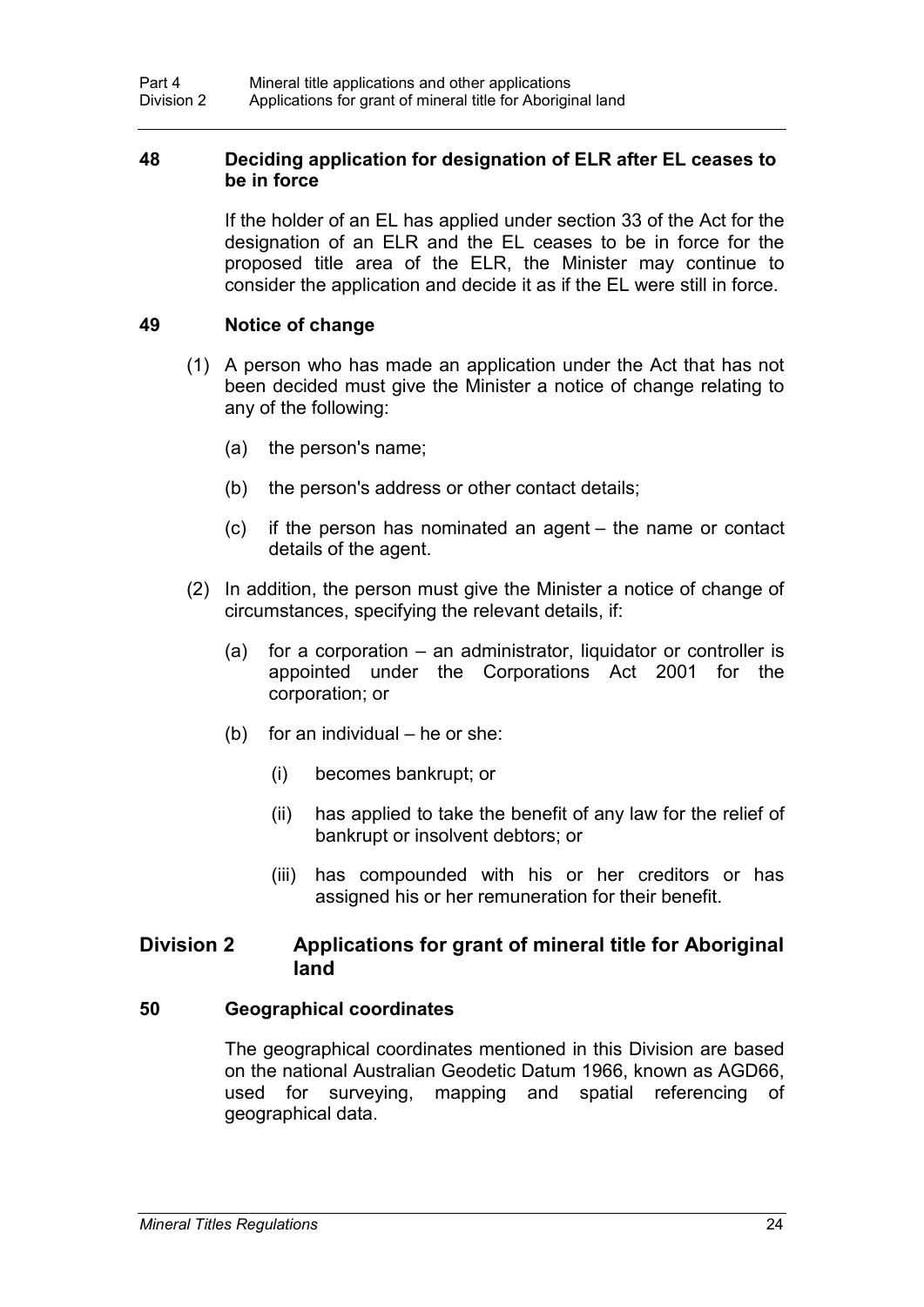### **48 Deciding application for designation of ELR after EL ceases to be in force**

If the holder of an EL has applied under section 33 of the Act for the designation of an ELR and the EL ceases to be in force for the proposed title area of the ELR, the Minister may continue to consider the application and decide it as if the EL were still in force.

### **49 Notice of change**

- (1) A person who has made an application under the Act that has not been decided must give the Minister a notice of change relating to any of the following:
	- (a) the person's name;
	- (b) the person's address or other contact details;
	- (c) if the person has nominated an agent the name or contact details of the agent.
- (2) In addition, the person must give the Minister a notice of change of circumstances, specifying the relevant details, if:
	- (a) for a corporation an administrator, liquidator or controller is appointed under the Corporations Act 2001 for the corporation; or
	- (b) for an individual he or she:
		- (i) becomes bankrupt; or
		- (ii) has applied to take the benefit of any law for the relief of bankrupt or insolvent debtors; or
		- (iii) has compounded with his or her creditors or has assigned his or her remuneration for their benefit.

### **Division 2 Applications for grant of mineral title for Aboriginal land**

#### **50 Geographical coordinates**

The geographical coordinates mentioned in this Division are based on the national Australian Geodetic Datum 1966, known as AGD66, used for surveying, mapping and spatial referencing of geographical data.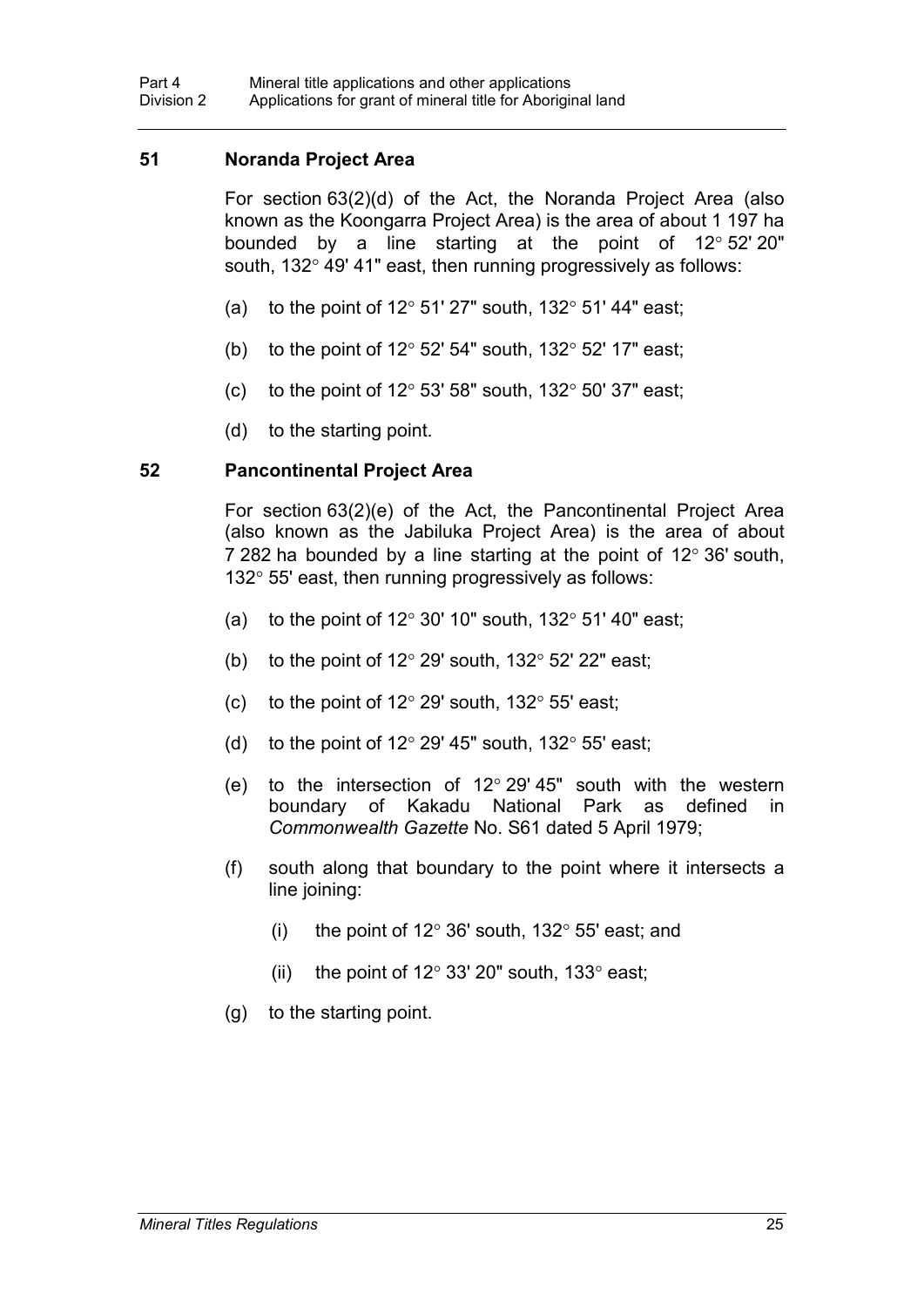### **51 Noranda Project Area**

For section 63(2)(d) of the Act, the Noranda Project Area (also known as the Koongarra Project Area) is the area of about 1 197 ha bounded by a line starting at the point of 12° 52' 20" south, 132° 49' 41" east, then running progressively as follows:

- (a) to the point of  $12^{\circ}$  51' 27" south,  $132^{\circ}$  51' 44" east;
- (b) to the point of 12 $\degree$  52' 54" south, 132 $\degree$  52' 17" east;
- (c) to the point of  $12^{\circ}$  53' 58" south,  $132^{\circ}$  50' 37" east;
- (d) to the starting point.

### **52 Pancontinental Project Area**

For section 63(2)(e) of the Act, the Pancontinental Project Area (also known as the Jabiluka Project Area) is the area of about 7 282 ha bounded by a line starting at the point of 12° 36' south, 132° 55' east, then running progressively as follows:

- (a) to the point of  $12^{\circ}$  30' 10" south,  $132^{\circ}$  51' 40" east;
- (b) to the point of  $12^{\circ}$  29' south,  $132^{\circ}$  52' 22" east;
- (c) to the point of  $12^{\circ}$  29' south,  $132^{\circ}$  55' east;
- (d) to the point of  $12^{\circ}$  29' 45" south,  $132^{\circ}$  55' east;
- (e) to the intersection of  $12^{\circ}$  29' 45" south with the western boundary of Kakadu National Park as defined in *Commonwealth Gazette* No. S61 dated 5 April 1979;
- (f) south along that boundary to the point where it intersects a line joining:
	- (i) the point of  $12^{\circ}$  36' south,  $132^{\circ}$  55' east; and
	- (ii) the point of 12 $\degree$  33' 20" south, 133 $\degree$  east;
- (g) to the starting point.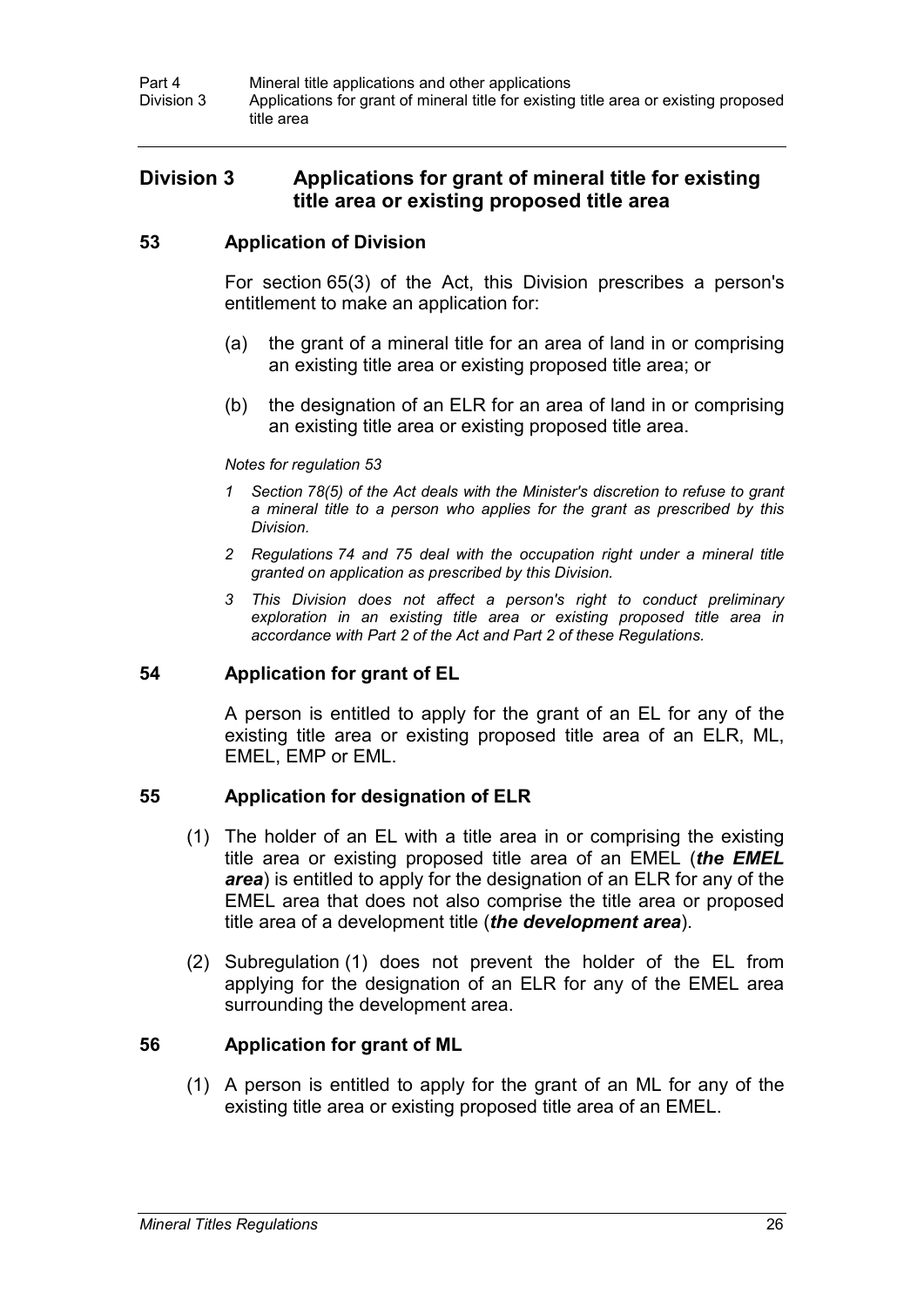### **Division 3 Applications for grant of mineral title for existing title area or existing proposed title area**

### **53 Application of Division**

For section 65(3) of the Act, this Division prescribes a person's entitlement to make an application for:

- (a) the grant of a mineral title for an area of land in or comprising an existing title area or existing proposed title area; or
- (b) the designation of an ELR for an area of land in or comprising an existing title area or existing proposed title area.

#### *Notes for regulation 53*

- *1 Section 78(5) of the Act deals with the Minister's discretion to refuse to grant a mineral title to a person who applies for the grant as prescribed by this Division.*
- *2 Regulations 74 and 75 deal with the occupation right under a mineral title granted on application as prescribed by this Division.*
- *3 This Division does not affect a person's right to conduct preliminary exploration in an existing title area or existing proposed title area in accordance with Part 2 of the Act and Part 2 of these Regulations.*

### **54 Application for grant of EL**

A person is entitled to apply for the grant of an EL for any of the existing title area or existing proposed title area of an ELR, ML, EMEL, EMP or EML.

### **55 Application for designation of ELR**

- (1) The holder of an EL with a title area in or comprising the existing title area or existing proposed title area of an EMEL (*the EMEL area*) is entitled to apply for the designation of an ELR for any of the EMEL area that does not also comprise the title area or proposed title area of a development title (*the development area*).
- (2) Subregulation (1) does not prevent the holder of the EL from applying for the designation of an ELR for any of the EMEL area surrounding the development area.

### **56 Application for grant of ML**

(1) A person is entitled to apply for the grant of an ML for any of the existing title area or existing proposed title area of an EMEL.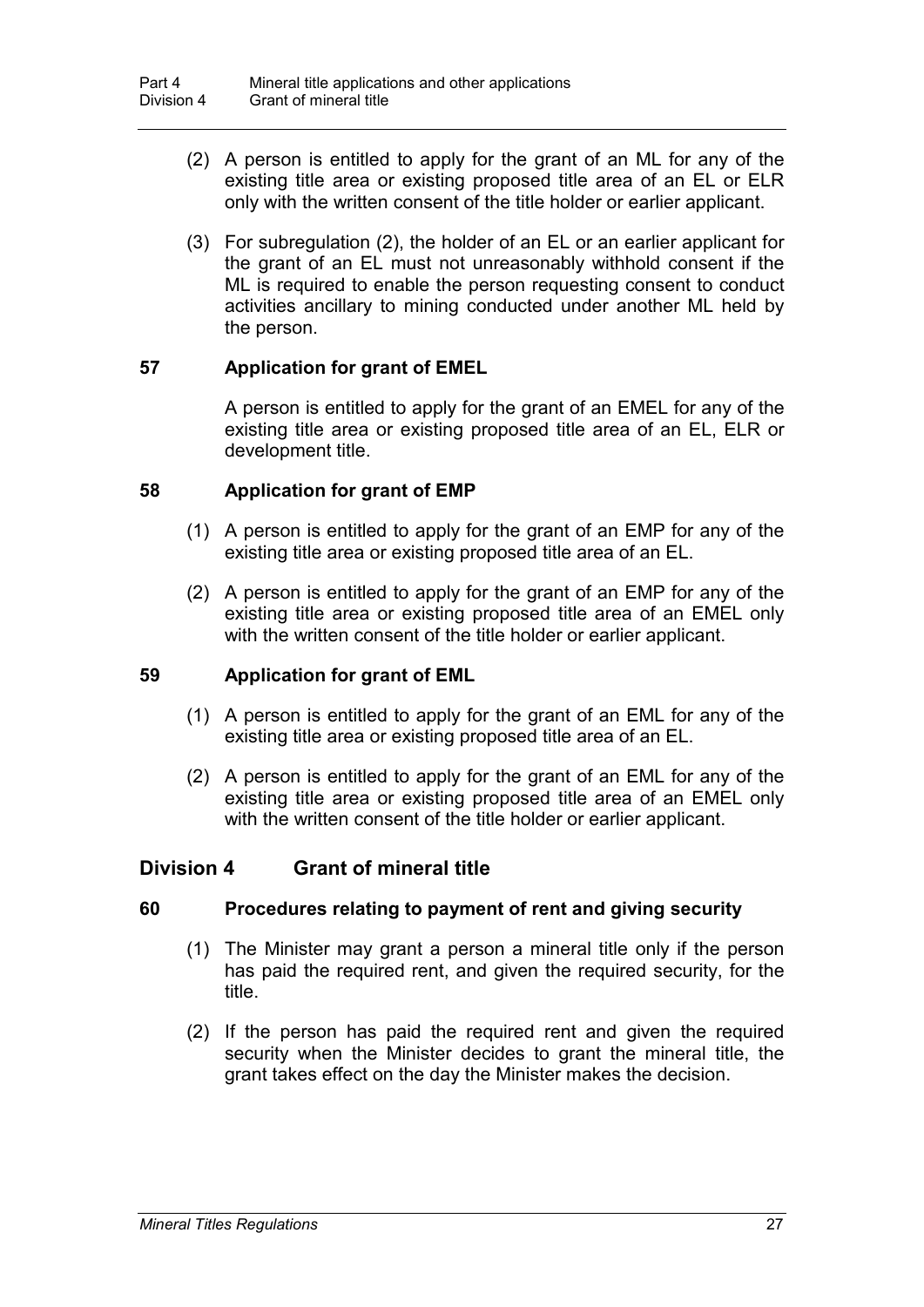- (2) A person is entitled to apply for the grant of an ML for any of the existing title area or existing proposed title area of an EL or ELR only with the written consent of the title holder or earlier applicant.
- (3) For subregulation (2), the holder of an EL or an earlier applicant for the grant of an EL must not unreasonably withhold consent if the ML is required to enable the person requesting consent to conduct activities ancillary to mining conducted under another ML held by the person.

### **57 Application for grant of EMEL**

A person is entitled to apply for the grant of an EMEL for any of the existing title area or existing proposed title area of an EL, ELR or development title.

### **58 Application for grant of EMP**

- (1) A person is entitled to apply for the grant of an EMP for any of the existing title area or existing proposed title area of an EL.
- (2) A person is entitled to apply for the grant of an EMP for any of the existing title area or existing proposed title area of an EMEL only with the written consent of the title holder or earlier applicant.

### **59 Application for grant of EML**

- (1) A person is entitled to apply for the grant of an EML for any of the existing title area or existing proposed title area of an EL.
- (2) A person is entitled to apply for the grant of an EML for any of the existing title area or existing proposed title area of an EMEL only with the written consent of the title holder or earlier applicant.

## **Division 4 Grant of mineral title**

### **60 Procedures relating to payment of rent and giving security**

- (1) The Minister may grant a person a mineral title only if the person has paid the required rent, and given the required security, for the title.
- (2) If the person has paid the required rent and given the required security when the Minister decides to grant the mineral title, the grant takes effect on the day the Minister makes the decision.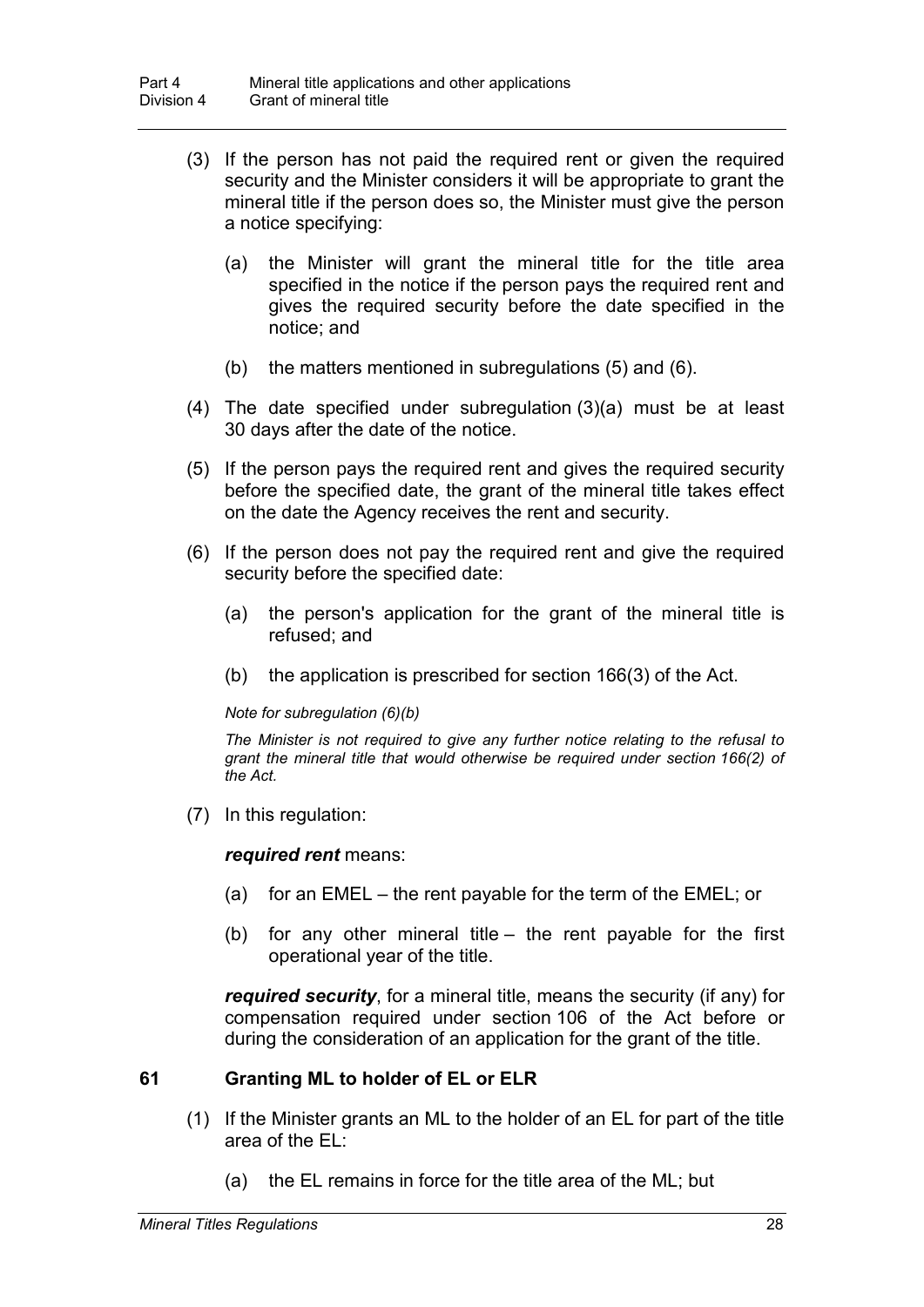- (3) If the person has not paid the required rent or given the required security and the Minister considers it will be appropriate to grant the mineral title if the person does so, the Minister must give the person a notice specifying:
	- (a) the Minister will grant the mineral title for the title area specified in the notice if the person pays the required rent and gives the required security before the date specified in the notice; and
	- (b) the matters mentioned in subregulations (5) and (6).
- (4) The date specified under subregulation (3)(a) must be at least 30 days after the date of the notice.
- (5) If the person pays the required rent and gives the required security before the specified date, the grant of the mineral title takes effect on the date the Agency receives the rent and security.
- (6) If the person does not pay the required rent and give the required security before the specified date:
	- (a) the person's application for the grant of the mineral title is refused; and
	- (b) the application is prescribed for section 166(3) of the Act.

#### *Note for subregulation (6)(b)*

*The Minister is not required to give any further notice relating to the refusal to grant the mineral title that would otherwise be required under section 166(2) of the Act.*

(7) In this regulation:

#### *required rent* means:

- (a) for an EMEL the rent payable for the term of the EMEL; or
- (b) for any other mineral title the rent payable for the first operational year of the title.

*required security*, for a mineral title, means the security (if any) for compensation required under section 106 of the Act before or during the consideration of an application for the grant of the title.

### **61 Granting ML to holder of EL or ELR**

- (1) If the Minister grants an ML to the holder of an EL for part of the title area of the EL:
	- (a) the EL remains in force for the title area of the ML; but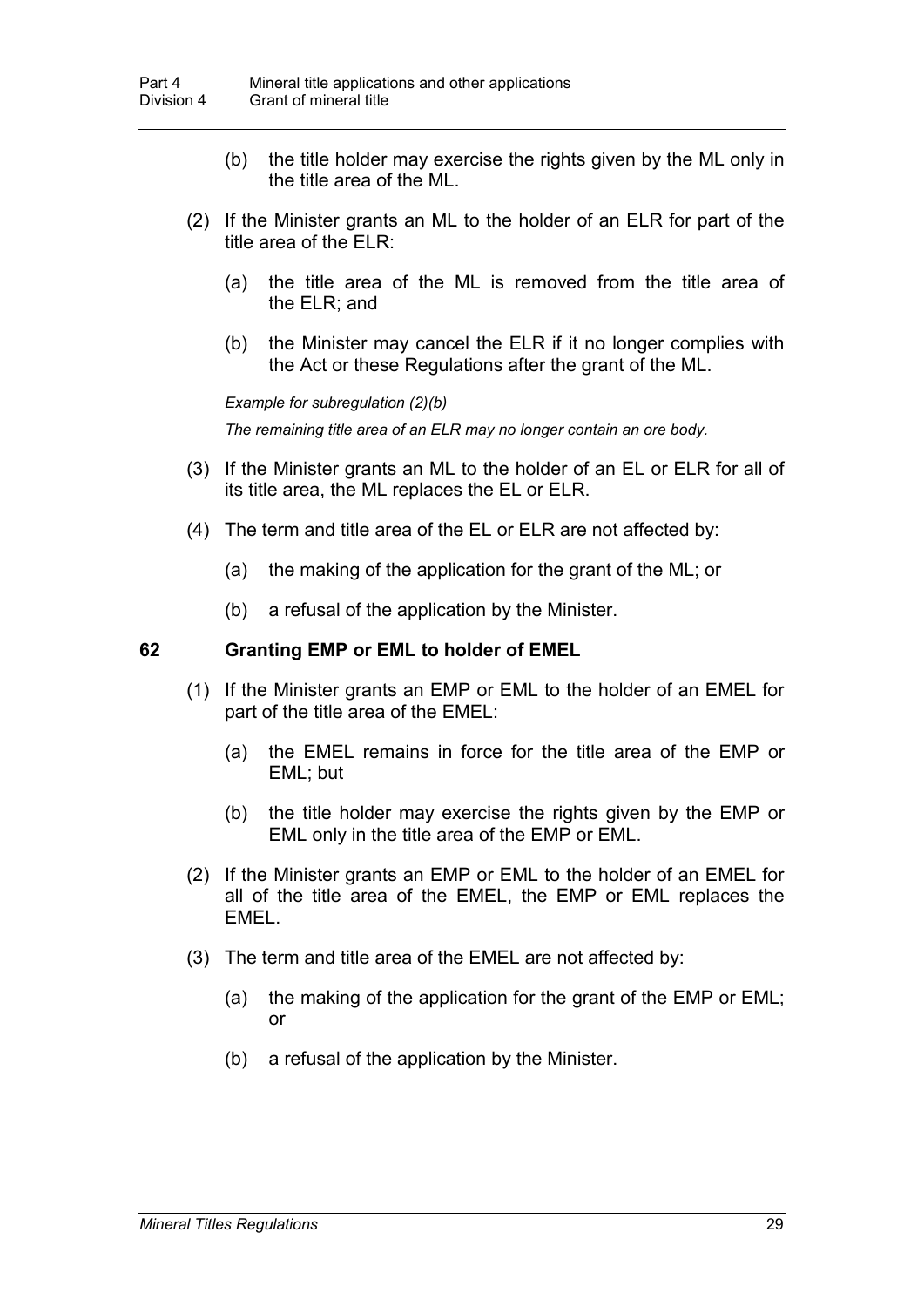- (b) the title holder may exercise the rights given by the ML only in the title area of the ML.
- (2) If the Minister grants an ML to the holder of an ELR for part of the title area of the ELR:
	- (a) the title area of the ML is removed from the title area of the ELR; and
	- (b) the Minister may cancel the ELR if it no longer complies with the Act or these Regulations after the grant of the ML.

*Example for subregulation (2)(b)*

*The remaining title area of an ELR may no longer contain an ore body.*

- (3) If the Minister grants an ML to the holder of an EL or ELR for all of its title area, the ML replaces the EL or ELR.
- (4) The term and title area of the EL or ELR are not affected by:
	- (a) the making of the application for the grant of the ML; or
	- (b) a refusal of the application by the Minister.

#### **62 Granting EMP or EML to holder of EMEL**

- (1) If the Minister grants an EMP or EML to the holder of an EMEL for part of the title area of the EMEL:
	- (a) the EMEL remains in force for the title area of the EMP or EML; but
	- (b) the title holder may exercise the rights given by the EMP or EML only in the title area of the EMP or EML.
- (2) If the Minister grants an EMP or EML to the holder of an EMEL for all of the title area of the EMEL, the EMP or EML replaces the EMEL.
- (3) The term and title area of the EMEL are not affected by:
	- (a) the making of the application for the grant of the EMP or EML; or
	- (b) a refusal of the application by the Minister.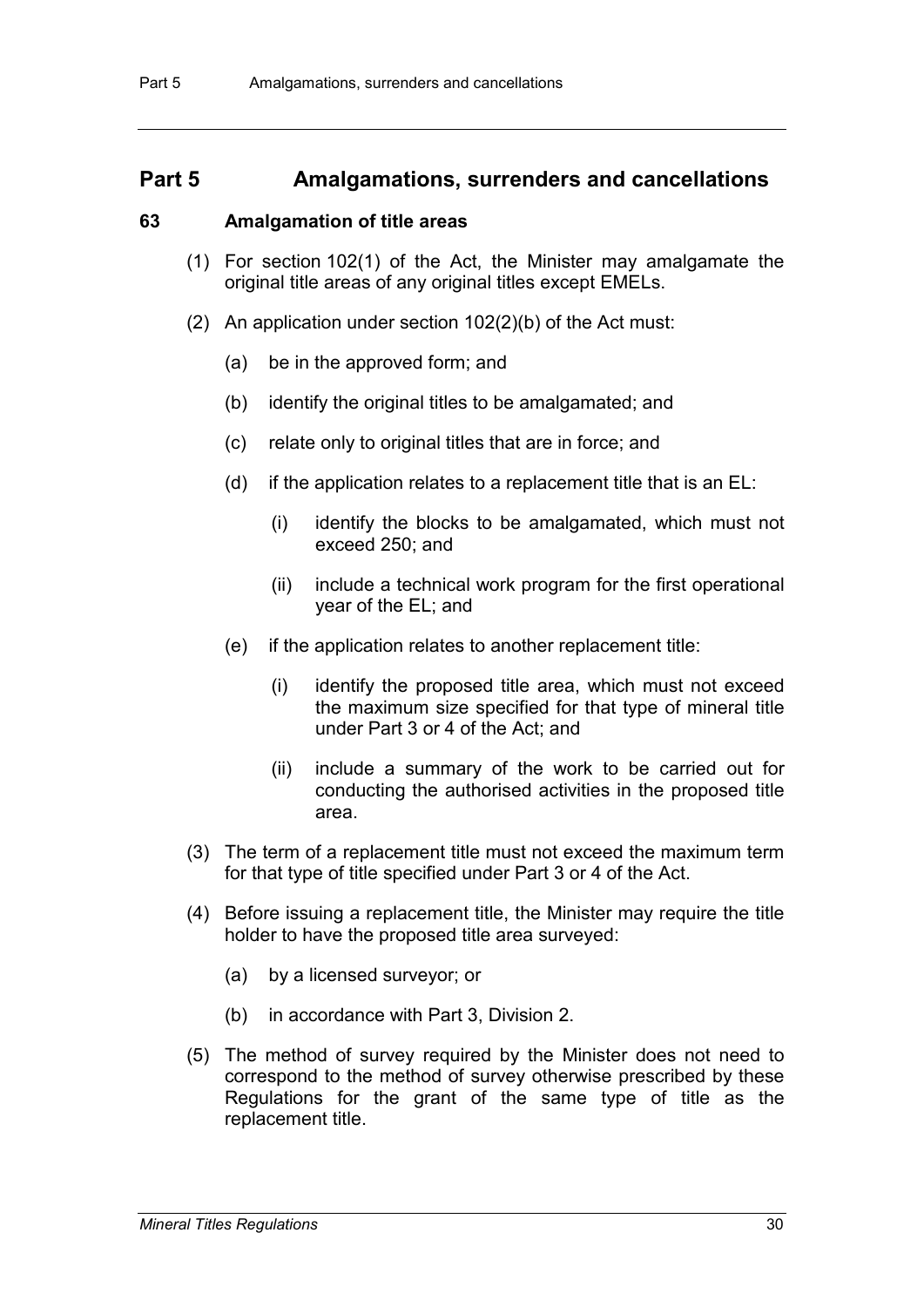## **Part 5 Amalgamations, surrenders and cancellations**

#### **63 Amalgamation of title areas**

- (1) For section 102(1) of the Act, the Minister may amalgamate the original title areas of any original titles except EMELs.
- (2) An application under section 102(2)(b) of the Act must:
	- (a) be in the approved form; and
	- (b) identify the original titles to be amalgamated; and
	- (c) relate only to original titles that are in force; and
	- (d) if the application relates to a replacement title that is an EL:
		- (i) identify the blocks to be amalgamated, which must not exceed 250; and
		- (ii) include a technical work program for the first operational year of the EL; and
	- (e) if the application relates to another replacement title:
		- (i) identify the proposed title area, which must not exceed the maximum size specified for that type of mineral title under Part 3 or 4 of the Act; and
		- (ii) include a summary of the work to be carried out for conducting the authorised activities in the proposed title area.
- (3) The term of a replacement title must not exceed the maximum term for that type of title specified under Part 3 or 4 of the Act.
- (4) Before issuing a replacement title, the Minister may require the title holder to have the proposed title area surveyed:
	- (a) by a licensed surveyor; or
	- (b) in accordance with Part 3, Division 2.
- (5) The method of survey required by the Minister does not need to correspond to the method of survey otherwise prescribed by these Regulations for the grant of the same type of title as the replacement title.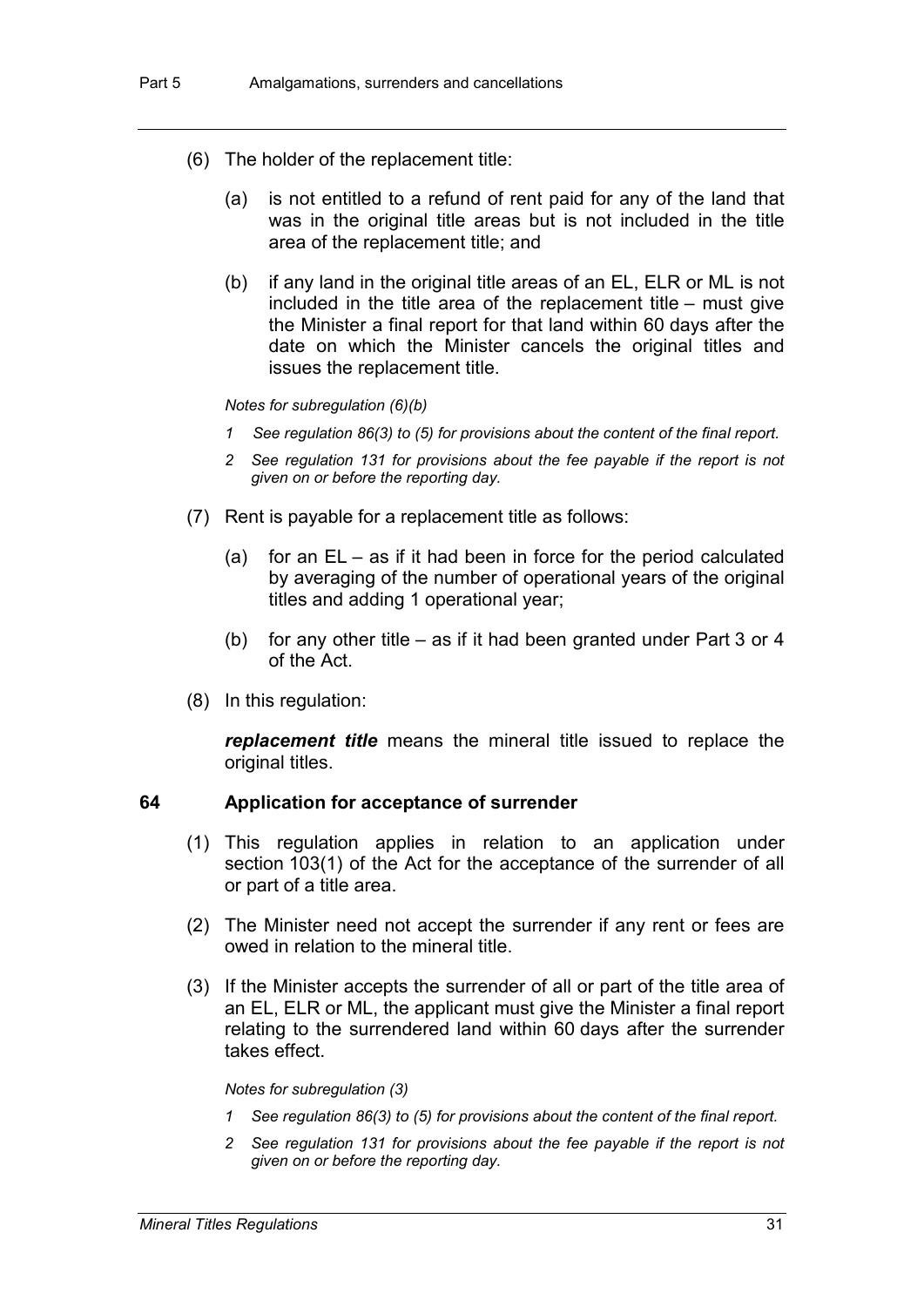- (6) The holder of the replacement title:
	- (a) is not entitled to a refund of rent paid for any of the land that was in the original title areas but is not included in the title area of the replacement title; and
	- (b) if any land in the original title areas of an EL, ELR or ML is not included in the title area of the replacement title – must give the Minister a final report for that land within 60 days after the date on which the Minister cancels the original titles and issues the replacement title.

#### *Notes for subregulation (6)(b)*

- *1 See regulation 86(3) to (5) for provisions about the content of the final report.*
- *2 See regulation 131 for provisions about the fee payable if the report is not given on or before the reporting day.*
- (7) Rent is payable for a replacement title as follows:
	- (a) for an EL as if it had been in force for the period calculated by averaging of the number of operational years of the original titles and adding 1 operational year;
	- (b) for any other title as if it had been granted under Part 3 or 4 of the Act.
- (8) In this regulation:

*replacement title* means the mineral title issued to replace the original titles.

#### **64 Application for acceptance of surrender**

- (1) This regulation applies in relation to an application under section 103(1) of the Act for the acceptance of the surrender of all or part of a title area.
- (2) The Minister need not accept the surrender if any rent or fees are owed in relation to the mineral title.
- (3) If the Minister accepts the surrender of all or part of the title area of an EL, ELR or ML, the applicant must give the Minister a final report relating to the surrendered land within 60 days after the surrender takes effect.

#### *Notes for subregulation (3)*

- *1 See regulation 86(3) to (5) for provisions about the content of the final report.*
- *2 See regulation 131 for provisions about the fee payable if the report is not given on or before the reporting day.*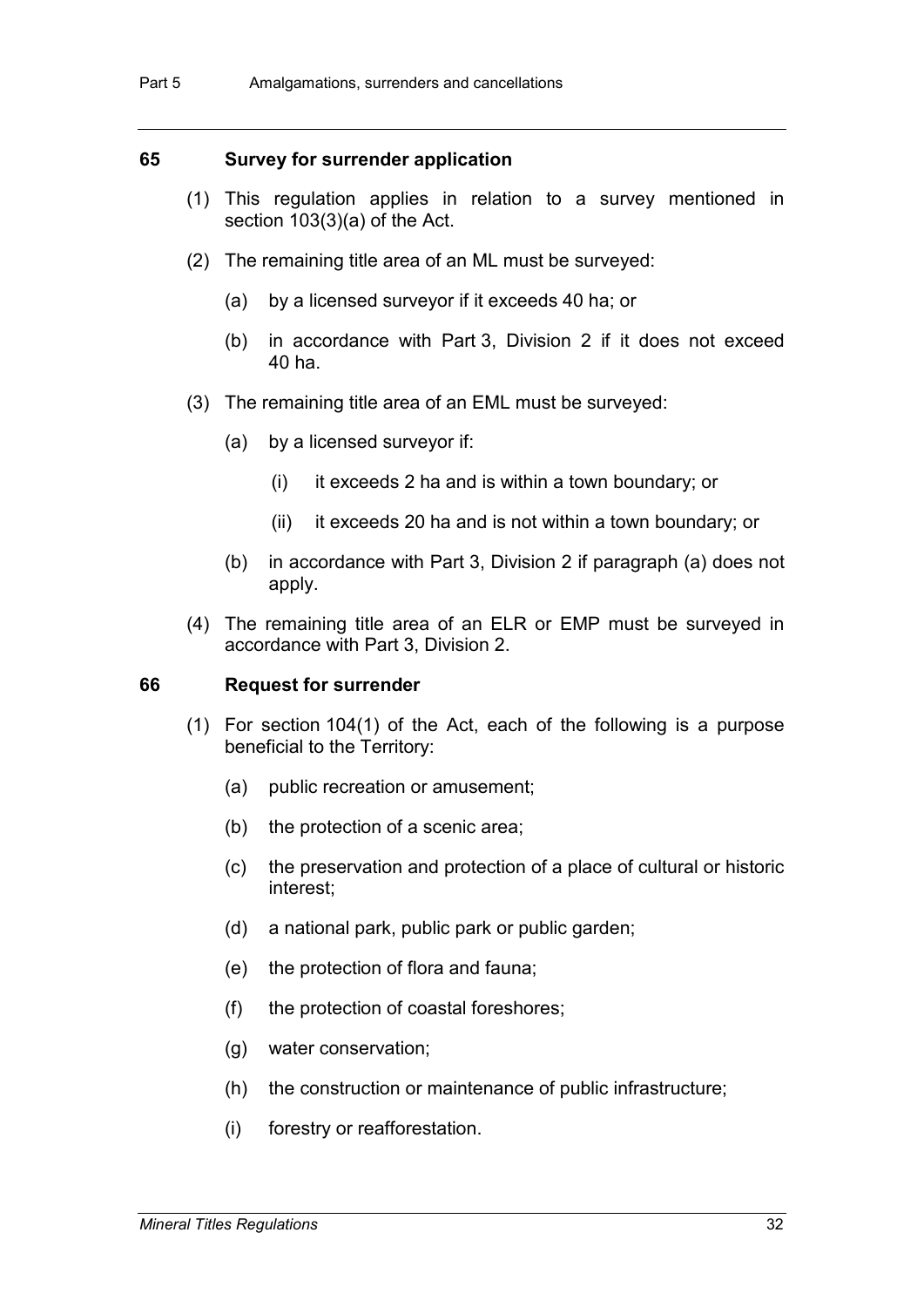### **65 Survey for surrender application**

- (1) This regulation applies in relation to a survey mentioned in section 103(3)(a) of the Act.
- (2) The remaining title area of an ML must be surveyed:
	- (a) by a licensed surveyor if it exceeds 40 ha; or
	- (b) in accordance with Part 3, Division 2 if it does not exceed 40 ha.
- (3) The remaining title area of an EML must be surveyed:
	- (a) by a licensed surveyor if:
		- (i) it exceeds 2 ha and is within a town boundary; or
		- (ii) it exceeds 20 ha and is not within a town boundary; or
	- (b) in accordance with Part 3, Division 2 if paragraph (a) does not apply.
- (4) The remaining title area of an ELR or EMP must be surveyed in accordance with Part 3, Division 2.

#### **66 Request for surrender**

- (1) For section 104(1) of the Act, each of the following is a purpose beneficial to the Territory:
	- (a) public recreation or amusement;
	- (b) the protection of a scenic area;
	- (c) the preservation and protection of a place of cultural or historic interest;
	- (d) a national park, public park or public garden;
	- (e) the protection of flora and fauna;
	- (f) the protection of coastal foreshores;
	- (g) water conservation;
	- (h) the construction or maintenance of public infrastructure;
	- (i) forestry or reafforestation.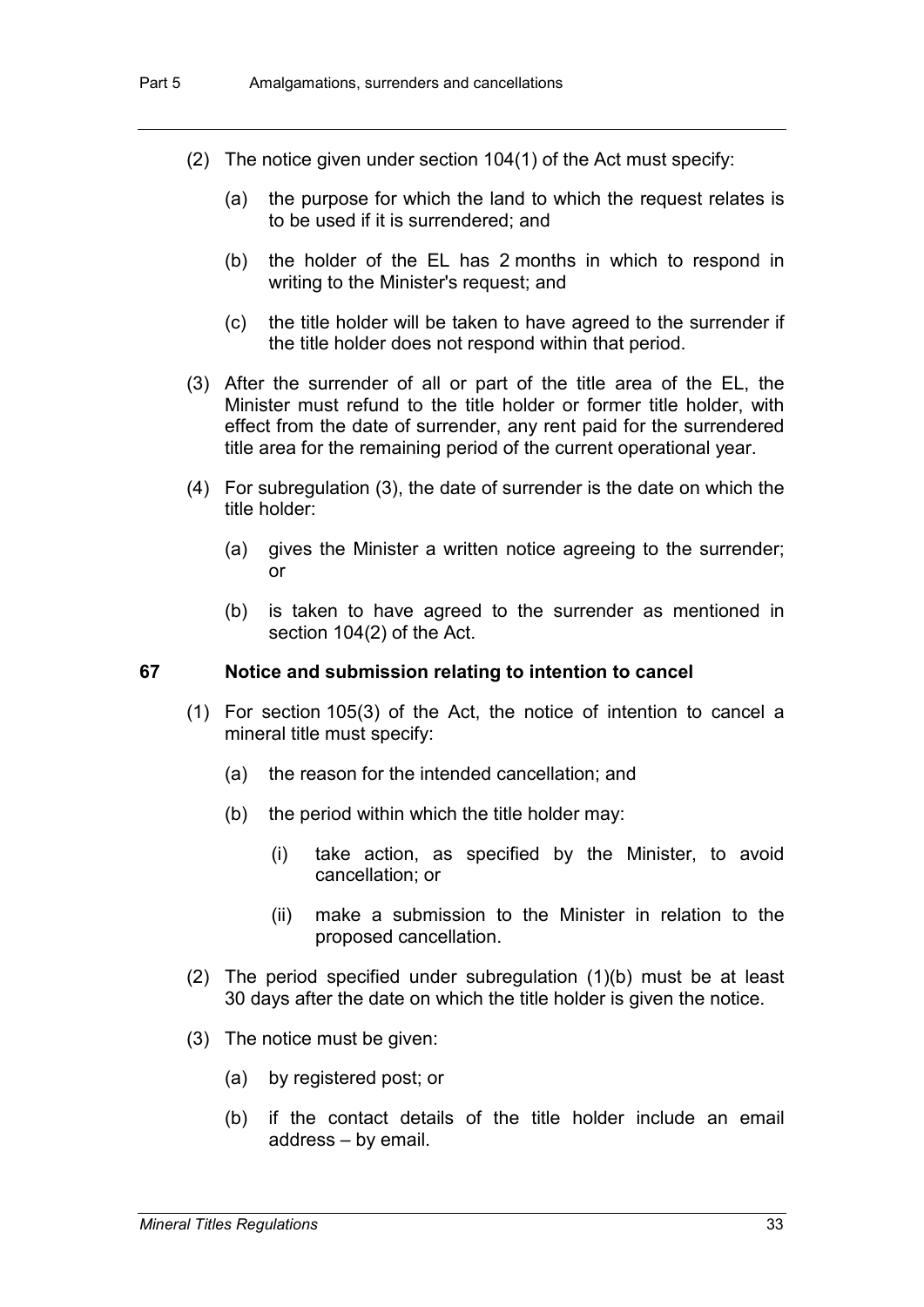- (2) The notice given under section 104(1) of the Act must specify:
	- (a) the purpose for which the land to which the request relates is to be used if it is surrendered; and
	- (b) the holder of the EL has 2 months in which to respond in writing to the Minister's request; and
	- (c) the title holder will be taken to have agreed to the surrender if the title holder does not respond within that period.
- (3) After the surrender of all or part of the title area of the EL, the Minister must refund to the title holder or former title holder, with effect from the date of surrender, any rent paid for the surrendered title area for the remaining period of the current operational year.
- (4) For subregulation (3), the date of surrender is the date on which the title holder:
	- (a) gives the Minister a written notice agreeing to the surrender; or
	- (b) is taken to have agreed to the surrender as mentioned in section 104(2) of the Act.

#### **67 Notice and submission relating to intention to cancel**

- (1) For section 105(3) of the Act, the notice of intention to cancel a mineral title must specify:
	- (a) the reason for the intended cancellation; and
	- (b) the period within which the title holder may:
		- (i) take action, as specified by the Minister, to avoid cancellation; or
		- (ii) make a submission to the Minister in relation to the proposed cancellation.
- (2) The period specified under subregulation (1)(b) must be at least 30 days after the date on which the title holder is given the notice.
- (3) The notice must be given:
	- (a) by registered post; or
	- (b) if the contact details of the title holder include an email address – by email.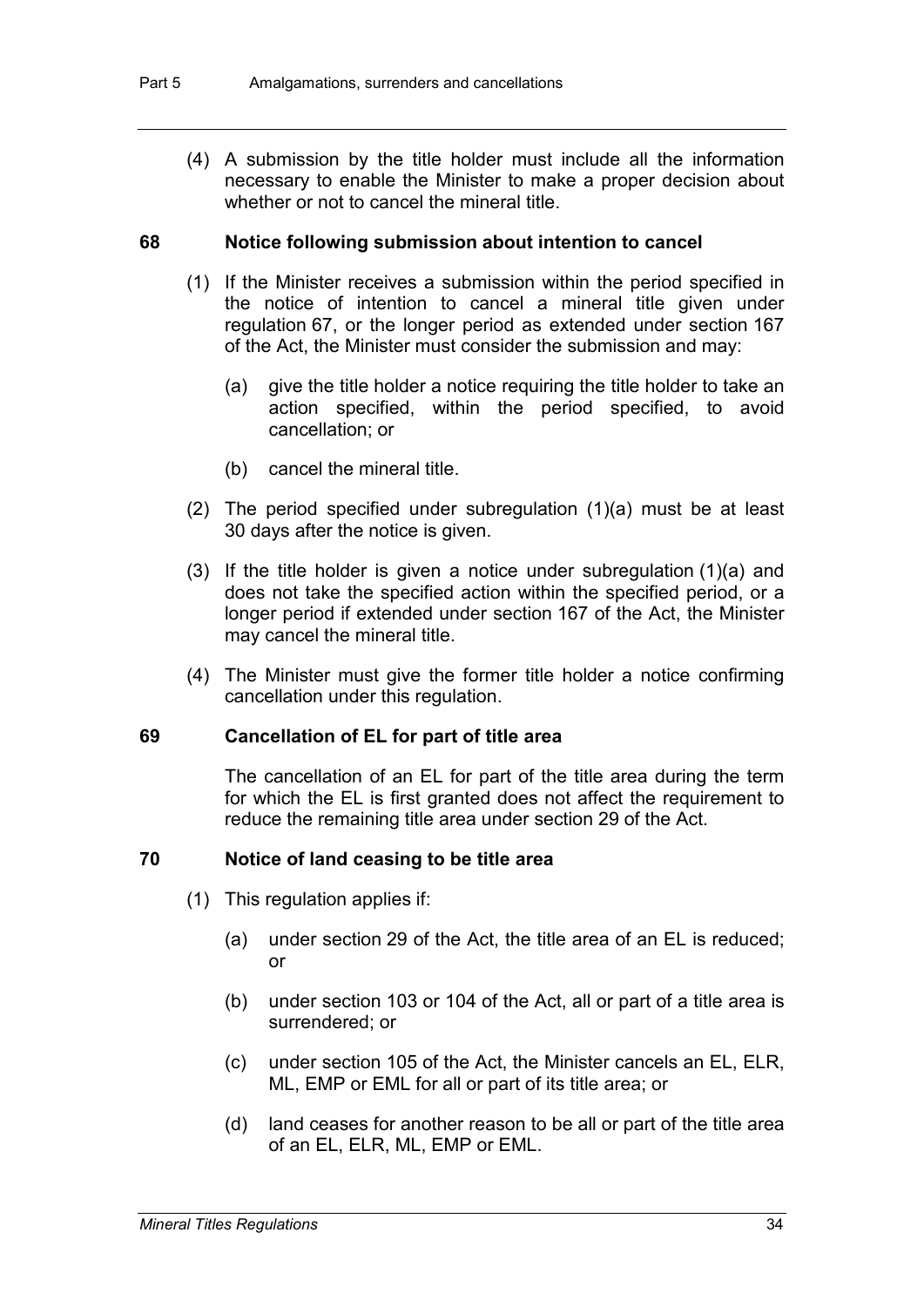(4) A submission by the title holder must include all the information necessary to enable the Minister to make a proper decision about whether or not to cancel the mineral title.

#### **68 Notice following submission about intention to cancel**

- (1) If the Minister receives a submission within the period specified in the notice of intention to cancel a mineral title given under regulation 67, or the longer period as extended under section 167 of the Act, the Minister must consider the submission and may:
	- (a) give the title holder a notice requiring the title holder to take an action specified, within the period specified, to avoid cancellation; or
	- (b) cancel the mineral title.
- (2) The period specified under subregulation (1)(a) must be at least 30 days after the notice is given.
- (3) If the title holder is given a notice under subregulation (1)(a) and does not take the specified action within the specified period, or a longer period if extended under section 167 of the Act, the Minister may cancel the mineral title.
- (4) The Minister must give the former title holder a notice confirming cancellation under this regulation.

#### **69 Cancellation of EL for part of title area**

The cancellation of an EL for part of the title area during the term for which the EL is first granted does not affect the requirement to reduce the remaining title area under section 29 of the Act.

#### **70 Notice of land ceasing to be title area**

- (1) This regulation applies if:
	- (a) under section 29 of the Act, the title area of an EL is reduced; or
	- (b) under section 103 or 104 of the Act, all or part of a title area is surrendered; or
	- (c) under section 105 of the Act, the Minister cancels an EL, ELR, ML, EMP or EML for all or part of its title area; or
	- (d) land ceases for another reason to be all or part of the title area of an EL, ELR, ML, EMP or EML.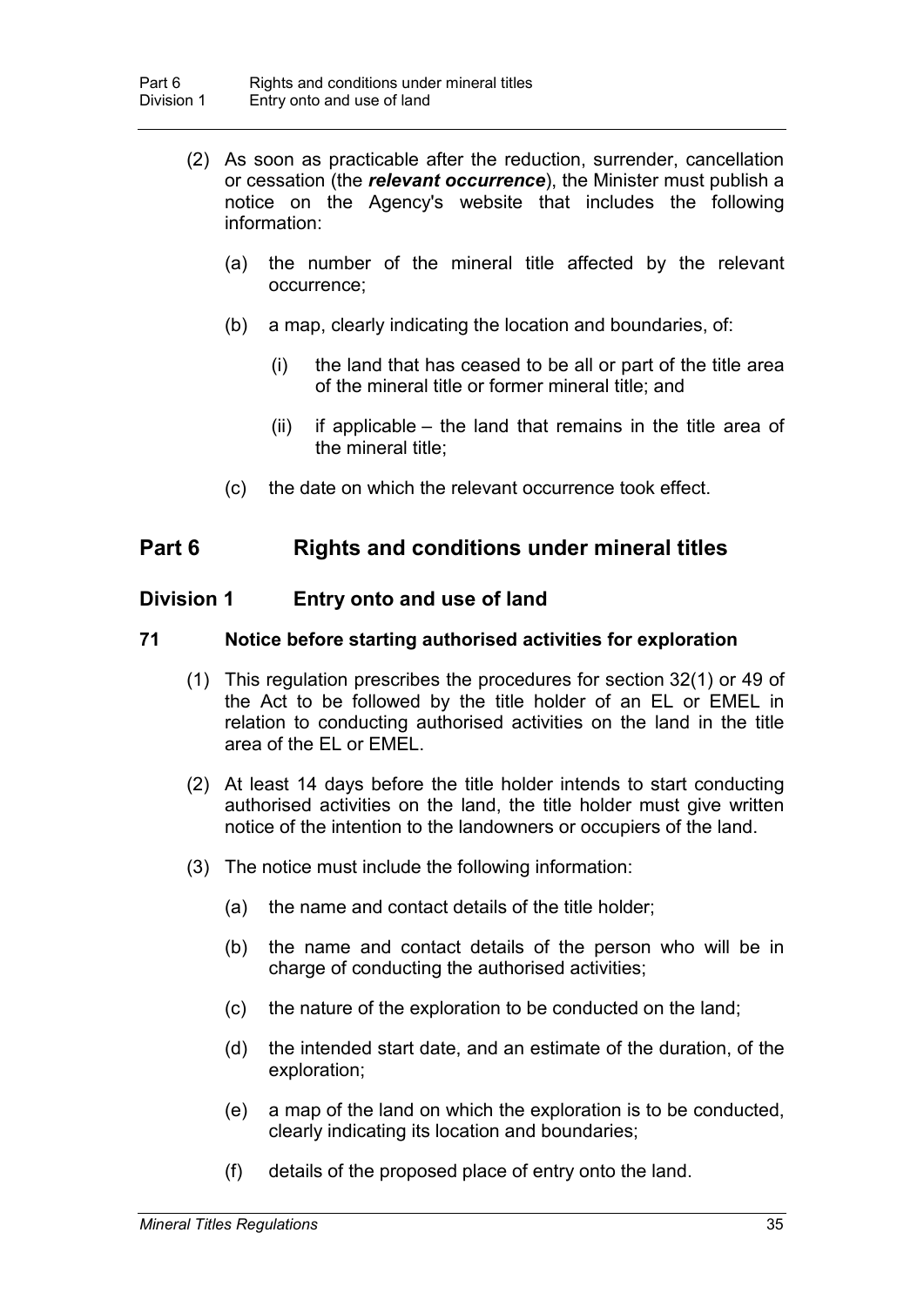- (2) As soon as practicable after the reduction, surrender, cancellation or cessation (the *relevant occurrence*), the Minister must publish a notice on the Agency's website that includes the following information:
	- (a) the number of the mineral title affected by the relevant occurrence;
	- (b) a map, clearly indicating the location and boundaries, of:
		- (i) the land that has ceased to be all or part of the title area of the mineral title or former mineral title; and
		- (ii) if applicable the land that remains in the title area of the mineral title;
	- (c) the date on which the relevant occurrence took effect.

# **Part 6 Rights and conditions under mineral titles**

# **Division 1 Entry onto and use of land**

## **71 Notice before starting authorised activities for exploration**

- (1) This regulation prescribes the procedures for section 32(1) or 49 of the Act to be followed by the title holder of an EL or EMEL in relation to conducting authorised activities on the land in the title area of the EL or EMEL.
- (2) At least 14 days before the title holder intends to start conducting authorised activities on the land, the title holder must give written notice of the intention to the landowners or occupiers of the land.
- (3) The notice must include the following information:
	- (a) the name and contact details of the title holder;
	- (b) the name and contact details of the person who will be in charge of conducting the authorised activities;
	- (c) the nature of the exploration to be conducted on the land;
	- (d) the intended start date, and an estimate of the duration, of the exploration;
	- (e) a map of the land on which the exploration is to be conducted, clearly indicating its location and boundaries;
	- (f) details of the proposed place of entry onto the land.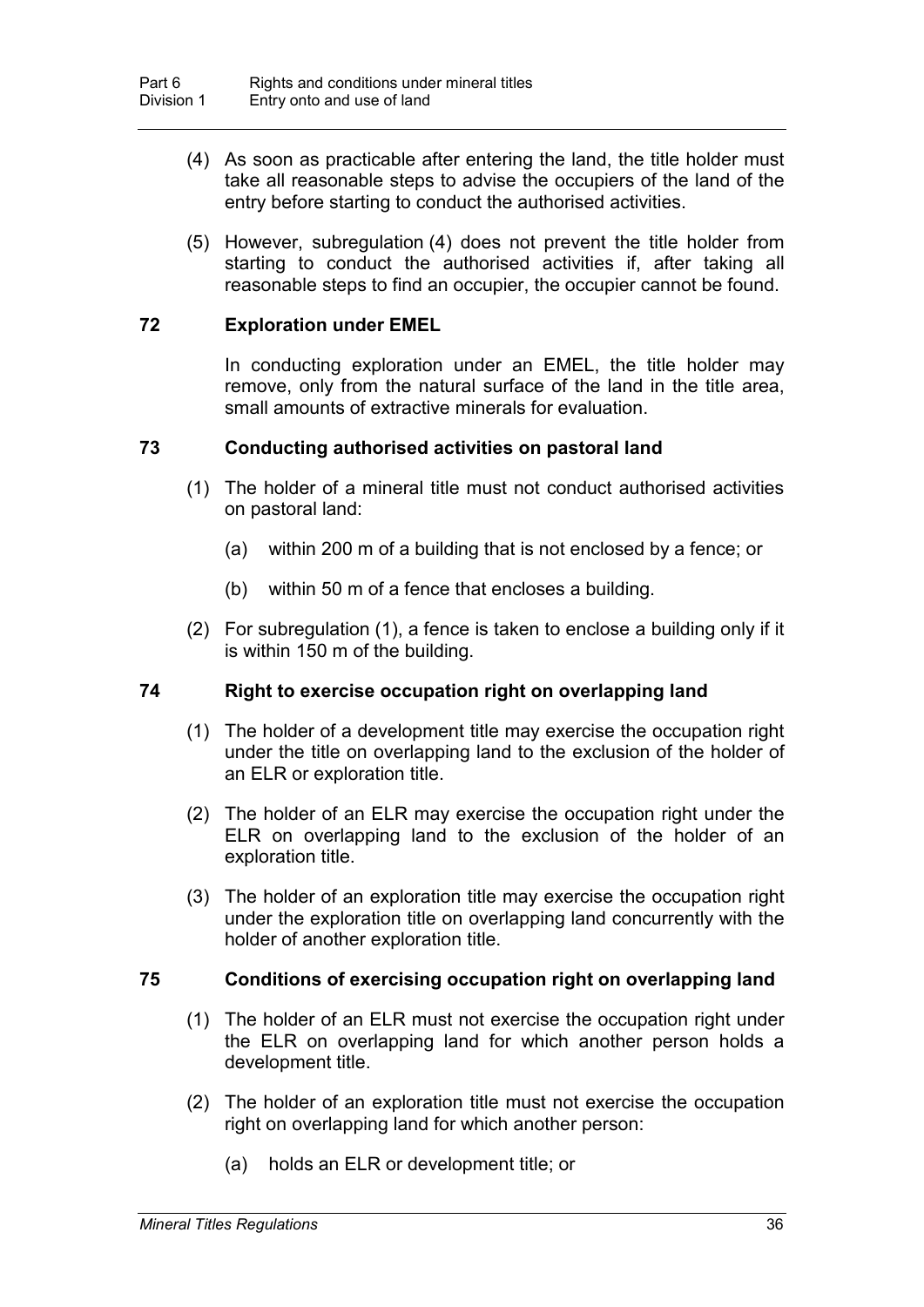- (4) As soon as practicable after entering the land, the title holder must take all reasonable steps to advise the occupiers of the land of the entry before starting to conduct the authorised activities.
- (5) However, subregulation (4) does not prevent the title holder from starting to conduct the authorised activities if, after taking all reasonable steps to find an occupier, the occupier cannot be found.

## **72 Exploration under EMEL**

In conducting exploration under an EMEL, the title holder may remove, only from the natural surface of the land in the title area, small amounts of extractive minerals for evaluation.

## **73 Conducting authorised activities on pastoral land**

- (1) The holder of a mineral title must not conduct authorised activities on pastoral land:
	- (a) within 200 m of a building that is not enclosed by a fence; or
	- (b) within 50 m of a fence that encloses a building.
- (2) For subregulation (1), a fence is taken to enclose a building only if it is within 150 m of the building.

# **74 Right to exercise occupation right on overlapping land**

- (1) The holder of a development title may exercise the occupation right under the title on overlapping land to the exclusion of the holder of an ELR or exploration title.
- (2) The holder of an ELR may exercise the occupation right under the ELR on overlapping land to the exclusion of the holder of an exploration title.
- (3) The holder of an exploration title may exercise the occupation right under the exploration title on overlapping land concurrently with the holder of another exploration title.

## **75 Conditions of exercising occupation right on overlapping land**

- (1) The holder of an ELR must not exercise the occupation right under the ELR on overlapping land for which another person holds a development title.
- (2) The holder of an exploration title must not exercise the occupation right on overlapping land for which another person:
	- (a) holds an ELR or development title; or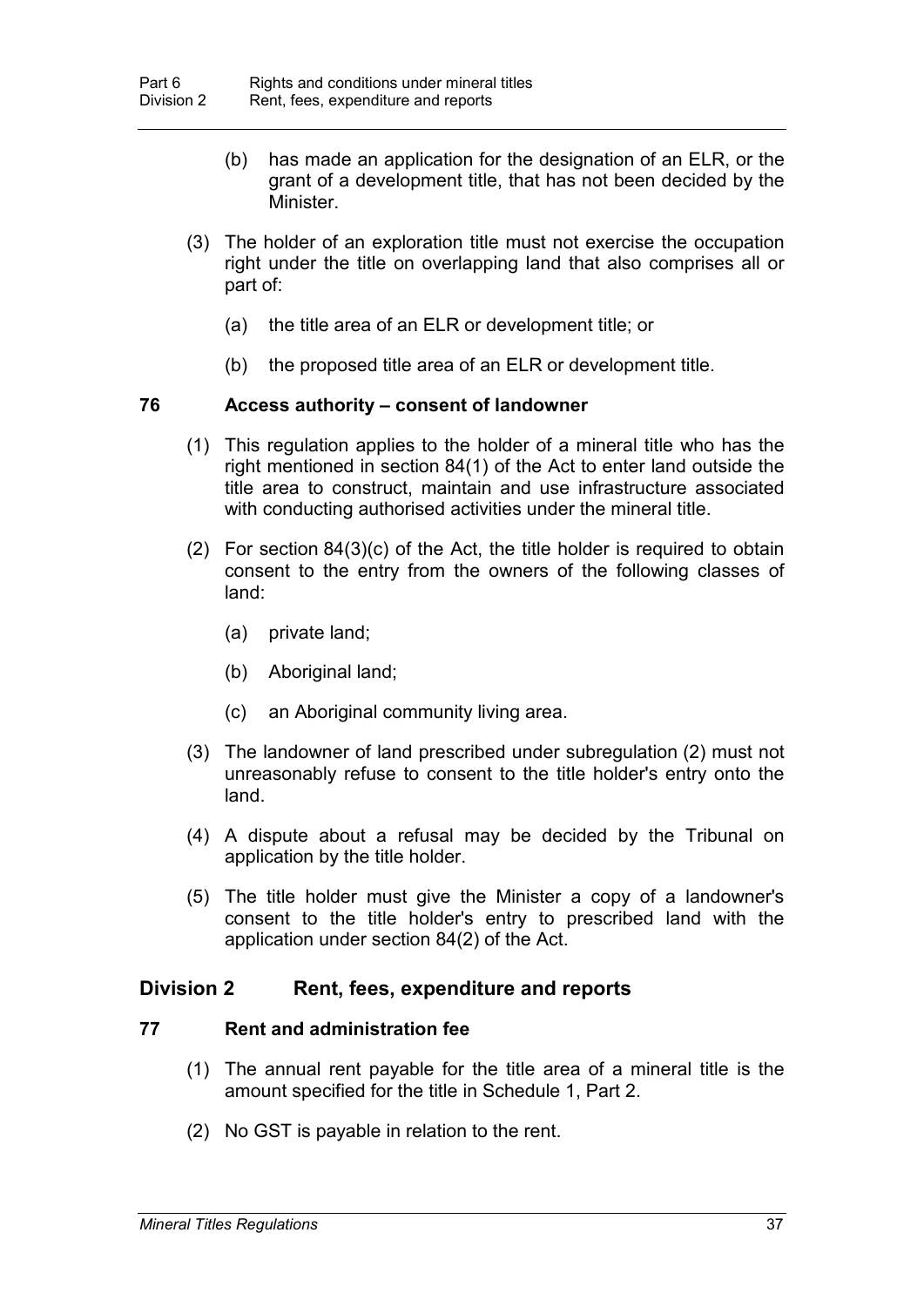- (b) has made an application for the designation of an ELR, or the grant of a development title, that has not been decided by the **Minister**
- (3) The holder of an exploration title must not exercise the occupation right under the title on overlapping land that also comprises all or part of:
	- (a) the title area of an ELR or development title; or
	- (b) the proposed title area of an ELR or development title.

## **76 Access authority – consent of landowner**

- (1) This regulation applies to the holder of a mineral title who has the right mentioned in section 84(1) of the Act to enter land outside the title area to construct, maintain and use infrastructure associated with conducting authorised activities under the mineral title.
- (2) For section 84(3)(c) of the Act, the title holder is required to obtain consent to the entry from the owners of the following classes of land:
	- (a) private land;
	- (b) Aboriginal land;
	- (c) an Aboriginal community living area.
- (3) The landowner of land prescribed under subregulation (2) must not unreasonably refuse to consent to the title holder's entry onto the land.
- (4) A dispute about a refusal may be decided by the Tribunal on application by the title holder.
- (5) The title holder must give the Minister a copy of a landowner's consent to the title holder's entry to prescribed land with the application under section 84(2) of the Act.

## **Division 2 Rent, fees, expenditure and reports**

#### **77 Rent and administration fee**

- (1) The annual rent payable for the title area of a mineral title is the amount specified for the title in Schedule 1, Part 2.
- (2) No GST is payable in relation to the rent.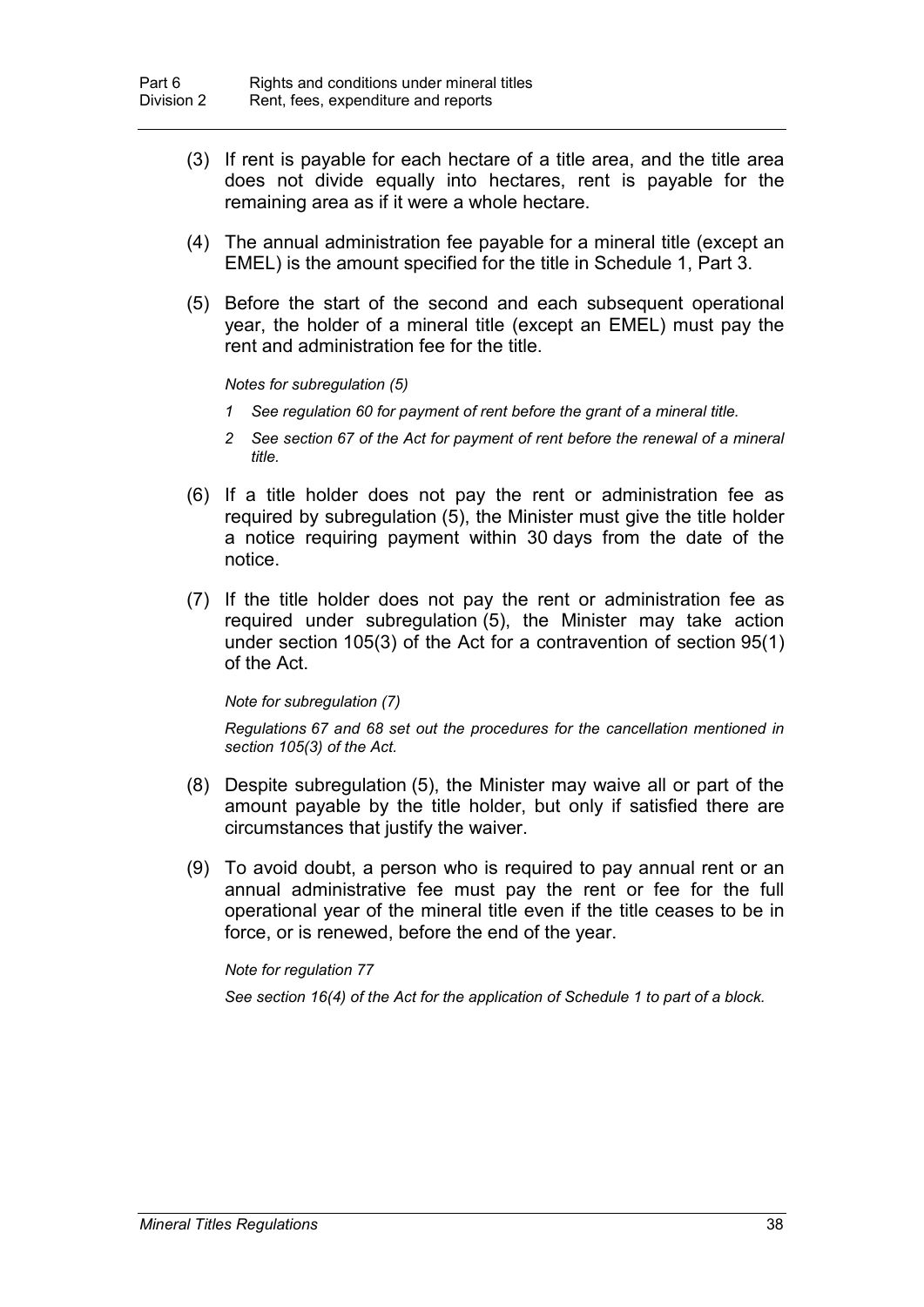- (3) If rent is payable for each hectare of a title area, and the title area does not divide equally into hectares, rent is payable for the remaining area as if it were a whole hectare.
- (4) The annual administration fee payable for a mineral title (except an EMEL) is the amount specified for the title in Schedule 1, Part 3.
- (5) Before the start of the second and each subsequent operational year, the holder of a mineral title (except an EMEL) must pay the rent and administration fee for the title.

#### *Notes for subregulation (5)*

- *1 See regulation 60 for payment of rent before the grant of a mineral title.*
- *2 See section 67 of the Act for payment of rent before the renewal of a mineral title.*
- (6) If a title holder does not pay the rent or administration fee as required by subregulation (5), the Minister must give the title holder a notice requiring payment within 30 days from the date of the notice.
- (7) If the title holder does not pay the rent or administration fee as required under subregulation (5), the Minister may take action under section 105(3) of the Act for a contravention of section 95(1) of the Act.

#### *Note for subregulation (7)*

*Regulations 67 and 68 set out the procedures for the cancellation mentioned in section 105(3) of the Act.*

- (8) Despite subregulation (5), the Minister may waive all or part of the amount payable by the title holder, but only if satisfied there are circumstances that justify the waiver.
- (9) To avoid doubt, a person who is required to pay annual rent or an annual administrative fee must pay the rent or fee for the full operational year of the mineral title even if the title ceases to be in force, or is renewed, before the end of the year.

*Note for regulation 77*

*See section 16(4) of the Act for the application of Schedule 1 to part of a block.*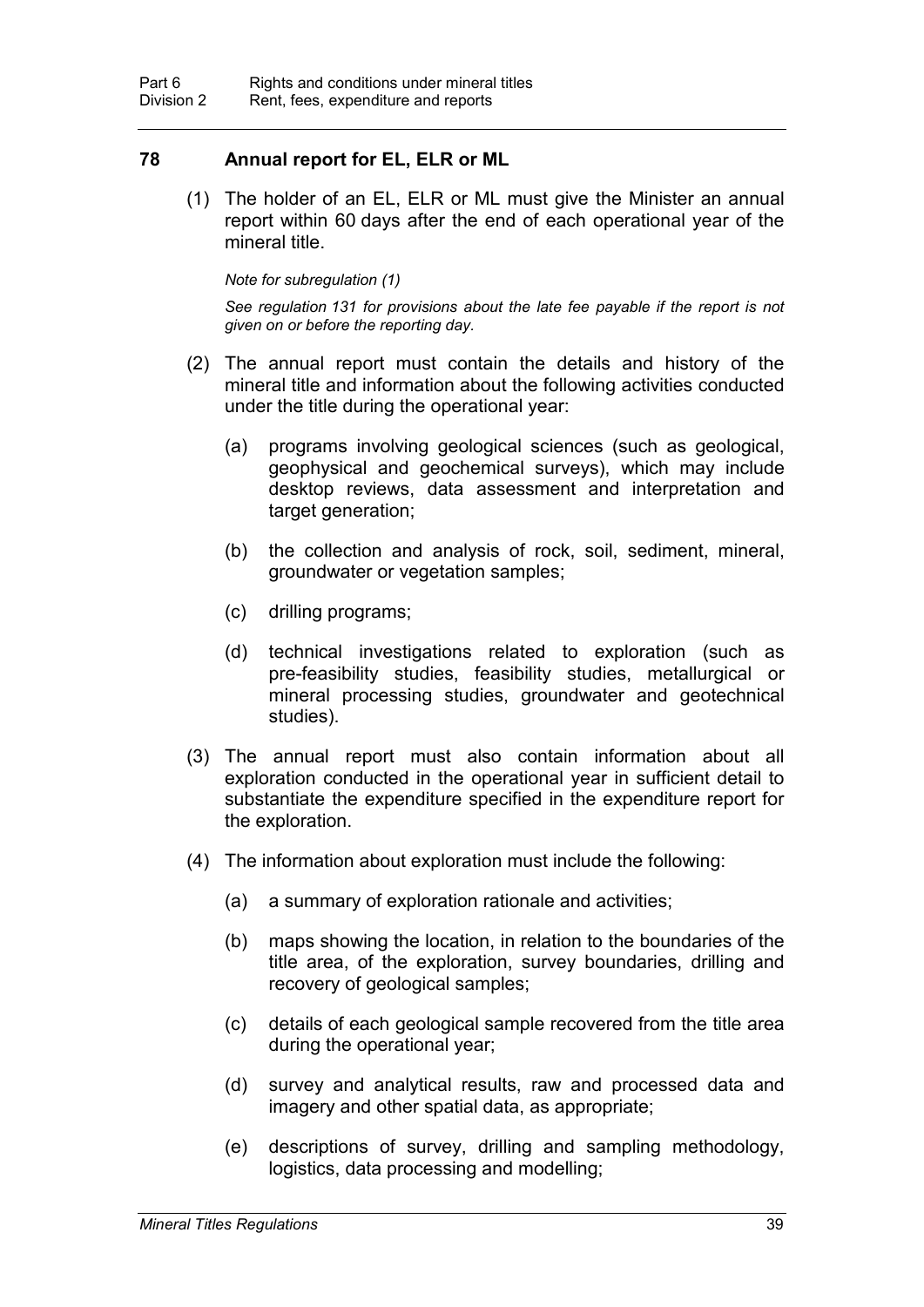## **78 Annual report for EL, ELR or ML**

(1) The holder of an EL, ELR or ML must give the Minister an annual report within 60 days after the end of each operational year of the mineral title.

#### *Note for subregulation (1)*

*See regulation 131 for provisions about the late fee payable if the report is not given on or before the reporting day.*

- (2) The annual report must contain the details and history of the mineral title and information about the following activities conducted under the title during the operational year:
	- (a) programs involving geological sciences (such as geological, geophysical and geochemical surveys), which may include desktop reviews, data assessment and interpretation and target generation;
	- (b) the collection and analysis of rock, soil, sediment, mineral, groundwater or vegetation samples;
	- (c) drilling programs;
	- (d) technical investigations related to exploration (such as pre-feasibility studies, feasibility studies, metallurgical or mineral processing studies, groundwater and geotechnical studies).
- (3) The annual report must also contain information about all exploration conducted in the operational year in sufficient detail to substantiate the expenditure specified in the expenditure report for the exploration.
- (4) The information about exploration must include the following:
	- (a) a summary of exploration rationale and activities;
	- (b) maps showing the location, in relation to the boundaries of the title area, of the exploration, survey boundaries, drilling and recovery of geological samples;
	- (c) details of each geological sample recovered from the title area during the operational year;
	- (d) survey and analytical results, raw and processed data and imagery and other spatial data, as appropriate;
	- (e) descriptions of survey, drilling and sampling methodology, logistics, data processing and modelling;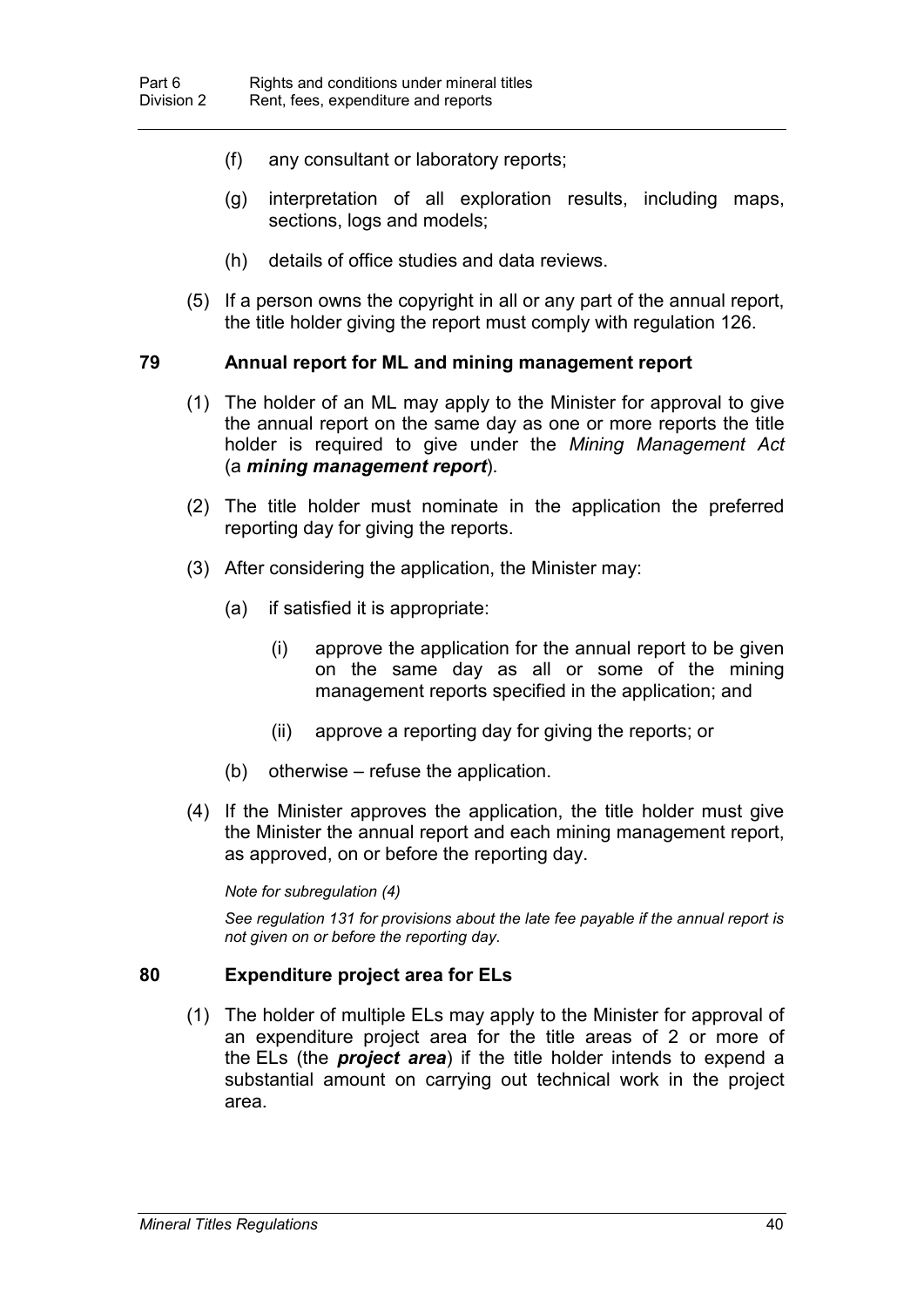- (f) any consultant or laboratory reports;
- (g) interpretation of all exploration results, including maps, sections, logs and models;
- (h) details of office studies and data reviews.
- (5) If a person owns the copyright in all or any part of the annual report, the title holder giving the report must comply with regulation 126.

## **79 Annual report for ML and mining management report**

- (1) The holder of an ML may apply to the Minister for approval to give the annual report on the same day as one or more reports the title holder is required to give under the *Mining Management Act*  (a *mining management report*).
- (2) The title holder must nominate in the application the preferred reporting day for giving the reports.
- (3) After considering the application, the Minister may:
	- (a) if satisfied it is appropriate:
		- (i) approve the application for the annual report to be given on the same day as all or some of the mining management reports specified in the application; and
		- (ii) approve a reporting day for giving the reports; or
	- (b) otherwise refuse the application.
- (4) If the Minister approves the application, the title holder must give the Minister the annual report and each mining management report, as approved, on or before the reporting day.

#### *Note for subregulation (4)*

*See regulation 131 for provisions about the late fee payable if the annual report is not given on or before the reporting day.*

## **80 Expenditure project area for ELs**

(1) The holder of multiple ELs may apply to the Minister for approval of an expenditure project area for the title areas of 2 or more of the ELs (the *project area*) if the title holder intends to expend a substantial amount on carrying out technical work in the project area.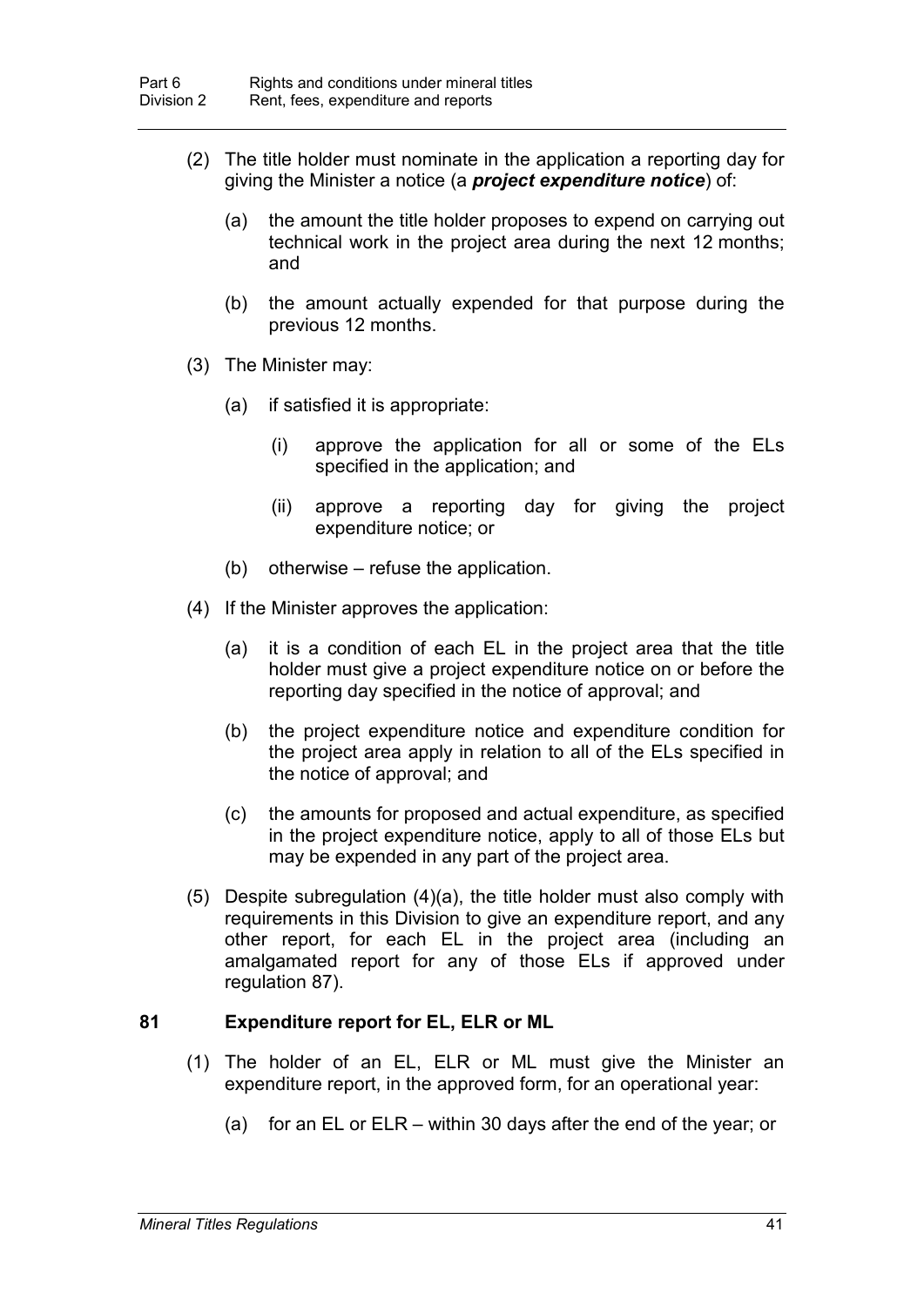- (2) The title holder must nominate in the application a reporting day for giving the Minister a notice (a *project expenditure notice*) of:
	- (a) the amount the title holder proposes to expend on carrying out technical work in the project area during the next 12 months; and
	- (b) the amount actually expended for that purpose during the previous 12 months.
- (3) The Minister may:
	- (a) if satisfied it is appropriate:
		- (i) approve the application for all or some of the ELs specified in the application; and
		- (ii) approve a reporting day for giving the project expenditure notice; or
	- (b) otherwise refuse the application.
- (4) If the Minister approves the application:
	- (a) it is a condition of each EL in the project area that the title holder must give a project expenditure notice on or before the reporting day specified in the notice of approval; and
	- (b) the project expenditure notice and expenditure condition for the project area apply in relation to all of the ELs specified in the notice of approval; and
	- (c) the amounts for proposed and actual expenditure, as specified in the project expenditure notice, apply to all of those ELs but may be expended in any part of the project area.
- (5) Despite subregulation (4)(a), the title holder must also comply with requirements in this Division to give an expenditure report, and any other report, for each EL in the project area (including an amalgamated report for any of those ELs if approved under regulation 87).

## **81 Expenditure report for EL, ELR or ML**

- (1) The holder of an EL, ELR or ML must give the Minister an expenditure report, in the approved form, for an operational year:
	- (a) for an EL or ELR within 30 days after the end of the year; or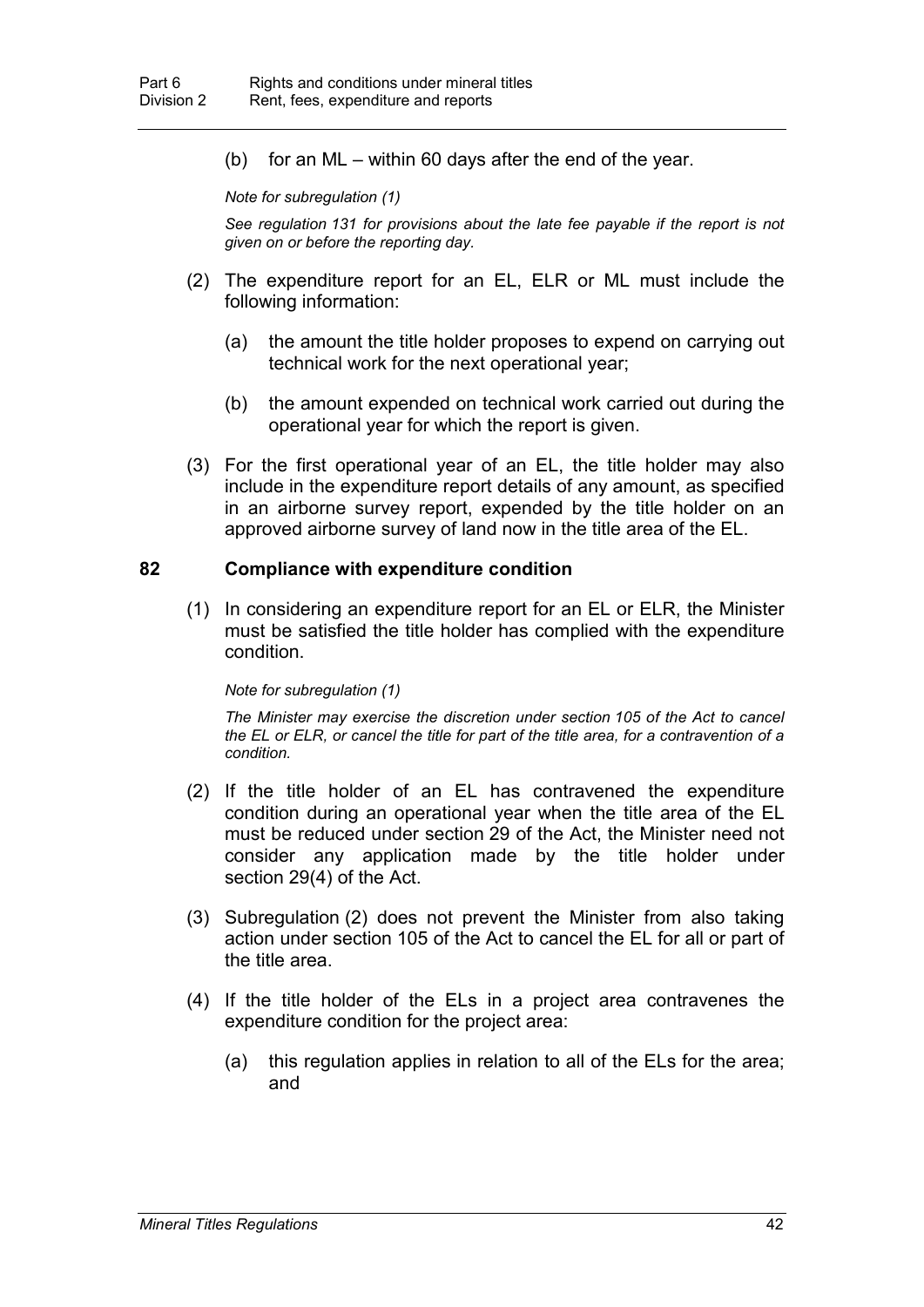(b) for an ML – within 60 days after the end of the year.

*Note for subregulation (1)*

*See regulation 131 for provisions about the late fee payable if the report is not given on or before the reporting day.*

- (2) The expenditure report for an EL, ELR or ML must include the following information:
	- (a) the amount the title holder proposes to expend on carrying out technical work for the next operational year;
	- (b) the amount expended on technical work carried out during the operational year for which the report is given.
- (3) For the first operational year of an EL, the title holder may also include in the expenditure report details of any amount, as specified in an airborne survey report, expended by the title holder on an approved airborne survey of land now in the title area of the EL.

## **82 Compliance with expenditure condition**

(1) In considering an expenditure report for an EL or ELR, the Minister must be satisfied the title holder has complied with the expenditure condition.

#### *Note for subregulation (1)*

*The Minister may exercise the discretion under section 105 of the Act to cancel the EL or ELR, or cancel the title for part of the title area, for a contravention of a condition.*

- (2) If the title holder of an EL has contravened the expenditure condition during an operational year when the title area of the EL must be reduced under section 29 of the Act, the Minister need not consider any application made by the title holder under section 29(4) of the Act.
- (3) Subregulation (2) does not prevent the Minister from also taking action under section 105 of the Act to cancel the EL for all or part of the title area.
- (4) If the title holder of the ELs in a project area contravenes the expenditure condition for the project area:
	- (a) this regulation applies in relation to all of the ELs for the area; and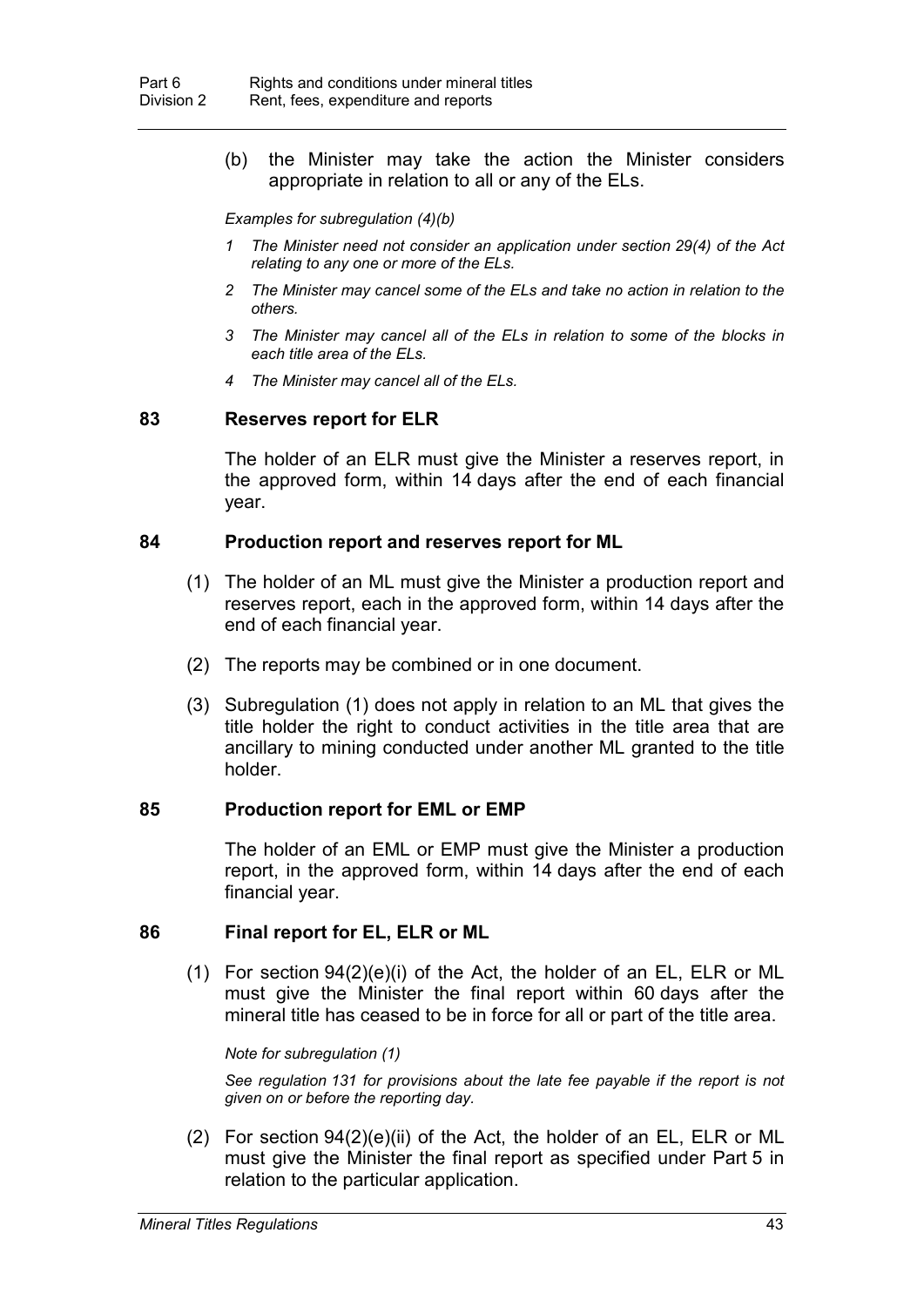(b) the Minister may take the action the Minister considers appropriate in relation to all or any of the ELs.

*Examples for subregulation (4)(b)*

- *1 The Minister need not consider an application under section 29(4) of the Act relating to any one or more of the ELs.*
- *2 The Minister may cancel some of the ELs and take no action in relation to the others.*
- *3 The Minister may cancel all of the ELs in relation to some of the blocks in each title area of the ELs.*
- *4 The Minister may cancel all of the ELs.*

### **83 Reserves report for ELR**

The holder of an ELR must give the Minister a reserves report, in the approved form, within 14 days after the end of each financial year.

### **84 Production report and reserves report for ML**

- (1) The holder of an ML must give the Minister a production report and reserves report, each in the approved form, within 14 days after the end of each financial year.
- (2) The reports may be combined or in one document.
- (3) Subregulation (1) does not apply in relation to an ML that gives the title holder the right to conduct activities in the title area that are ancillary to mining conducted under another ML granted to the title holder.

## **85 Production report for EML or EMP**

The holder of an EML or EMP must give the Minister a production report, in the approved form, within 14 days after the end of each financial year.

## **86 Final report for EL, ELR or ML**

(1) For section 94(2)(e)(i) of the Act, the holder of an EL, ELR or ML must give the Minister the final report within 60 days after the mineral title has ceased to be in force for all or part of the title area.

*Note for subregulation (1)*

*See regulation 131 for provisions about the late fee payable if the report is not given on or before the reporting day.*

(2) For section 94(2)(e)(ii) of the Act, the holder of an EL, ELR or ML must give the Minister the final report as specified under Part 5 in relation to the particular application.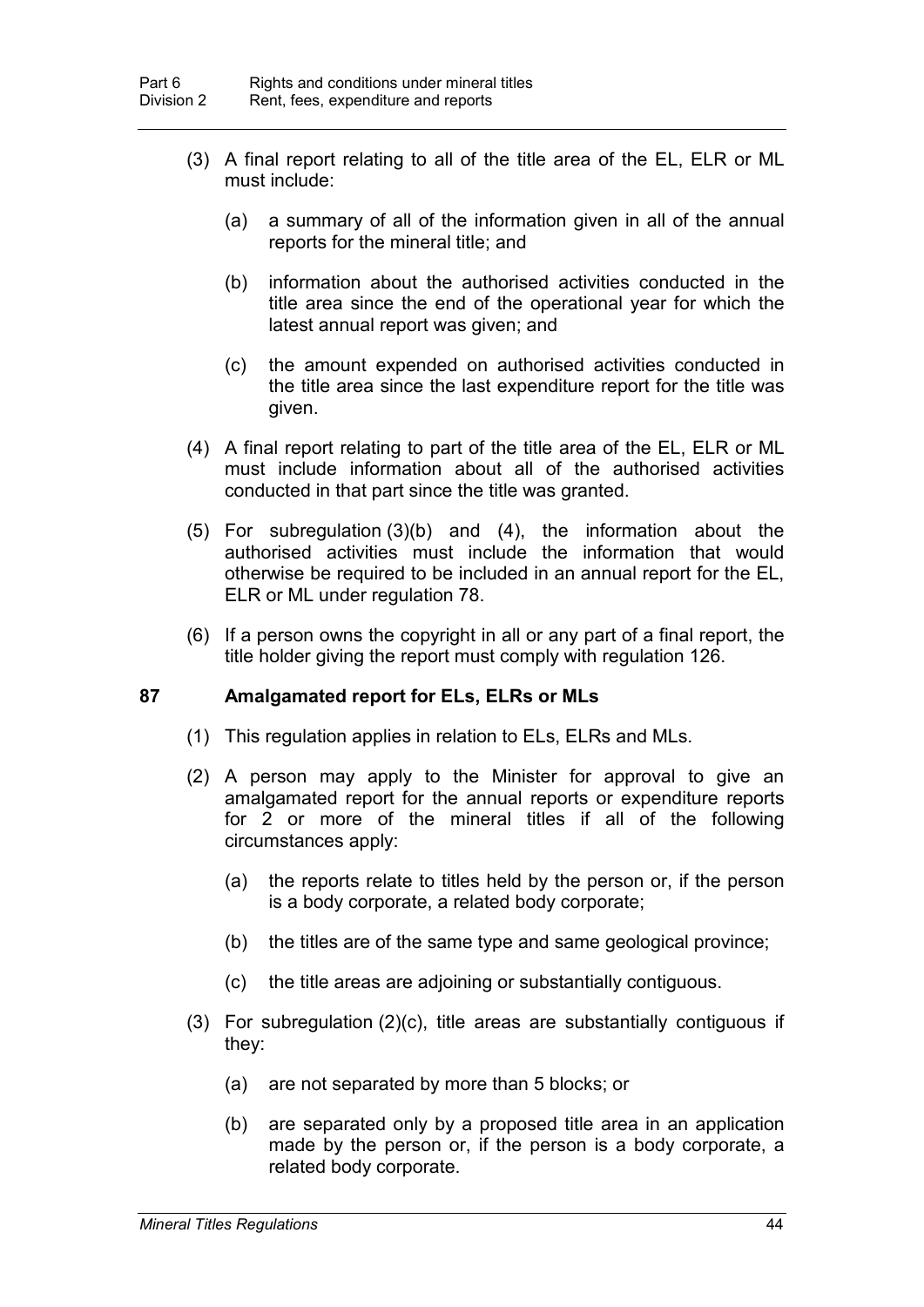- (3) A final report relating to all of the title area of the EL, ELR or ML must include:
	- (a) a summary of all of the information given in all of the annual reports for the mineral title; and
	- (b) information about the authorised activities conducted in the title area since the end of the operational year for which the latest annual report was given; and
	- (c) the amount expended on authorised activities conducted in the title area since the last expenditure report for the title was given.
- (4) A final report relating to part of the title area of the EL, ELR or ML must include information about all of the authorised activities conducted in that part since the title was granted.
- (5) For subregulation (3)(b) and (4), the information about the authorised activities must include the information that would otherwise be required to be included in an annual report for the EL, ELR or ML under regulation 78.
- (6) If a person owns the copyright in all or any part of a final report, the title holder giving the report must comply with regulation 126.

## **87 Amalgamated report for ELs, ELRs or MLs**

- (1) This regulation applies in relation to ELs, ELRs and MLs.
- (2) A person may apply to the Minister for approval to give an amalgamated report for the annual reports or expenditure reports for 2 or more of the mineral titles if all of the following circumstances apply:
	- (a) the reports relate to titles held by the person or, if the person is a body corporate, a related body corporate;
	- (b) the titles are of the same type and same geological province;
	- (c) the title areas are adjoining or substantially contiguous.
- (3) For subregulation (2)(c), title areas are substantially contiguous if they:
	- (a) are not separated by more than 5 blocks; or
	- (b) are separated only by a proposed title area in an application made by the person or, if the person is a body corporate, a related body corporate.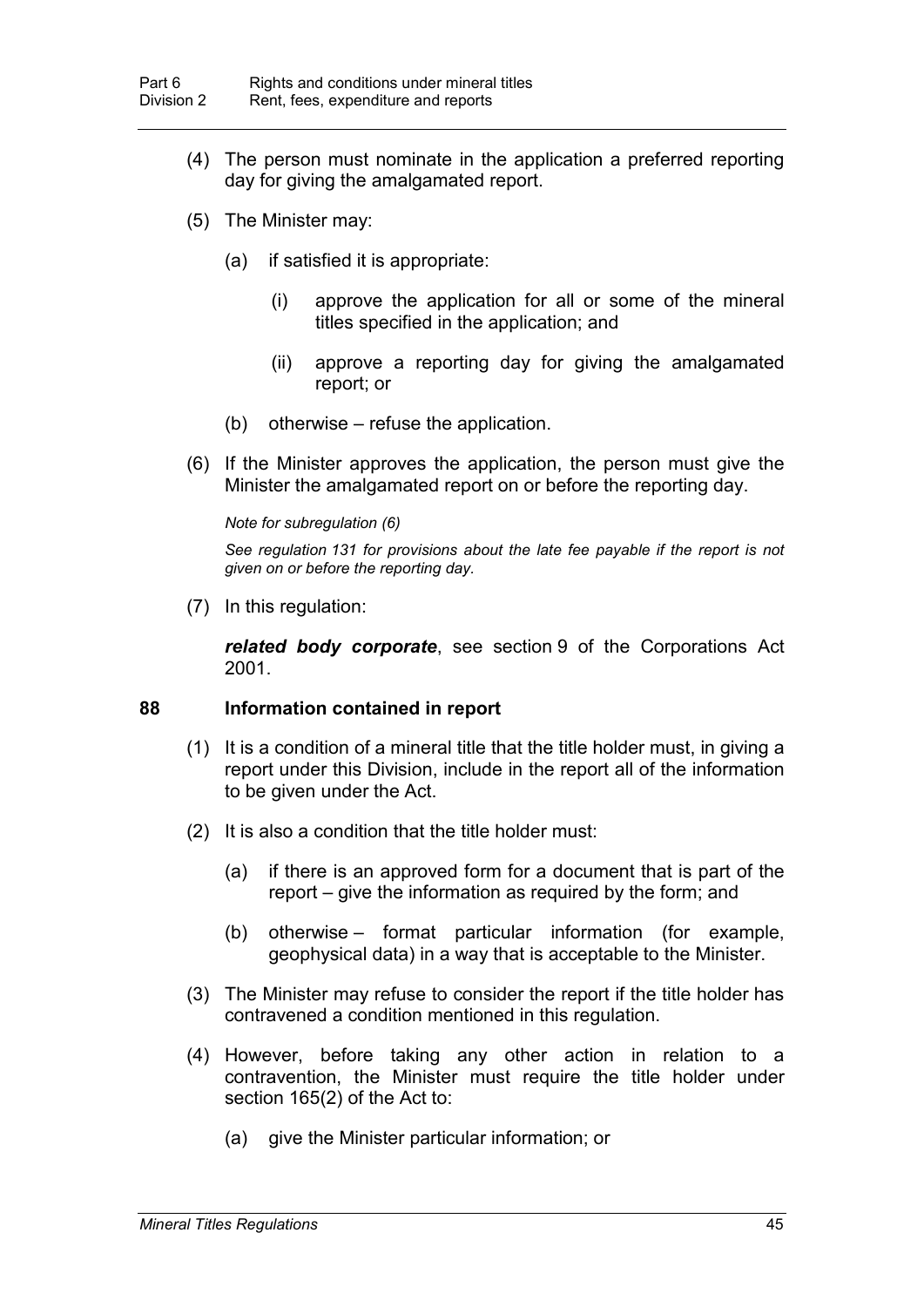- (4) The person must nominate in the application a preferred reporting day for giving the amalgamated report.
- (5) The Minister may:
	- (a) if satisfied it is appropriate:
		- (i) approve the application for all or some of the mineral titles specified in the application; and
		- (ii) approve a reporting day for giving the amalgamated report; or
	- (b) otherwise refuse the application.
- (6) If the Minister approves the application, the person must give the Minister the amalgamated report on or before the reporting day.

#### *Note for subregulation (6)*

*See regulation 131 for provisions about the late fee payable if the report is not given on or before the reporting day.*

(7) In this regulation:

*related body corporate*, see section 9 of the Corporations Act 2001.

## **88 Information contained in report**

- (1) It is a condition of a mineral title that the title holder must, in giving a report under this Division, include in the report all of the information to be given under the Act.
- (2) It is also a condition that the title holder must:
	- (a) if there is an approved form for a document that is part of the report – give the information as required by the form; and
	- (b) otherwise format particular information (for example, geophysical data) in a way that is acceptable to the Minister.
- (3) The Minister may refuse to consider the report if the title holder has contravened a condition mentioned in this regulation.
- (4) However, before taking any other action in relation to a contravention, the Minister must require the title holder under section 165(2) of the Act to:
	- (a) give the Minister particular information; or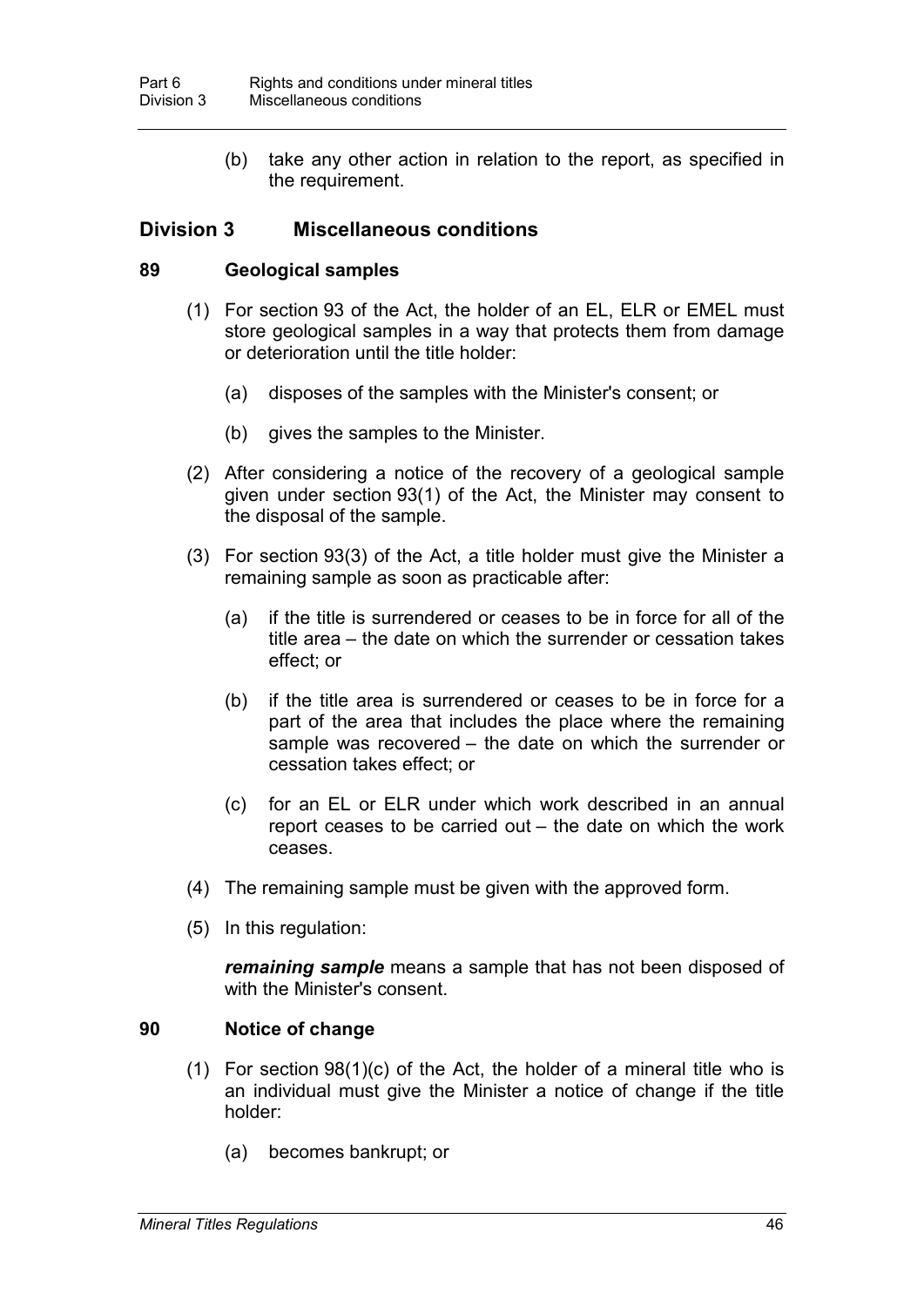(b) take any other action in relation to the report, as specified in the requirement.

# **Division 3 Miscellaneous conditions**

## **89 Geological samples**

- (1) For section 93 of the Act, the holder of an EL, ELR or EMEL must store geological samples in a way that protects them from damage or deterioration until the title holder:
	- (a) disposes of the samples with the Minister's consent; or
	- (b) gives the samples to the Minister.
- (2) After considering a notice of the recovery of a geological sample given under section 93(1) of the Act, the Minister may consent to the disposal of the sample.
- (3) For section 93(3) of the Act, a title holder must give the Minister a remaining sample as soon as practicable after:
	- (a) if the title is surrendered or ceases to be in force for all of the title area – the date on which the surrender or cessation takes effect; or
	- (b) if the title area is surrendered or ceases to be in force for a part of the area that includes the place where the remaining sample was recovered – the date on which the surrender or cessation takes effect; or
	- (c) for an EL or ELR under which work described in an annual report ceases to be carried out – the date on which the work ceases.
- (4) The remaining sample must be given with the approved form.
- (5) In this regulation:

*remaining sample* means a sample that has not been disposed of with the Minister's consent.

## **90 Notice of change**

- (1) For section  $98(1)(c)$  of the Act, the holder of a mineral title who is an individual must give the Minister a notice of change if the title holder:
	- (a) becomes bankrupt; or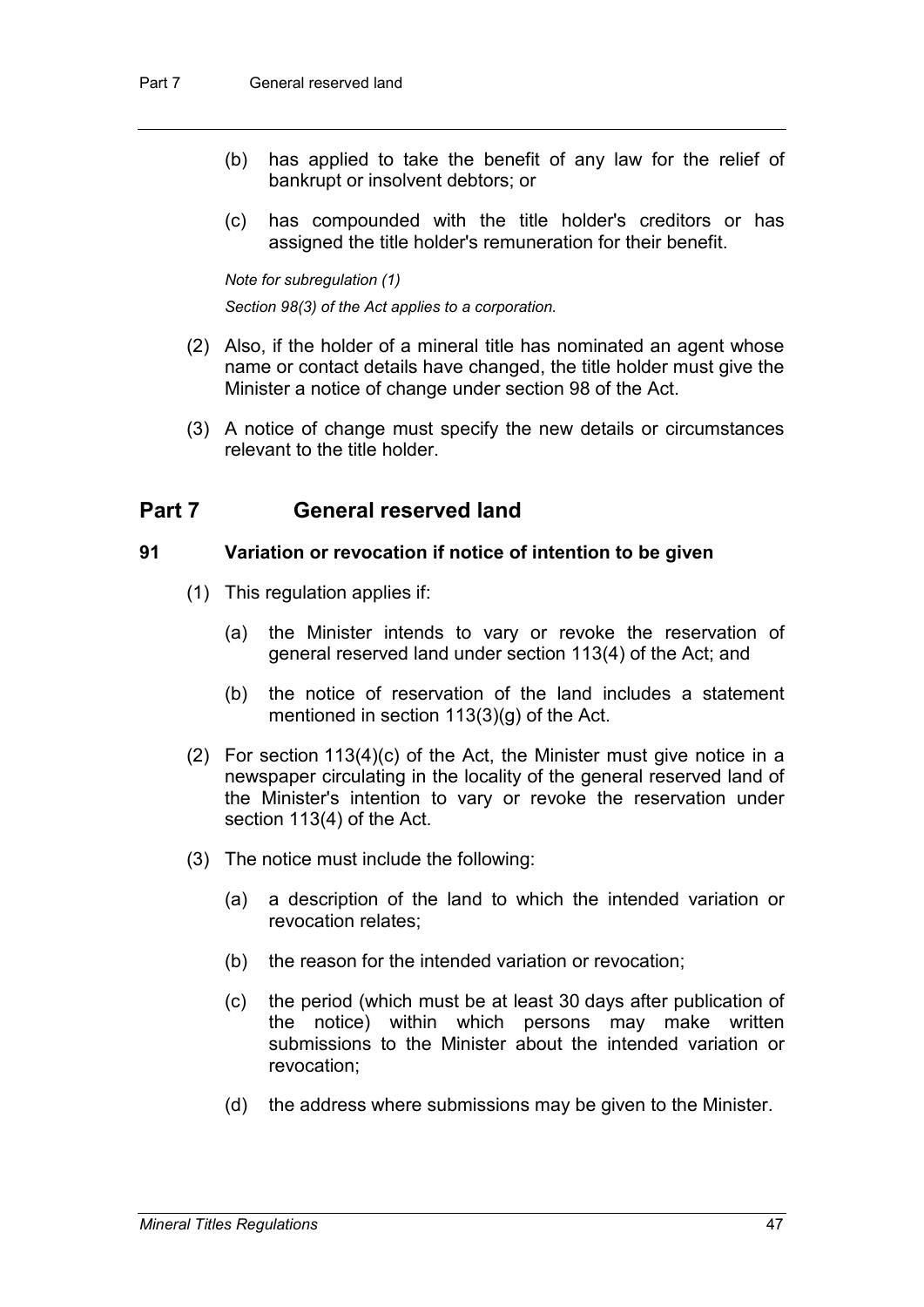- (b) has applied to take the benefit of any law for the relief of bankrupt or insolvent debtors; or
- (c) has compounded with the title holder's creditors or has assigned the title holder's remuneration for their benefit.

*Note for subregulation (1)*

*Section 98(3) of the Act applies to a corporation.*

- (2) Also, if the holder of a mineral title has nominated an agent whose name or contact details have changed, the title holder must give the Minister a notice of change under section 98 of the Act.
- (3) A notice of change must specify the new details or circumstances relevant to the title holder.

# **Part 7 General reserved land**

## **91 Variation or revocation if notice of intention to be given**

- (1) This regulation applies if:
	- (a) the Minister intends to vary or revoke the reservation of general reserved land under section 113(4) of the Act; and
	- (b) the notice of reservation of the land includes a statement mentioned in section 113(3)(g) of the Act.
- (2) For section 113(4)(c) of the Act, the Minister must give notice in a newspaper circulating in the locality of the general reserved land of the Minister's intention to vary or revoke the reservation under section 113(4) of the Act.
- (3) The notice must include the following:
	- (a) a description of the land to which the intended variation or revocation relates;
	- (b) the reason for the intended variation or revocation;
	- (c) the period (which must be at least 30 days after publication of the notice) within which persons may make written submissions to the Minister about the intended variation or revocation;
	- (d) the address where submissions may be given to the Minister.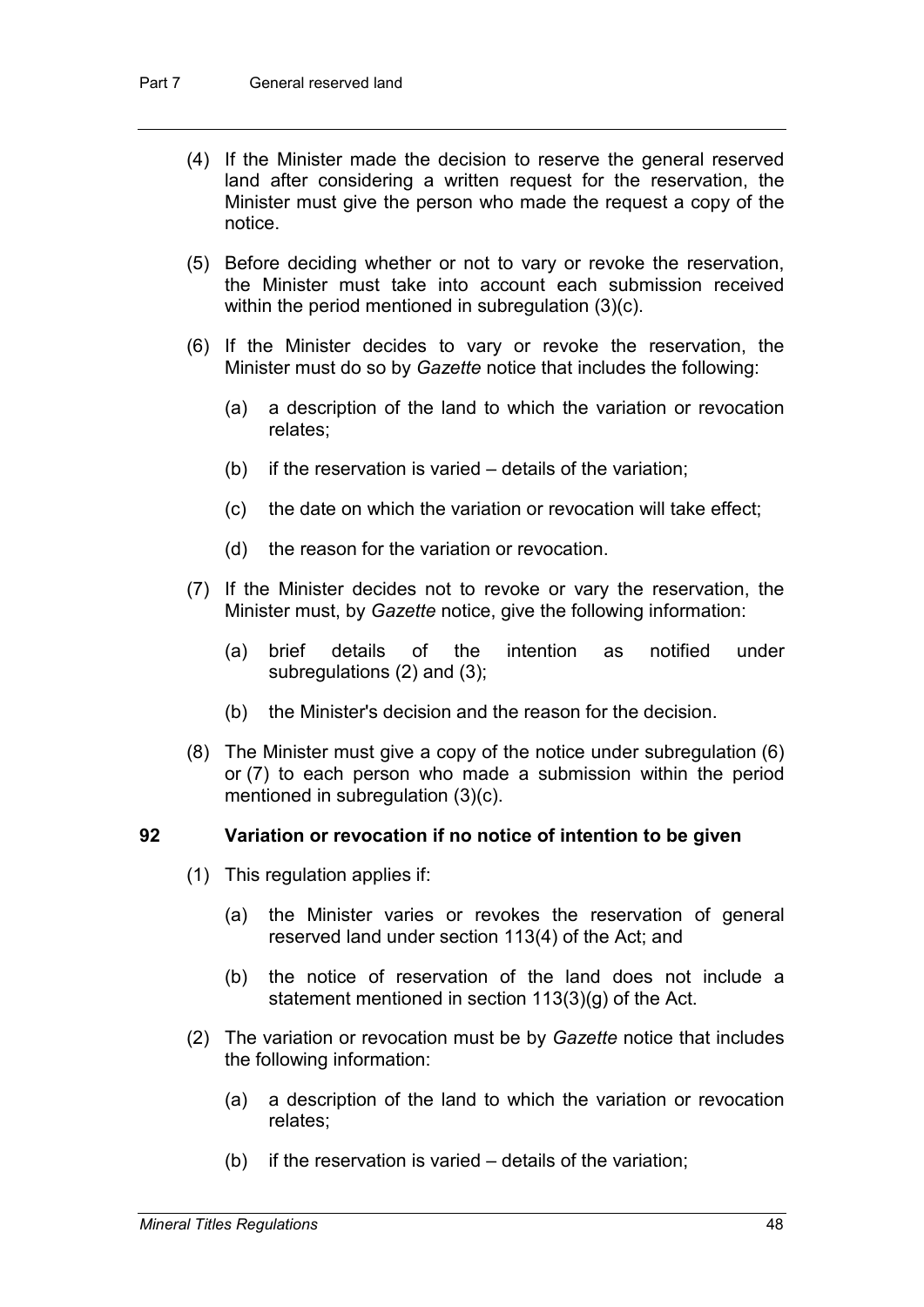- (4) If the Minister made the decision to reserve the general reserved land after considering a written request for the reservation, the Minister must give the person who made the request a copy of the notice.
- (5) Before deciding whether or not to vary or revoke the reservation, the Minister must take into account each submission received within the period mentioned in subregulation (3)(c).
- (6) If the Minister decides to vary or revoke the reservation, the Minister must do so by *Gazette* notice that includes the following:
	- (a) a description of the land to which the variation or revocation relates;
	- (b) if the reservation is varied details of the variation;
	- (c) the date on which the variation or revocation will take effect;
	- (d) the reason for the variation or revocation.
- (7) If the Minister decides not to revoke or vary the reservation, the Minister must, by *Gazette* notice, give the following information:
	- (a) brief details of the intention as notified under subregulations (2) and (3);
	- (b) the Minister's decision and the reason for the decision.
- (8) The Minister must give a copy of the notice under subregulation (6) or (7) to each person who made a submission within the period mentioned in subregulation (3)(c).

#### **92 Variation or revocation if no notice of intention to be given**

- (1) This regulation applies if:
	- (a) the Minister varies or revokes the reservation of general reserved land under section 113(4) of the Act; and
	- (b) the notice of reservation of the land does not include a statement mentioned in section 113(3)(g) of the Act.
- (2) The variation or revocation must be by *Gazette* notice that includes the following information:
	- (a) a description of the land to which the variation or revocation relates;
	- (b) if the reservation is varied details of the variation;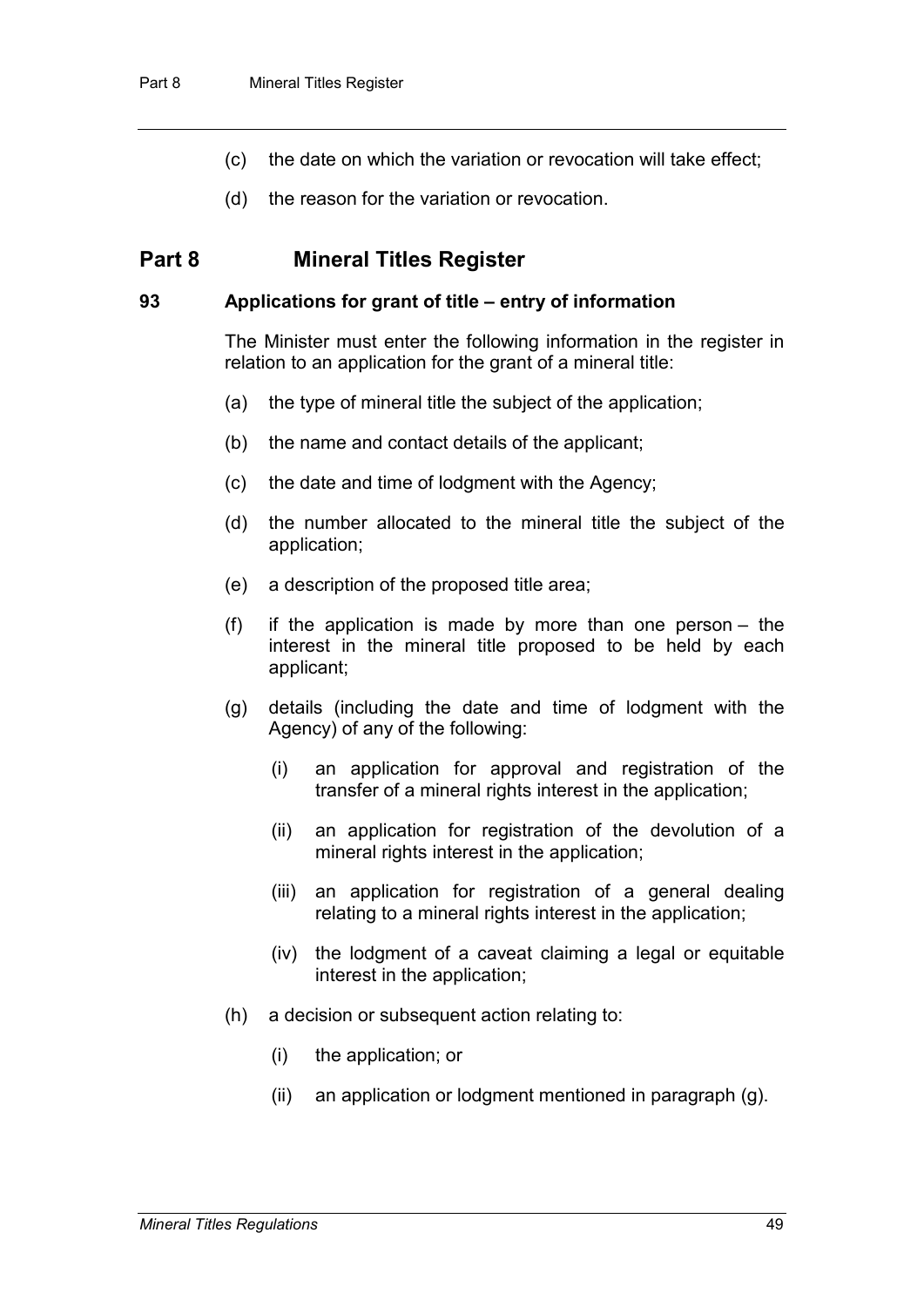- (c) the date on which the variation or revocation will take effect;
- (d) the reason for the variation or revocation.

# **Part 8 Mineral Titles Register**

### **93 Applications for grant of title – entry of information**

The Minister must enter the following information in the register in relation to an application for the grant of a mineral title:

- (a) the type of mineral title the subject of the application;
- (b) the name and contact details of the applicant;
- (c) the date and time of lodgment with the Agency;
- (d) the number allocated to the mineral title the subject of the application;
- (e) a description of the proposed title area;
- (f) if the application is made by more than one person the interest in the mineral title proposed to be held by each applicant;
- (g) details (including the date and time of lodgment with the Agency) of any of the following:
	- (i) an application for approval and registration of the transfer of a mineral rights interest in the application;
	- (ii) an application for registration of the devolution of a mineral rights interest in the application;
	- (iii) an application for registration of a general dealing relating to a mineral rights interest in the application:
	- (iv) the lodgment of a caveat claiming a legal or equitable interest in the application;
- (h) a decision or subsequent action relating to:
	- (i) the application; or
	- (ii) an application or lodgment mentioned in paragraph (g).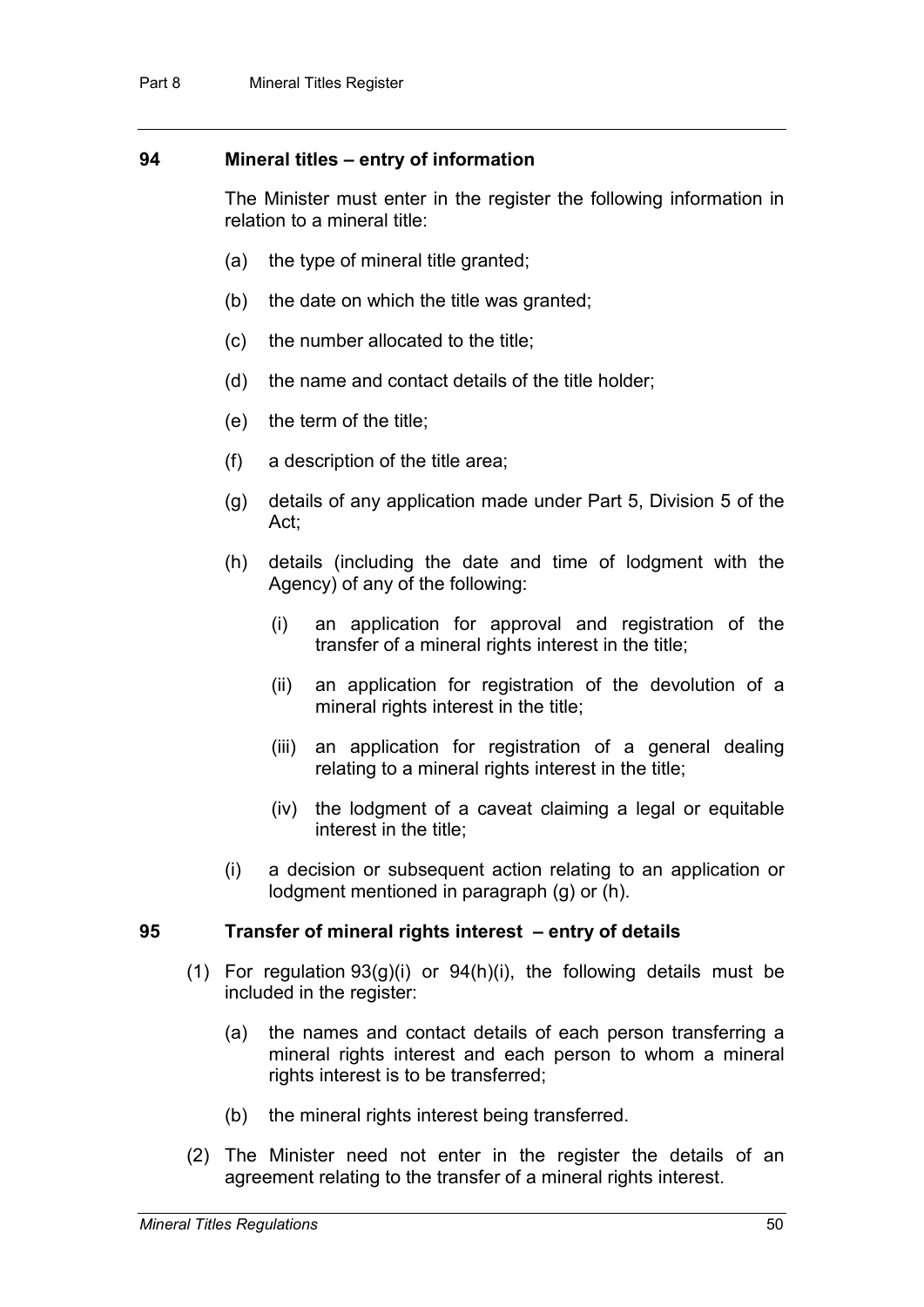## **94 Mineral titles – entry of information**

The Minister must enter in the register the following information in relation to a mineral title:

- (a) the type of mineral title granted;
- (b) the date on which the title was granted;
- (c) the number allocated to the title;
- (d) the name and contact details of the title holder;
- (e) the term of the title;
- (f) a description of the title area;
- (g) details of any application made under Part 5, Division 5 of the Act;
- (h) details (including the date and time of lodgment with the Agency) of any of the following:
	- (i) an application for approval and registration of the transfer of a mineral rights interest in the title;
	- (ii) an application for registration of the devolution of a mineral rights interest in the title;
	- (iii) an application for registration of a general dealing relating to a mineral rights interest in the title;
	- (iv) the lodgment of a caveat claiming a legal or equitable interest in the title;
- (i) a decision or subsequent action relating to an application or lodgment mentioned in paragraph (g) or (h).

#### **95 Transfer of mineral rights interest – entry of details**

- (1) For regulation 93(g)(i) or 94(h)(i), the following details must be included in the register:
	- (a) the names and contact details of each person transferring a mineral rights interest and each person to whom a mineral rights interest is to be transferred;
	- (b) the mineral rights interest being transferred.
- (2) The Minister need not enter in the register the details of an agreement relating to the transfer of a mineral rights interest.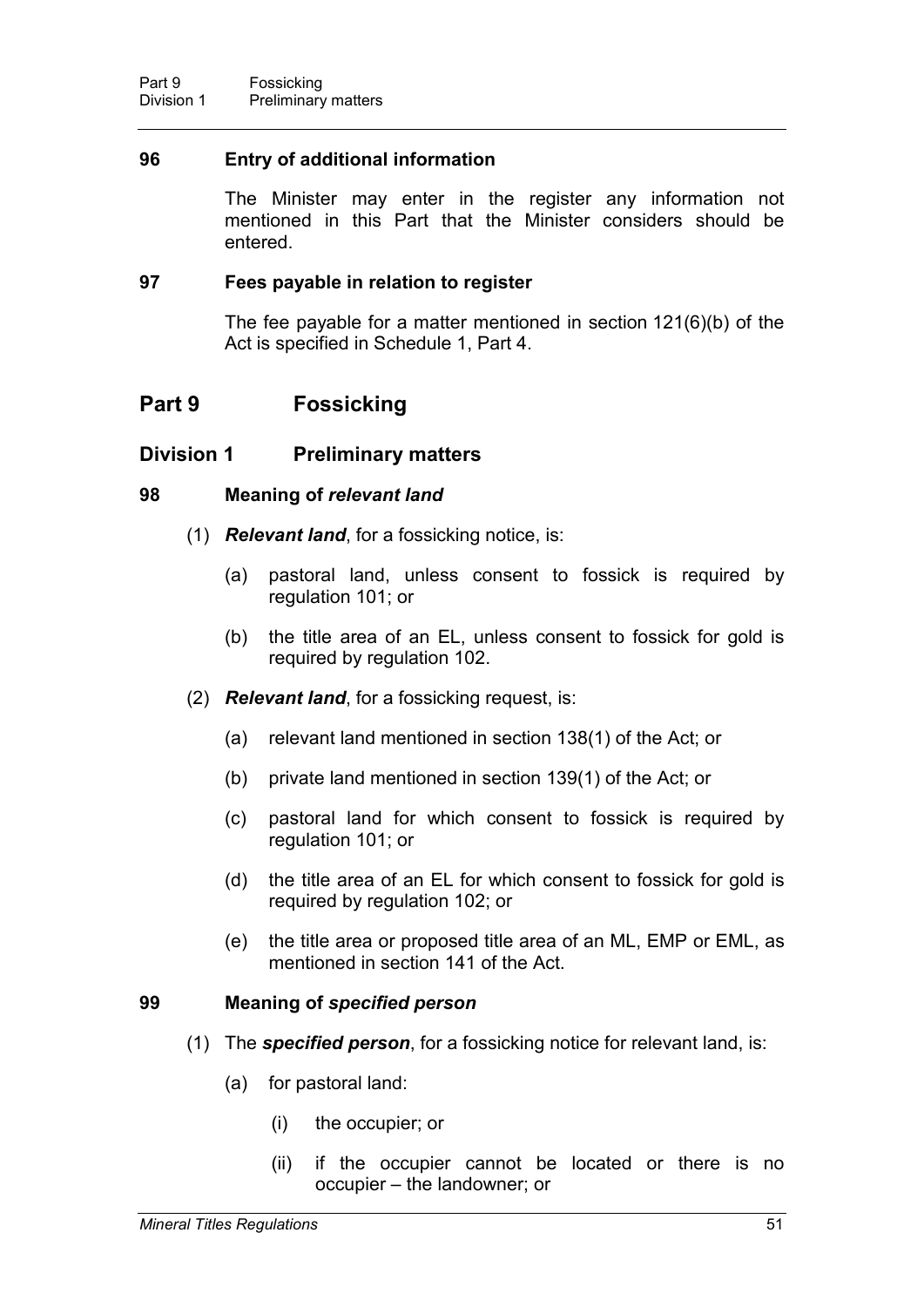## **96 Entry of additional information**

The Minister may enter in the register any information not mentioned in this Part that the Minister considers should be entered.

## **97 Fees payable in relation to register**

The fee payable for a matter mentioned in section 121(6)(b) of the Act is specified in Schedule 1, Part 4.

# **Part 9 Fossicking**

# **Division 1 Preliminary matters**

## **98 Meaning of** *relevant land*

- (1) *Relevant land*, for a fossicking notice, is:
	- (a) pastoral land, unless consent to fossick is required by regulation 101; or
	- (b) the title area of an EL, unless consent to fossick for gold is required by regulation 102.
- (2) *Relevant land*, for a fossicking request, is:
	- (a) relevant land mentioned in section 138(1) of the Act; or
	- (b) private land mentioned in section 139(1) of the Act; or
	- (c) pastoral land for which consent to fossick is required by regulation 101; or
	- (d) the title area of an EL for which consent to fossick for gold is required by regulation 102; or
	- (e) the title area or proposed title area of an ML, EMP or EML, as mentioned in section 141 of the Act.

#### **99 Meaning of** *specified person*

- (1) The *specified person*, for a fossicking notice for relevant land, is:
	- (a) for pastoral land:
		- (i) the occupier; or
		- (ii) if the occupier cannot be located or there is no occupier – the landowner; or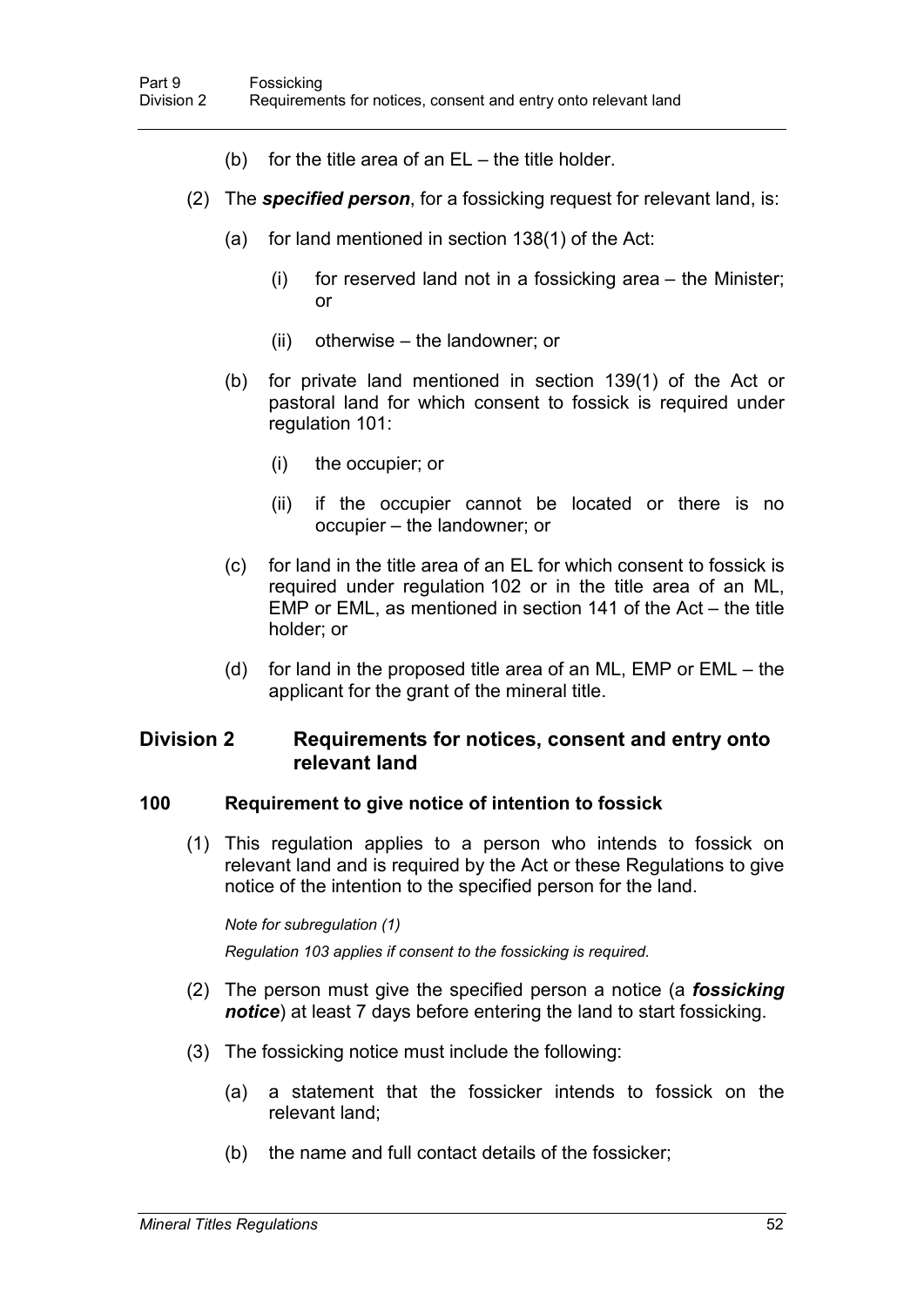- (b) for the title area of an  $EL -$  the title holder.
- (2) The *specified person*, for a fossicking request for relevant land, is:
	- (a) for land mentioned in section 138(1) of the Act:
		- (i) for reserved land not in a fossicking area the Minister; or
		- (ii) otherwise the landowner; or
	- (b) for private land mentioned in section 139(1) of the Act or pastoral land for which consent to fossick is required under regulation 101:
		- (i) the occupier; or
		- (ii) if the occupier cannot be located or there is no occupier – the landowner; or
	- (c) for land in the title area of an EL for which consent to fossick is required under regulation 102 or in the title area of an ML, EMP or EML, as mentioned in section 141 of the Act – the title holder; or
	- (d) for land in the proposed title area of an ML, EMP or EML the applicant for the grant of the mineral title.

# **Division 2 Requirements for notices, consent and entry onto relevant land**

#### **100 Requirement to give notice of intention to fossick**

(1) This regulation applies to a person who intends to fossick on relevant land and is required by the Act or these Regulations to give notice of the intention to the specified person for the land.

#### *Note for subregulation (1)*

*Regulation 103 applies if consent to the fossicking is required.*

- (2) The person must give the specified person a notice (a *fossicking notice*) at least 7 days before entering the land to start fossicking.
- (3) The fossicking notice must include the following:
	- (a) a statement that the fossicker intends to fossick on the relevant land;
	- (b) the name and full contact details of the fossicker;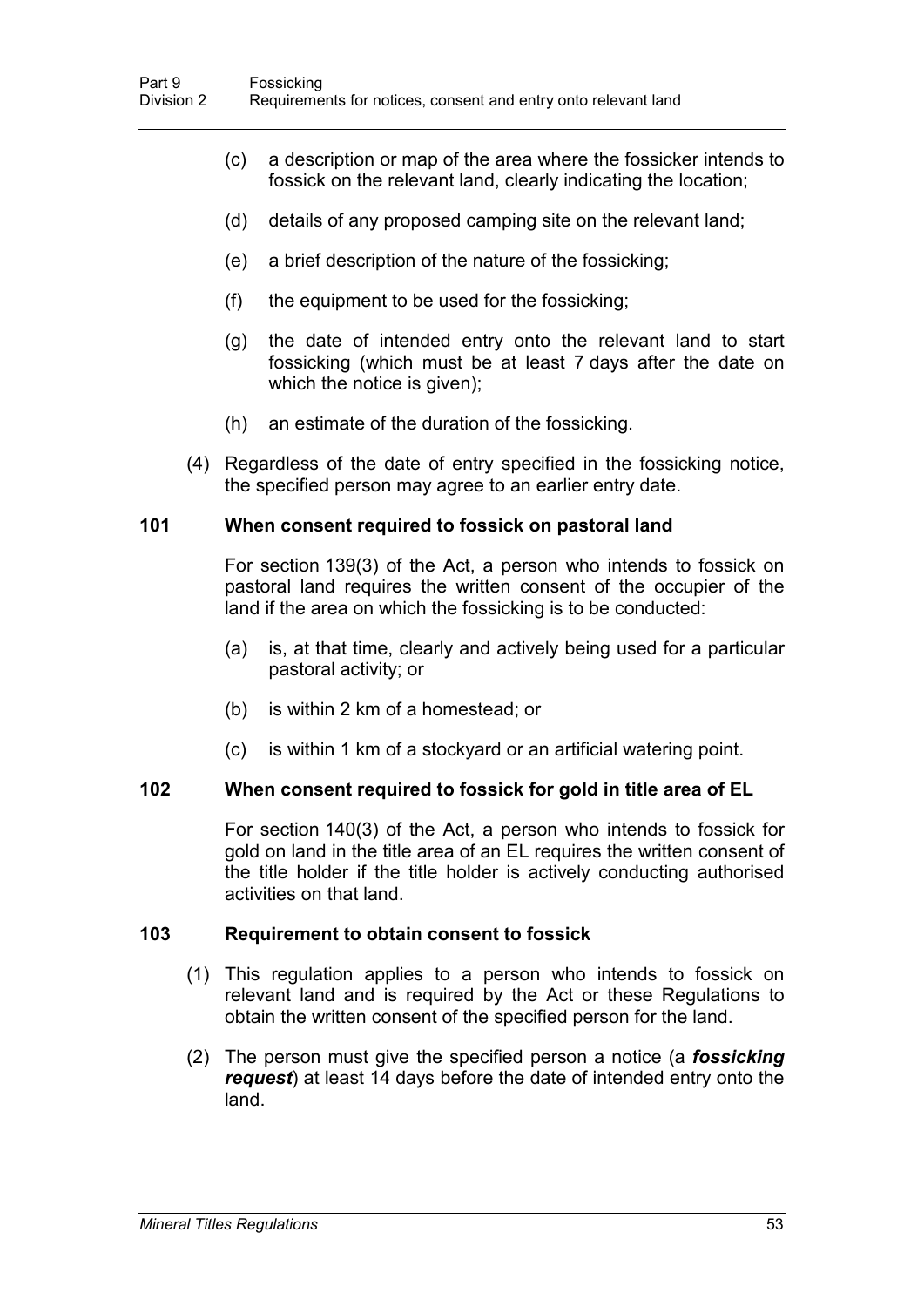- (c) a description or map of the area where the fossicker intends to fossick on the relevant land, clearly indicating the location;
- (d) details of any proposed camping site on the relevant land;
- (e) a brief description of the nature of the fossicking;
- (f) the equipment to be used for the fossicking;
- (g) the date of intended entry onto the relevant land to start fossicking (which must be at least 7 days after the date on which the notice is given);
- (h) an estimate of the duration of the fossicking.
- (4) Regardless of the date of entry specified in the fossicking notice, the specified person may agree to an earlier entry date.

## **101 When consent required to fossick on pastoral land**

For section 139(3) of the Act, a person who intends to fossick on pastoral land requires the written consent of the occupier of the land if the area on which the fossicking is to be conducted:

- (a) is, at that time, clearly and actively being used for a particular pastoral activity; or
- (b) is within 2 km of a homestead; or
- (c) is within 1 km of a stockyard or an artificial watering point.

## **102 When consent required to fossick for gold in title area of EL**

For section 140(3) of the Act, a person who intends to fossick for gold on land in the title area of an EL requires the written consent of the title holder if the title holder is actively conducting authorised activities on that land.

## **103 Requirement to obtain consent to fossick**

- (1) This regulation applies to a person who intends to fossick on relevant land and is required by the Act or these Regulations to obtain the written consent of the specified person for the land.
- (2) The person must give the specified person a notice (a *fossicking request*) at least 14 days before the date of intended entry onto the land.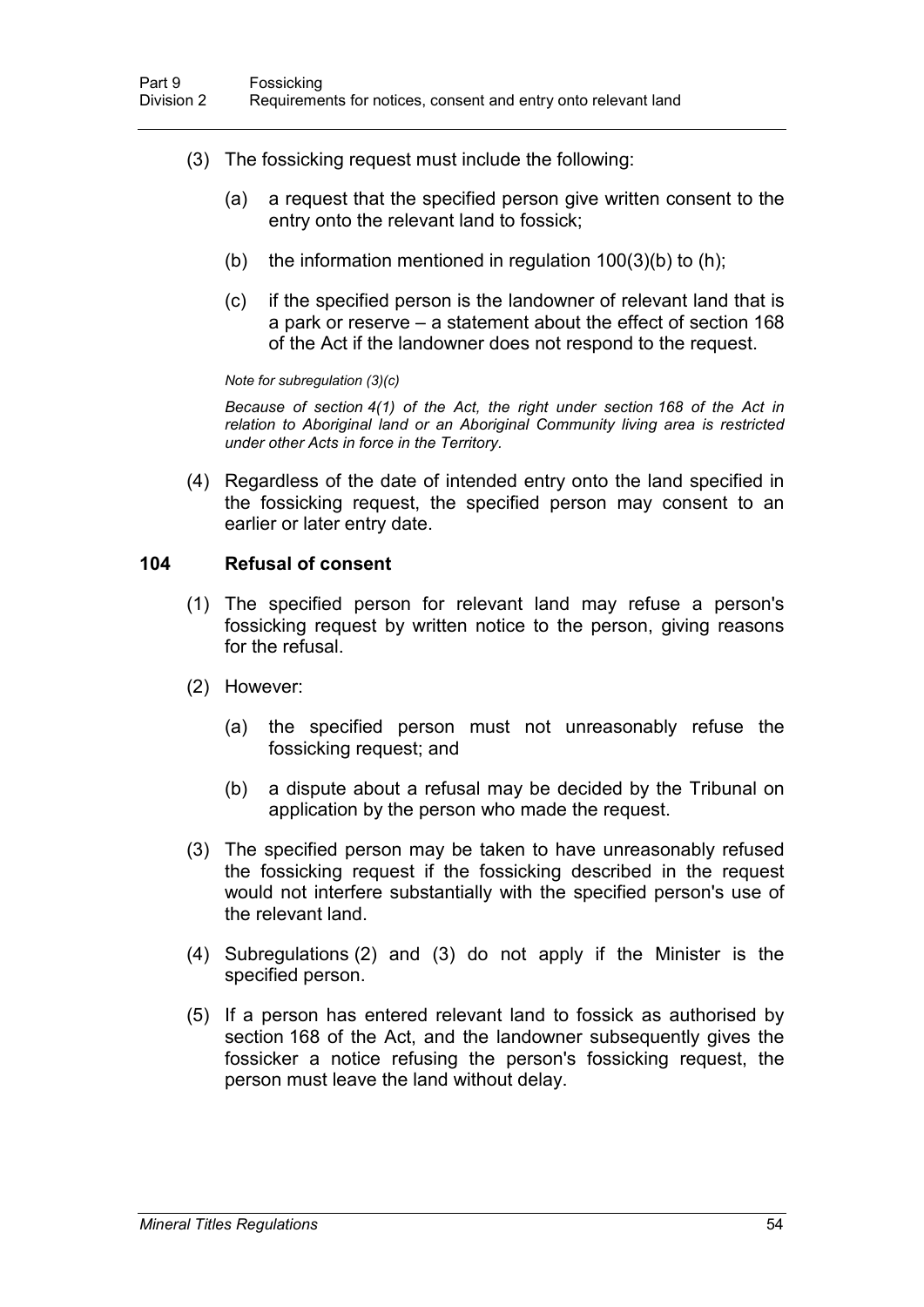- (3) The fossicking request must include the following:
	- (a) a request that the specified person give written consent to the entry onto the relevant land to fossick;
	- (b) the information mentioned in regulation  $100(3)(b)$  to  $(h)$ ;
	- (c) if the specified person is the landowner of relevant land that is a park or reserve – a statement about the effect of section 168 of the Act if the landowner does not respond to the request.

#### *Note for subregulation (3)(c)*

*Because of section 4(1) of the Act, the right under section 168 of the Act in relation to Aboriginal land or an Aboriginal Community living area is restricted under other Acts in force in the Territory.*

(4) Regardless of the date of intended entry onto the land specified in the fossicking request, the specified person may consent to an earlier or later entry date.

#### **104 Refusal of consent**

- (1) The specified person for relevant land may refuse a person's fossicking request by written notice to the person, giving reasons for the refusal.
- (2) However:
	- (a) the specified person must not unreasonably refuse the fossicking request; and
	- (b) a dispute about a refusal may be decided by the Tribunal on application by the person who made the request.
- (3) The specified person may be taken to have unreasonably refused the fossicking request if the fossicking described in the request would not interfere substantially with the specified person's use of the relevant land.
- (4) Subregulations (2) and (3) do not apply if the Minister is the specified person.
- (5) If a person has entered relevant land to fossick as authorised by section 168 of the Act, and the landowner subsequently gives the fossicker a notice refusing the person's fossicking request, the person must leave the land without delay.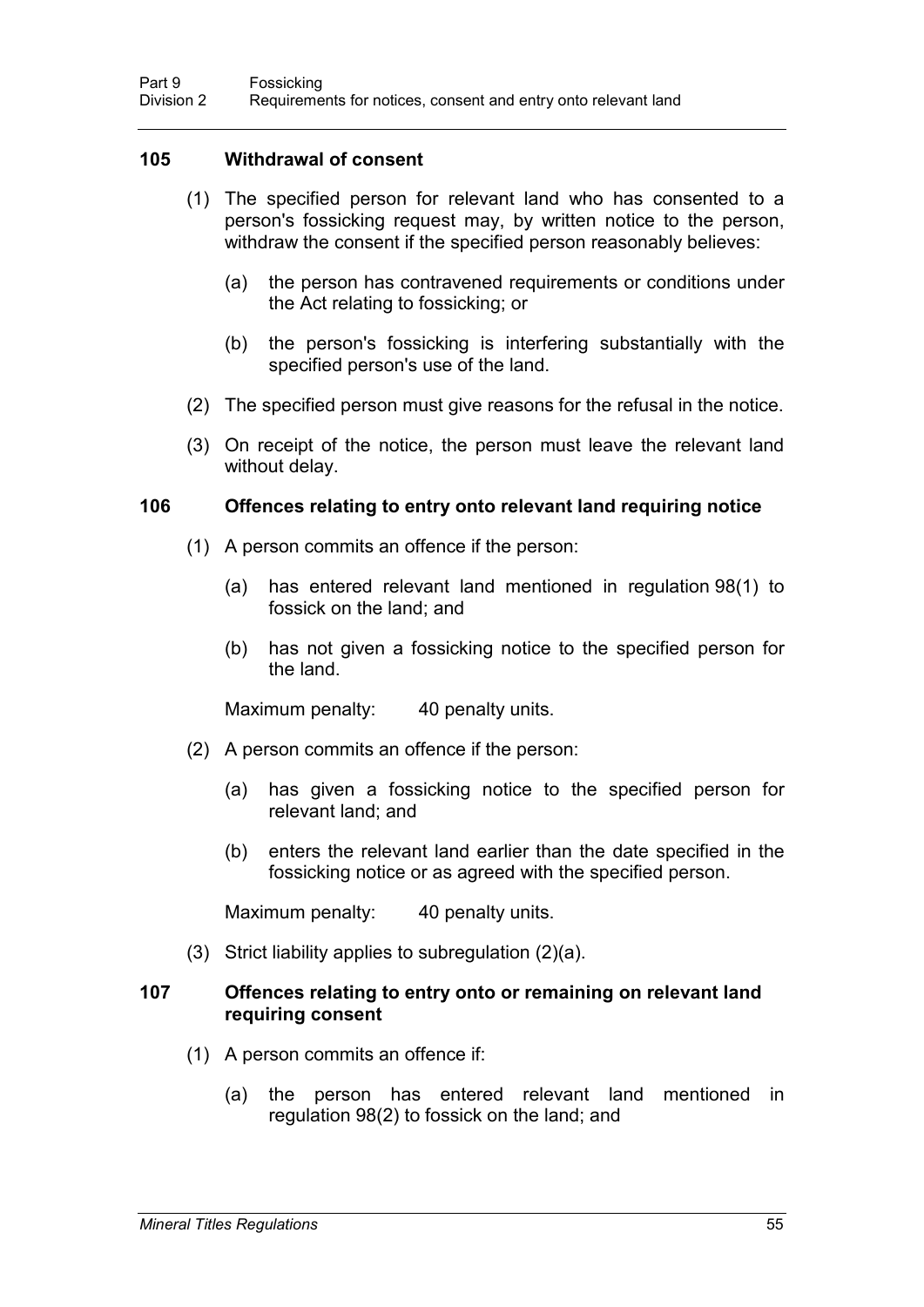### **105 Withdrawal of consent**

- (1) The specified person for relevant land who has consented to a person's fossicking request may, by written notice to the person, withdraw the consent if the specified person reasonably believes:
	- (a) the person has contravened requirements or conditions under the Act relating to fossicking; or
	- (b) the person's fossicking is interfering substantially with the specified person's use of the land.
- (2) The specified person must give reasons for the refusal in the notice.
- (3) On receipt of the notice, the person must leave the relevant land without delay.

#### **106 Offences relating to entry onto relevant land requiring notice**

- (1) A person commits an offence if the person:
	- (a) has entered relevant land mentioned in regulation 98(1) to fossick on the land; and
	- (b) has not given a fossicking notice to the specified person for the land.

Maximum penalty: 40 penalty units.

- (2) A person commits an offence if the person:
	- (a) has given a fossicking notice to the specified person for relevant land; and
	- (b) enters the relevant land earlier than the date specified in the fossicking notice or as agreed with the specified person.

Maximum penalty: 40 penalty units.

(3) Strict liability applies to subregulation (2)(a).

## **107 Offences relating to entry onto or remaining on relevant land requiring consent**

- (1) A person commits an offence if:
	- (a) the person has entered relevant land mentioned in regulation 98(2) to fossick on the land; and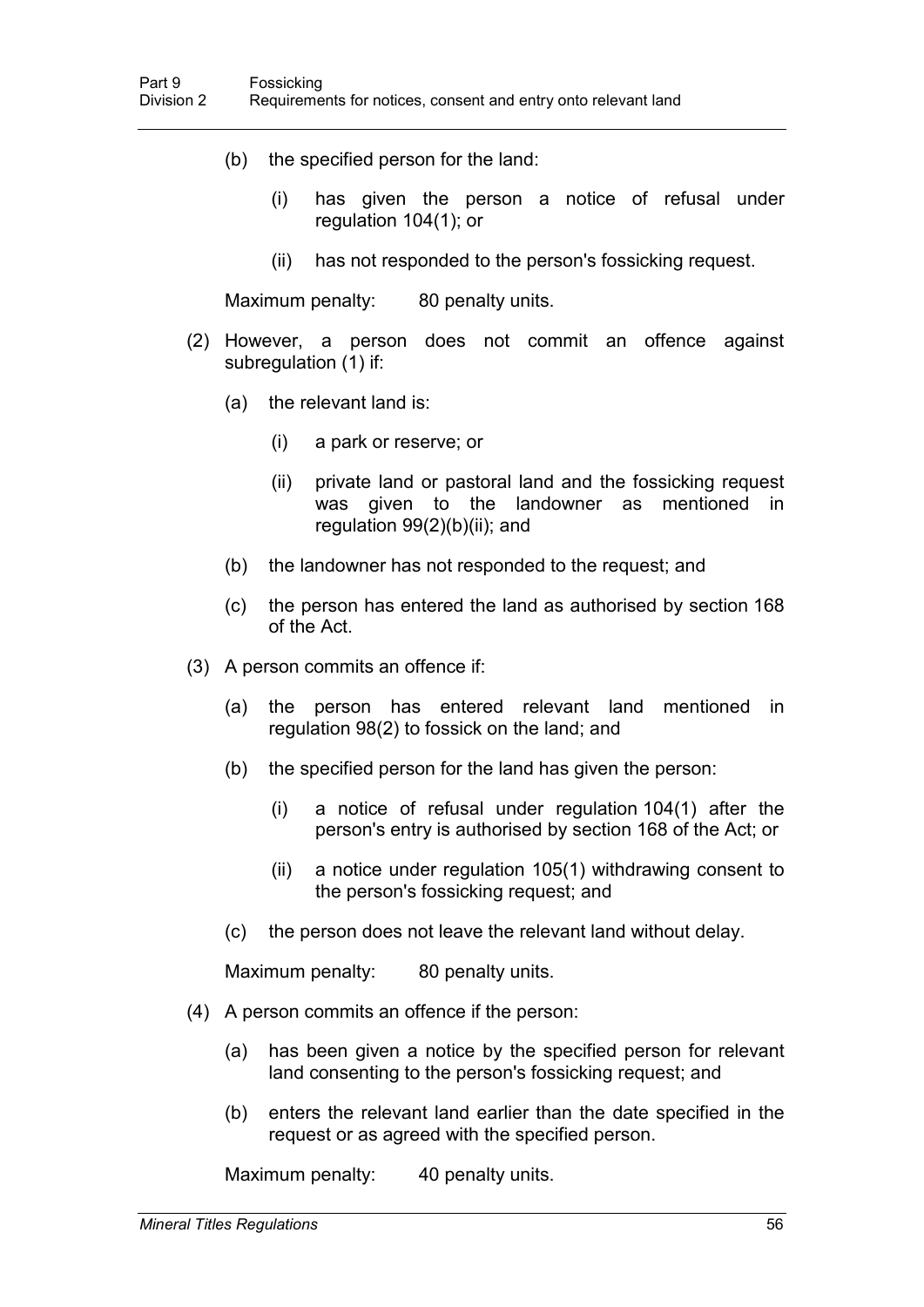- (b) the specified person for the land:
	- (i) has given the person a notice of refusal under regulation 104(1); or
	- (ii) has not responded to the person's fossicking request.

Maximum penalty: 80 penalty units.

- (2) However, a person does not commit an offence against subregulation (1) if:
	- (a) the relevant land is:
		- (i) a park or reserve; or
		- (ii) private land or pastoral land and the fossicking request was given to the landowner as mentioned in regulation 99(2)(b)(ii); and
	- (b) the landowner has not responded to the request; and
	- (c) the person has entered the land as authorised by section 168 of the Act.
- (3) A person commits an offence if:
	- (a) the person has entered relevant land mentioned in regulation 98(2) to fossick on the land; and
	- (b) the specified person for the land has given the person:
		- (i) a notice of refusal under regulation 104(1) after the person's entry is authorised by section 168 of the Act; or
		- (ii) a notice under regulation 105(1) withdrawing consent to the person's fossicking request; and
	- (c) the person does not leave the relevant land without delay.

Maximum penalty: 80 penalty units.

- (4) A person commits an offence if the person:
	- (a) has been given a notice by the specified person for relevant land consenting to the person's fossicking request; and
	- (b) enters the relevant land earlier than the date specified in the request or as agreed with the specified person.

Maximum penalty: 40 penalty units.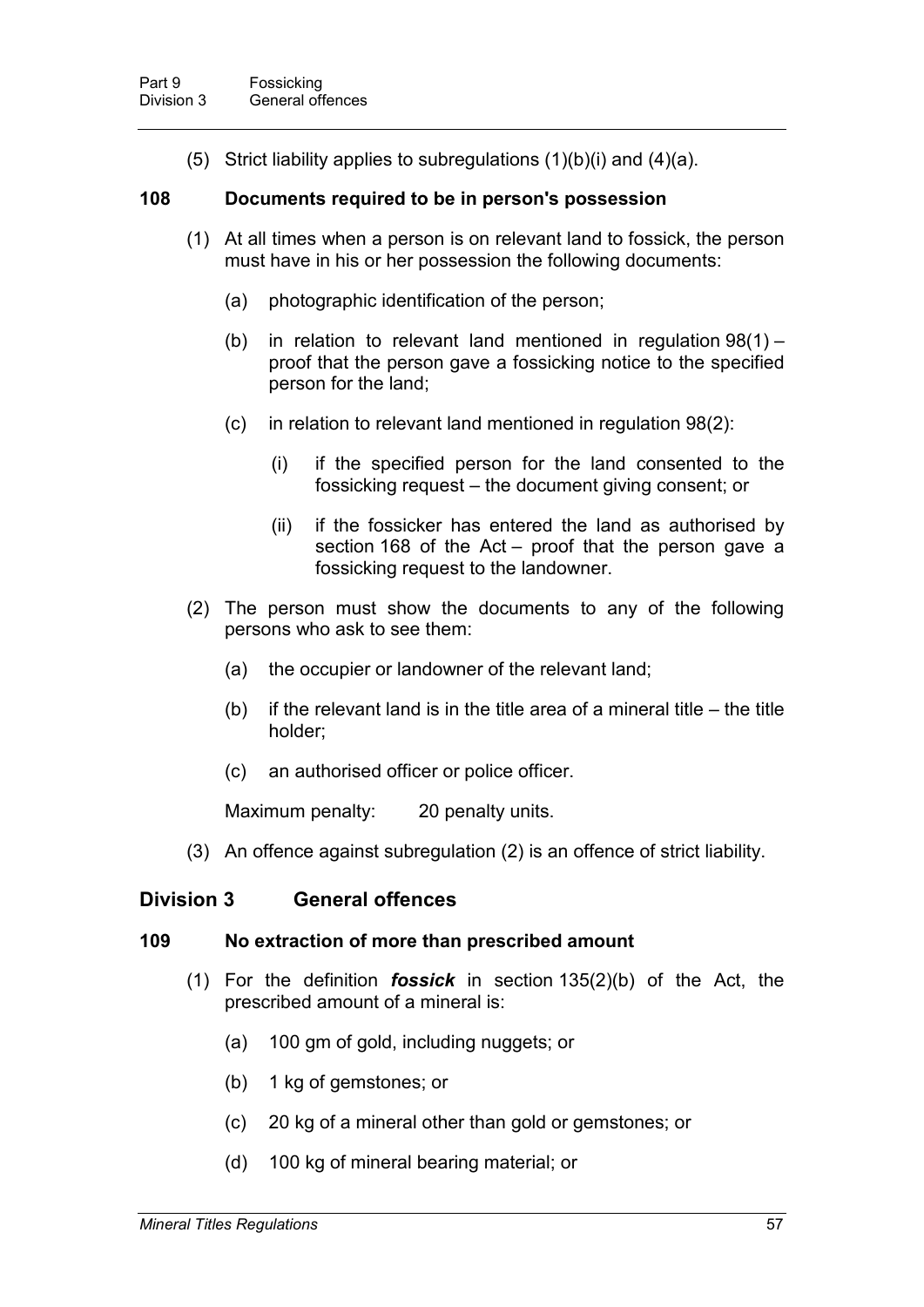(5) Strict liability applies to subregulations  $(1)(b)(i)$  and  $(4)(a)$ .

### **108 Documents required to be in person's possession**

- (1) At all times when a person is on relevant land to fossick, the person must have in his or her possession the following documents:
	- (a) photographic identification of the person;
	- (b) in relation to relevant land mentioned in regulation 98(1) proof that the person gave a fossicking notice to the specified person for the land;
	- (c) in relation to relevant land mentioned in regulation 98(2):
		- (i) if the specified person for the land consented to the fossicking request – the document giving consent; or
		- (ii) if the fossicker has entered the land as authorised by section 168 of the Act – proof that the person gave a fossicking request to the landowner.
- (2) The person must show the documents to any of the following persons who ask to see them:
	- (a) the occupier or landowner of the relevant land;
	- (b) if the relevant land is in the title area of a mineral title  $-$  the title holder;
	- (c) an authorised officer or police officer.

Maximum penalty: 20 penalty units.

(3) An offence against subregulation (2) is an offence of strict liability.

## **Division 3 General offences**

#### **109 No extraction of more than prescribed amount**

- (1) For the definition *fossick* in section 135(2)(b) of the Act, the prescribed amount of a mineral is:
	- (a) 100 gm of gold, including nuggets; or
	- (b) 1 kg of gemstones; or
	- (c) 20 kg of a mineral other than gold or gemstones; or
	- (d) 100 kg of mineral bearing material; or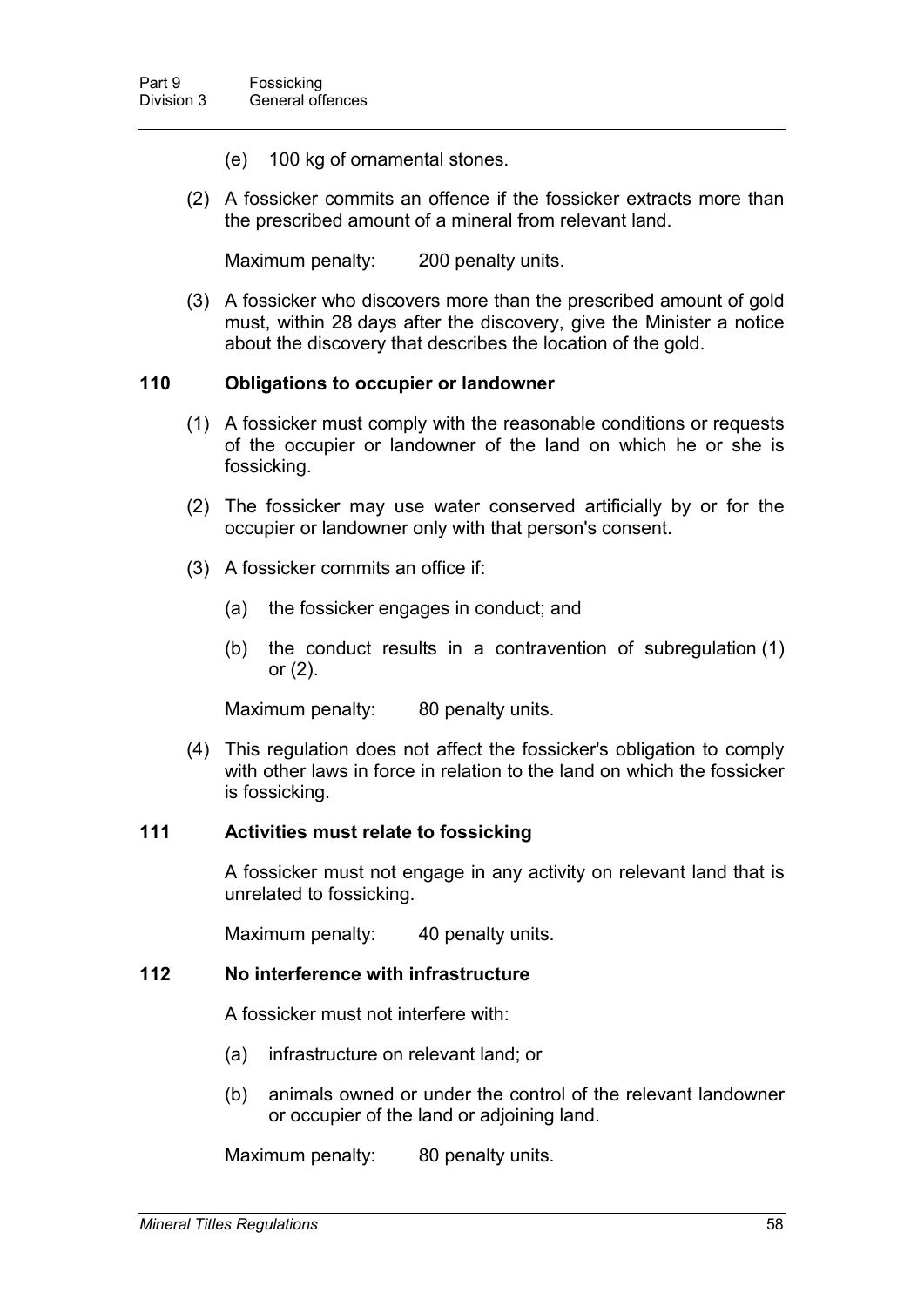- (e) 100 kg of ornamental stones.
- (2) A fossicker commits an offence if the fossicker extracts more than the prescribed amount of a mineral from relevant land.

Maximum penalty: 200 penalty units.

(3) A fossicker who discovers more than the prescribed amount of gold must, within 28 days after the discovery, give the Minister a notice about the discovery that describes the location of the gold.

### **110 Obligations to occupier or landowner**

- (1) A fossicker must comply with the reasonable conditions or requests of the occupier or landowner of the land on which he or she is fossicking.
- (2) The fossicker may use water conserved artificially by or for the occupier or landowner only with that person's consent.
- (3) A fossicker commits an office if:
	- (a) the fossicker engages in conduct; and
	- (b) the conduct results in a contravention of subregulation (1) or (2).

Maximum penalty: 80 penalty units.

(4) This regulation does not affect the fossicker's obligation to comply with other laws in force in relation to the land on which the fossicker is fossicking.

#### **111 Activities must relate to fossicking**

A fossicker must not engage in any activity on relevant land that is unrelated to fossicking.

Maximum penalty: 40 penalty units.

#### **112 No interference with infrastructure**

A fossicker must not interfere with:

- (a) infrastructure on relevant land; or
- (b) animals owned or under the control of the relevant landowner or occupier of the land or adjoining land.

Maximum penalty: 80 penalty units.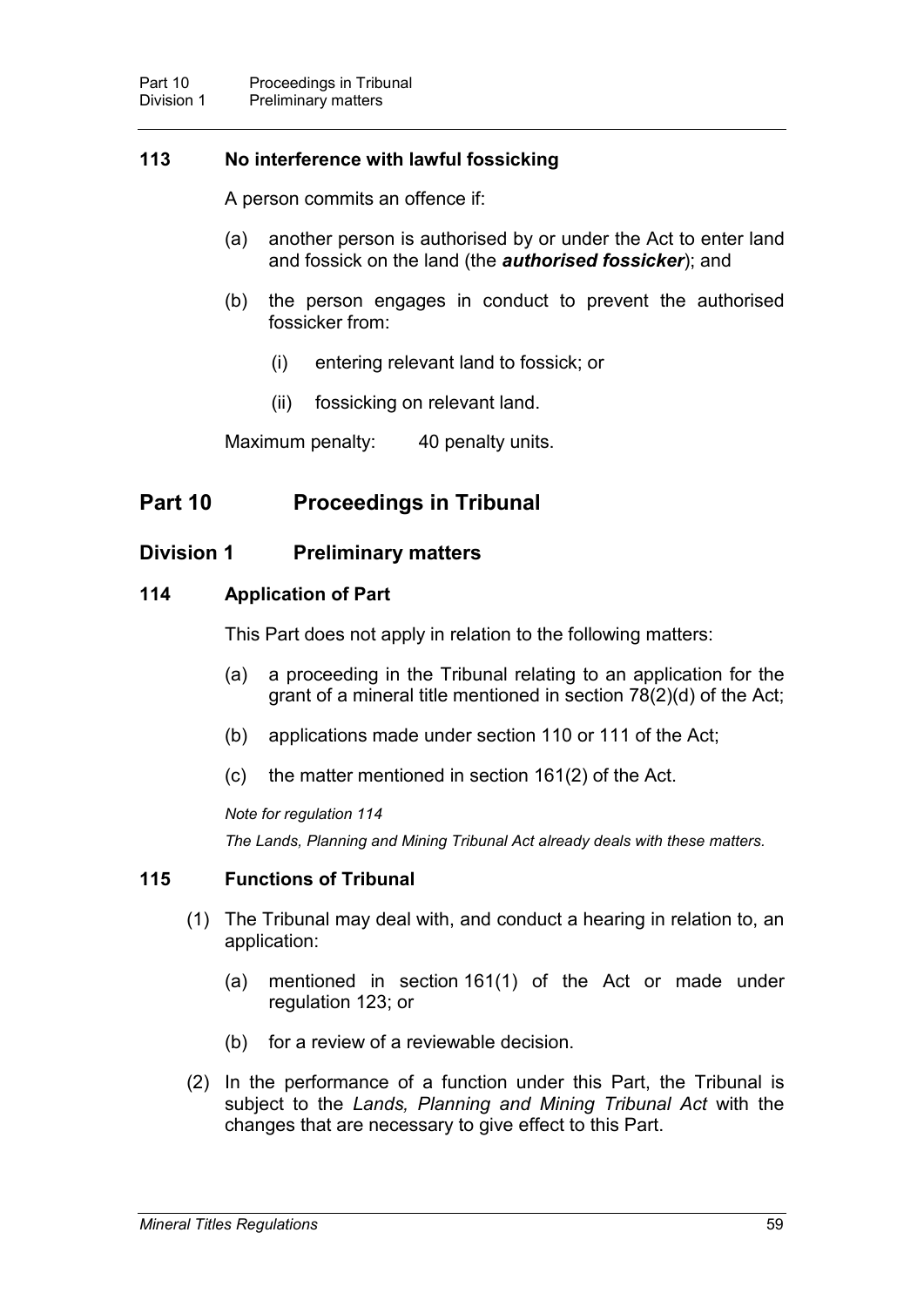## **113 No interference with lawful fossicking**

A person commits an offence if:

- (a) another person is authorised by or under the Act to enter land and fossick on the land (the *authorised fossicker*); and
- (b) the person engages in conduct to prevent the authorised fossicker from:
	- (i) entering relevant land to fossick; or
	- (ii) fossicking on relevant land.

Maximum penalty: 40 penalty units.

# **Part 10 Proceedings in Tribunal**

## **Division 1 Preliminary matters**

## **114 Application of Part**

This Part does not apply in relation to the following matters:

- (a) a proceeding in the Tribunal relating to an application for the grant of a mineral title mentioned in section 78(2)(d) of the Act;
- (b) applications made under section 110 or 111 of the Act;
- (c) the matter mentioned in section 161(2) of the Act.

#### *Note for regulation 114*

*The Lands, Planning and Mining Tribunal Act already deals with these matters.*

## **115 Functions of Tribunal**

- (1) The Tribunal may deal with, and conduct a hearing in relation to, an application:
	- (a) mentioned in section 161(1) of the Act or made under regulation 123; or
	- (b) for a review of a reviewable decision.
- (2) In the performance of a function under this Part, the Tribunal is subject to the *Lands, Planning and Mining Tribunal Act* with the changes that are necessary to give effect to this Part.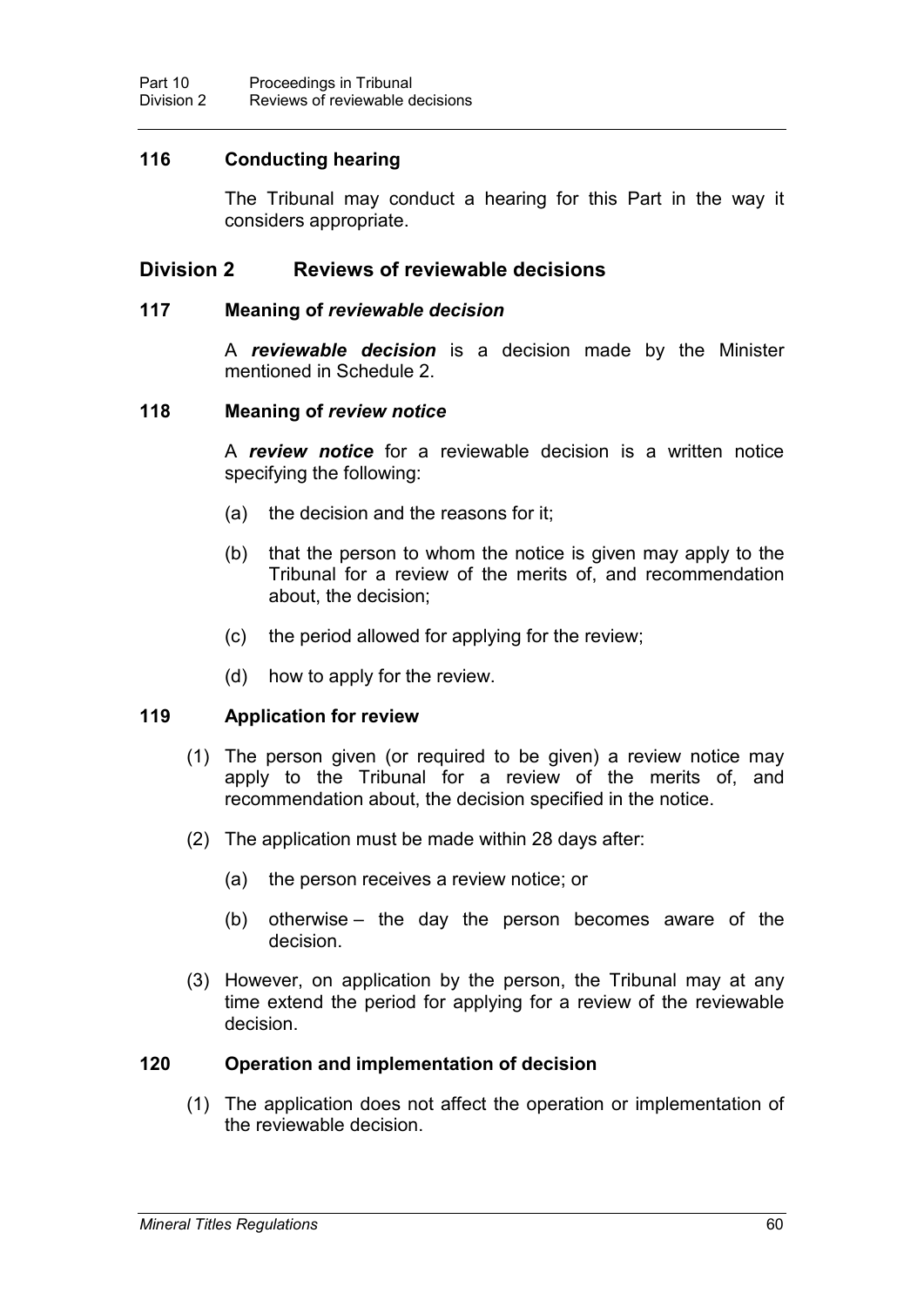## **116 Conducting hearing**

The Tribunal may conduct a hearing for this Part in the way it considers appropriate.

## **Division 2 Reviews of reviewable decisions**

#### **117 Meaning of** *reviewable decision*

A *reviewable decision* is a decision made by the Minister mentioned in Schedule 2.

### **118 Meaning of** *review notice*

A *review notice* for a reviewable decision is a written notice specifying the following:

- (a) the decision and the reasons for it;
- (b) that the person to whom the notice is given may apply to the Tribunal for a review of the merits of, and recommendation about, the decision;
- (c) the period allowed for applying for the review;
- (d) how to apply for the review.

## **119 Application for review**

- (1) The person given (or required to be given) a review notice may apply to the Tribunal for a review of the merits of, and recommendation about, the decision specified in the notice.
- (2) The application must be made within 28 days after:
	- (a) the person receives a review notice; or
	- (b) otherwise the day the person becomes aware of the decision.
- (3) However, on application by the person, the Tribunal may at any time extend the period for applying for a review of the reviewable decision.

## **120 Operation and implementation of decision**

(1) The application does not affect the operation or implementation of the reviewable decision.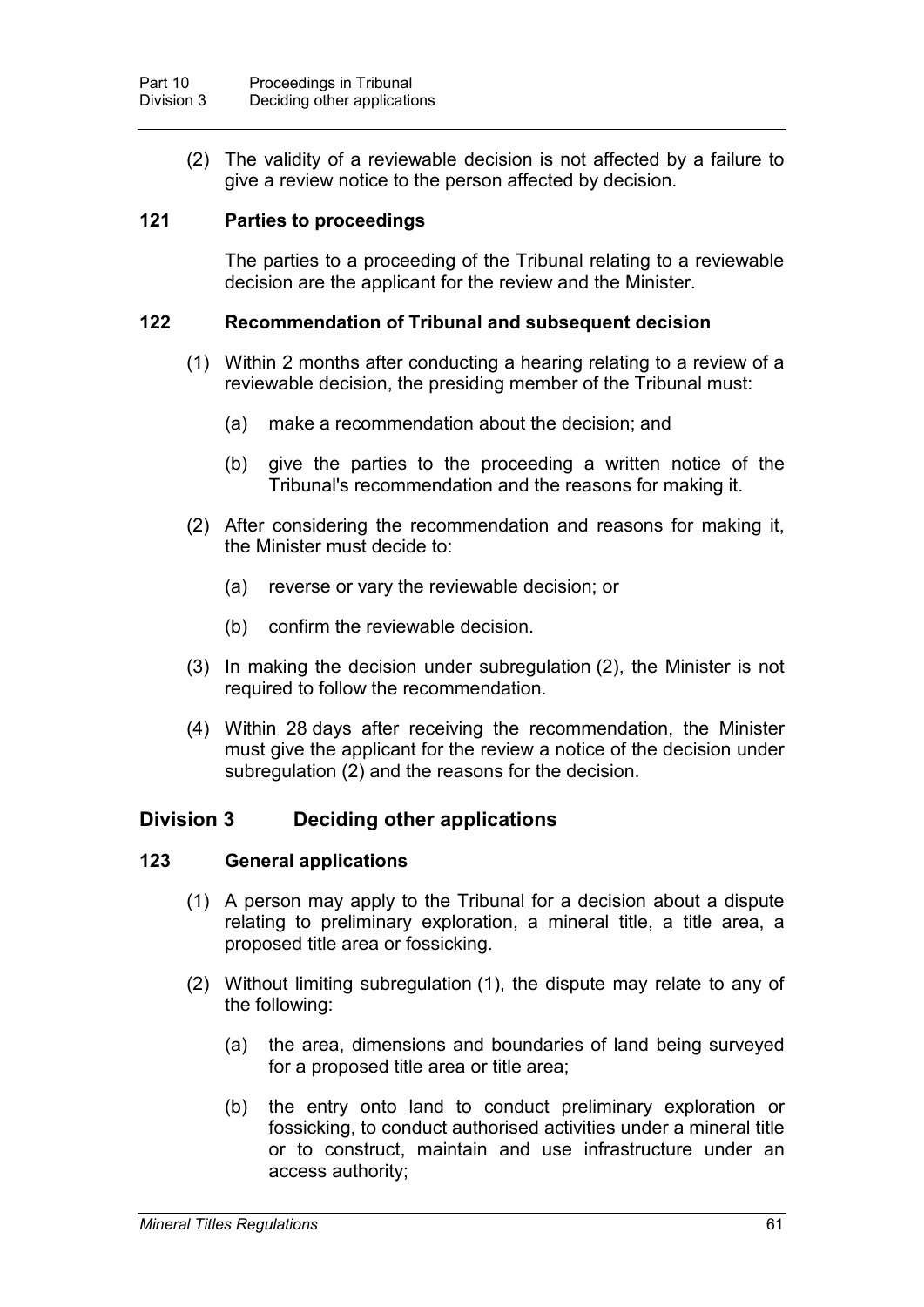(2) The validity of a reviewable decision is not affected by a failure to give a review notice to the person affected by decision.

## **121 Parties to proceedings**

The parties to a proceeding of the Tribunal relating to a reviewable decision are the applicant for the review and the Minister.

## **122 Recommendation of Tribunal and subsequent decision**

- (1) Within 2 months after conducting a hearing relating to a review of a reviewable decision, the presiding member of the Tribunal must:
	- (a) make a recommendation about the decision; and
	- (b) give the parties to the proceeding a written notice of the Tribunal's recommendation and the reasons for making it.
- (2) After considering the recommendation and reasons for making it, the Minister must decide to:
	- (a) reverse or vary the reviewable decision; or
	- (b) confirm the reviewable decision.
- (3) In making the decision under subregulation (2), the Minister is not required to follow the recommendation.
- (4) Within 28 days after receiving the recommendation, the Minister must give the applicant for the review a notice of the decision under subregulation (2) and the reasons for the decision.

# **Division 3 Deciding other applications**

## **123 General applications**

- (1) A person may apply to the Tribunal for a decision about a dispute relating to preliminary exploration, a mineral title, a title area, a proposed title area or fossicking.
- (2) Without limiting subregulation (1), the dispute may relate to any of the following:
	- (a) the area, dimensions and boundaries of land being surveyed for a proposed title area or title area;
	- (b) the entry onto land to conduct preliminary exploration or fossicking, to conduct authorised activities under a mineral title or to construct, maintain and use infrastructure under an access authority;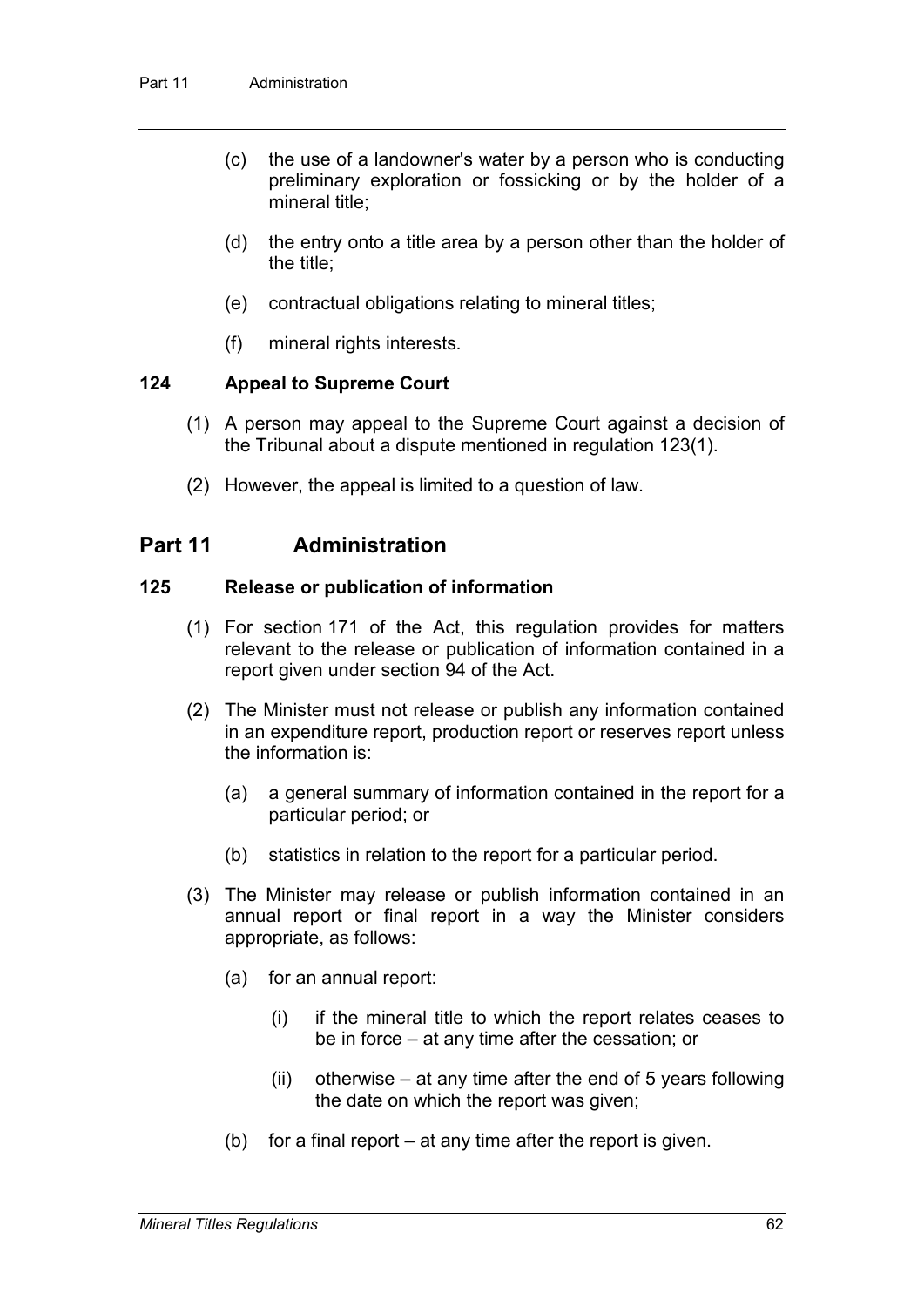- (c) the use of a landowner's water by a person who is conducting preliminary exploration or fossicking or by the holder of a mineral title;
- (d) the entry onto a title area by a person other than the holder of the title;
- (e) contractual obligations relating to mineral titles;
- (f) mineral rights interests.

### **124 Appeal to Supreme Court**

- (1) A person may appeal to the Supreme Court against a decision of the Tribunal about a dispute mentioned in regulation 123(1).
- (2) However, the appeal is limited to a question of law.

# **Part 11 Administration**

### **125 Release or publication of information**

- (1) For section 171 of the Act, this regulation provides for matters relevant to the release or publication of information contained in a report given under section 94 of the Act.
- (2) The Minister must not release or publish any information contained in an expenditure report, production report or reserves report unless the information is:
	- (a) a general summary of information contained in the report for a particular period; or
	- (b) statistics in relation to the report for a particular period.
- (3) The Minister may release or publish information contained in an annual report or final report in a way the Minister considers appropriate, as follows:
	- (a) for an annual report:
		- (i) if the mineral title to which the report relates ceases to be in force – at any time after the cessation; or
		- (ii) otherwise  $-$  at any time after the end of 5 years following the date on which the report was given;
	- (b) for a final report at any time after the report is given.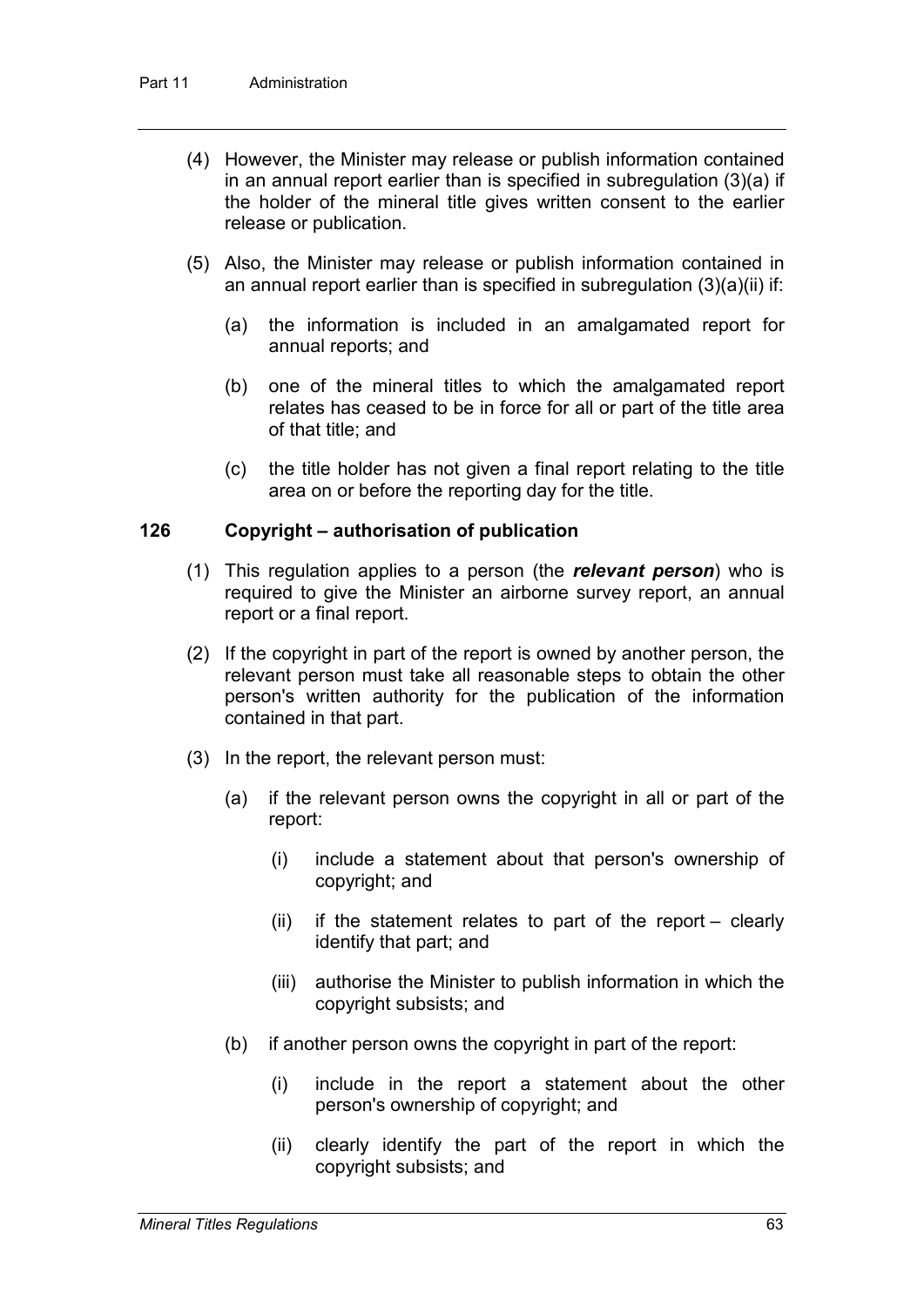- (4) However, the Minister may release or publish information contained in an annual report earlier than is specified in subregulation (3)(a) if the holder of the mineral title gives written consent to the earlier release or publication.
- (5) Also, the Minister may release or publish information contained in an annual report earlier than is specified in subregulation (3)(a)(ii) if:
	- (a) the information is included in an amalgamated report for annual reports; and
	- (b) one of the mineral titles to which the amalgamated report relates has ceased to be in force for all or part of the title area of that title; and
	- (c) the title holder has not given a final report relating to the title area on or before the reporting day for the title.

## **126 Copyright – authorisation of publication**

- (1) This regulation applies to a person (the *relevant person*) who is required to give the Minister an airborne survey report, an annual report or a final report.
- (2) If the copyright in part of the report is owned by another person, the relevant person must take all reasonable steps to obtain the other person's written authority for the publication of the information contained in that part.
- (3) In the report, the relevant person must:
	- (a) if the relevant person owns the copyright in all or part of the report:
		- (i) include a statement about that person's ownership of copyright; and
		- (ii) if the statement relates to part of the report clearly identify that part; and
		- (iii) authorise the Minister to publish information in which the copyright subsists; and
	- (b) if another person owns the copyright in part of the report:
		- (i) include in the report a statement about the other person's ownership of copyright; and
		- (ii) clearly identify the part of the report in which the copyright subsists; and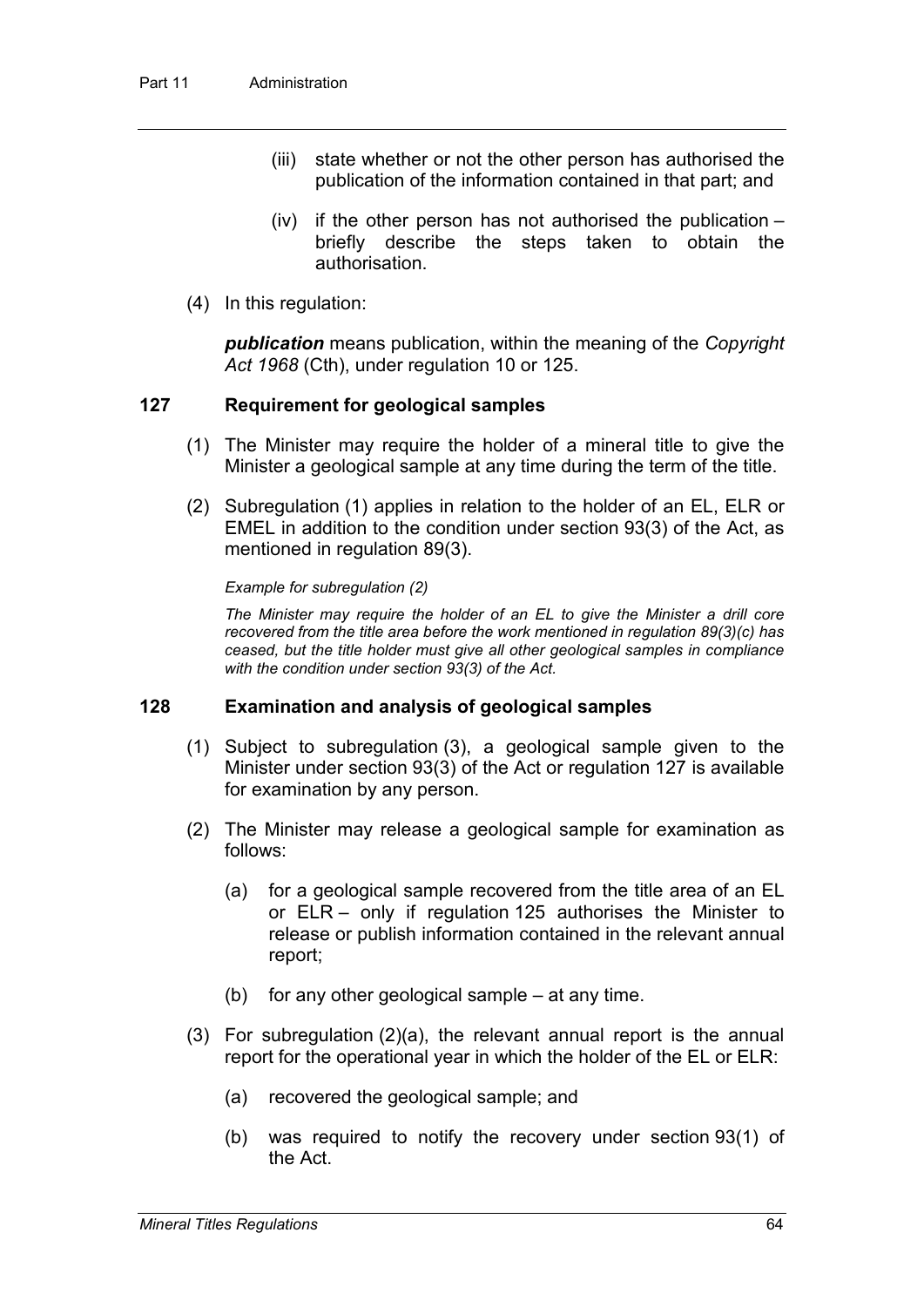- (iii) state whether or not the other person has authorised the publication of the information contained in that part; and
- $(iv)$  if the other person has not authorised the publication  $$ briefly describe the steps taken to obtain the authorisation.
- (4) In this regulation:

*publication* means publication, within the meaning of the *Copyright Act 1968* (Cth), under regulation 10 or 125.

## **127 Requirement for geological samples**

- (1) The Minister may require the holder of a mineral title to give the Minister a geological sample at any time during the term of the title.
- (2) Subregulation (1) applies in relation to the holder of an EL, ELR or EMEL in addition to the condition under section 93(3) of the Act, as mentioned in regulation 89(3).

*Example for subregulation (2)*

*The Minister may require the holder of an EL to give the Minister a drill core recovered from the title area before the work mentioned in regulation 89(3)(c) has ceased, but the title holder must give all other geological samples in compliance with the condition under section 93(3) of the Act.*

### **128 Examination and analysis of geological samples**

- (1) Subject to subregulation (3), a geological sample given to the Minister under section 93(3) of the Act or regulation 127 is available for examination by any person.
- (2) The Minister may release a geological sample for examination as follows:
	- (a) for a geological sample recovered from the title area of an EL or ELR – only if regulation 125 authorises the Minister to release or publish information contained in the relevant annual report;
	- (b) for any other geological sample at any time.
- (3) For subregulation (2)(a), the relevant annual report is the annual report for the operational year in which the holder of the EL or ELR:
	- (a) recovered the geological sample; and
	- (b) was required to notify the recovery under section 93(1) of the Act.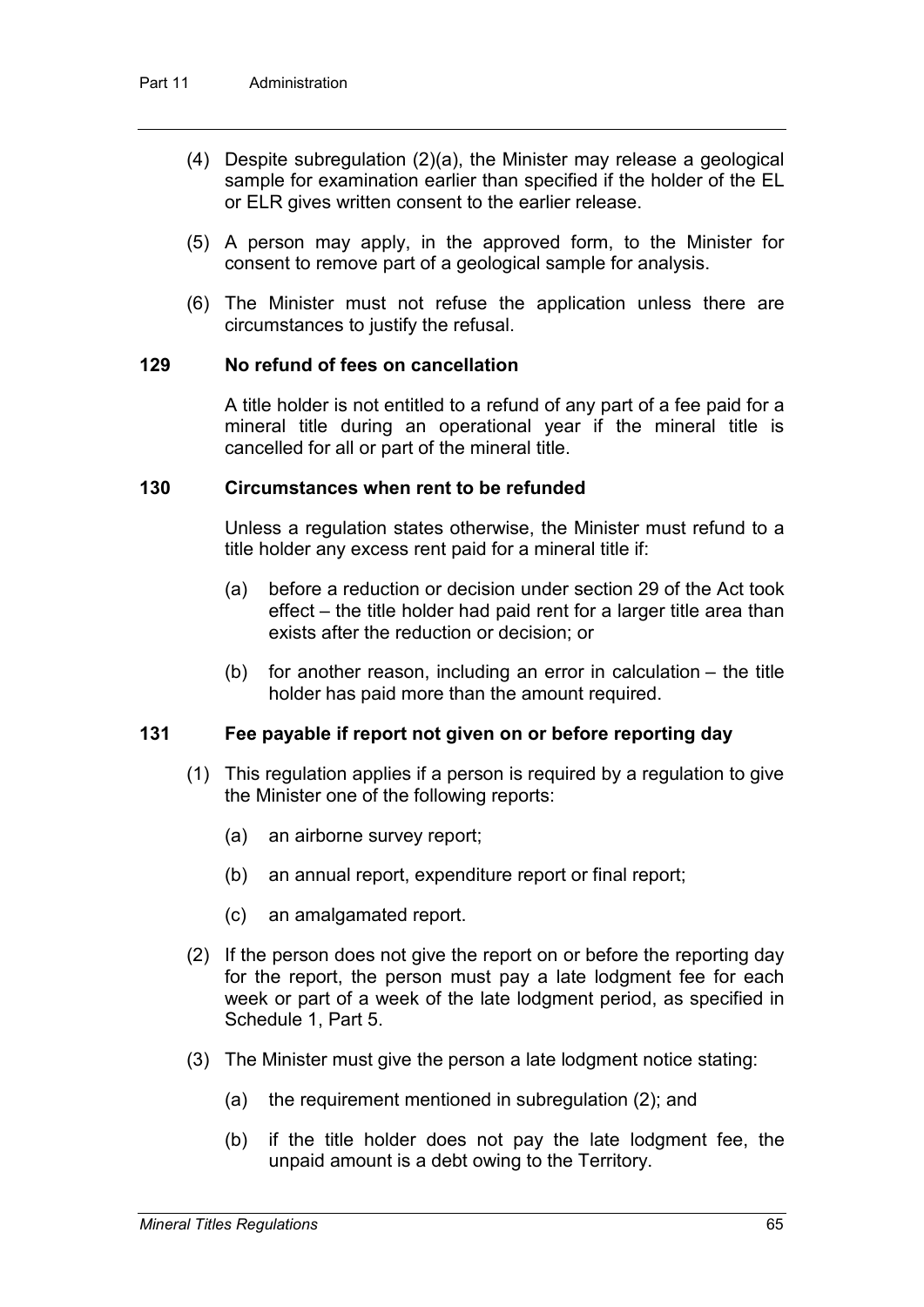- (4) Despite subregulation (2)(a), the Minister may release a geological sample for examination earlier than specified if the holder of the EL or ELR gives written consent to the earlier release.
- (5) A person may apply, in the approved form, to the Minister for consent to remove part of a geological sample for analysis.
- (6) The Minister must not refuse the application unless there are circumstances to justify the refusal.

### **129 No refund of fees on cancellation**

A title holder is not entitled to a refund of any part of a fee paid for a mineral title during an operational year if the mineral title is cancelled for all or part of the mineral title.

## **130 Circumstances when rent to be refunded**

Unless a regulation states otherwise, the Minister must refund to a title holder any excess rent paid for a mineral title if:

- (a) before a reduction or decision under section 29 of the Act took effect – the title holder had paid rent for a larger title area than exists after the reduction or decision; or
- (b) for another reason, including an error in calculation the title holder has paid more than the amount required.

## **131 Fee payable if report not given on or before reporting day**

- (1) This regulation applies if a person is required by a regulation to give the Minister one of the following reports:
	- (a) an airborne survey report;
	- (b) an annual report, expenditure report or final report;
	- (c) an amalgamated report.
- (2) If the person does not give the report on or before the reporting day for the report, the person must pay a late lodgment fee for each week or part of a week of the late lodgment period, as specified in Schedule 1, Part 5.
- (3) The Minister must give the person a late lodgment notice stating:
	- (a) the requirement mentioned in subregulation (2); and
	- (b) if the title holder does not pay the late lodgment fee, the unpaid amount is a debt owing to the Territory.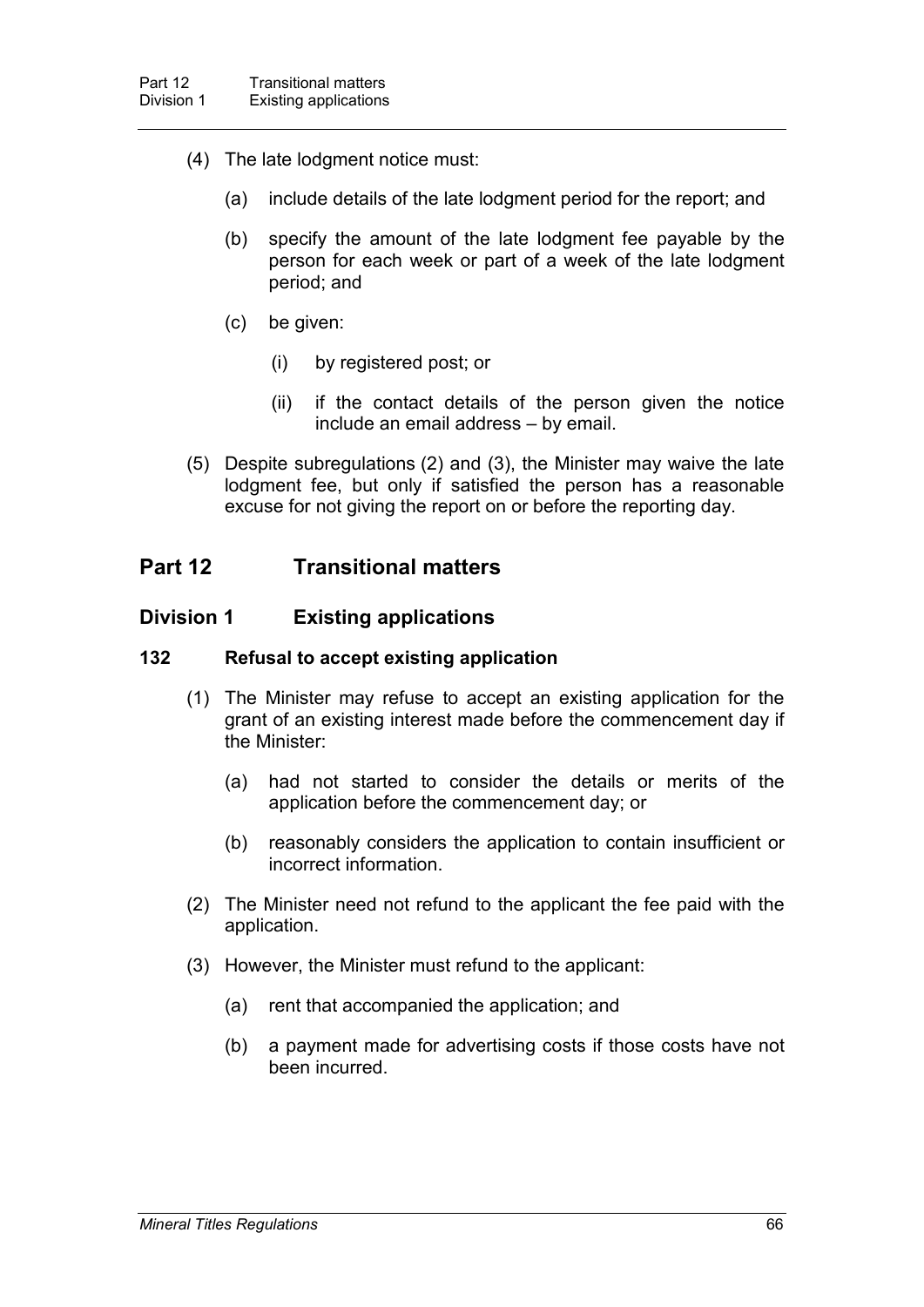- (4) The late lodgment notice must:
	- (a) include details of the late lodgment period for the report; and
	- (b) specify the amount of the late lodgment fee payable by the person for each week or part of a week of the late lodgment period; and
	- (c) be given:
		- (i) by registered post; or
		- (ii) if the contact details of the person given the notice include an email address – by email.
- (5) Despite subregulations (2) and (3), the Minister may waive the late lodgment fee, but only if satisfied the person has a reasonable excuse for not giving the report on or before the reporting day.

# **Part 12 Transitional matters**

## **Division 1 Existing applications**

#### **132 Refusal to accept existing application**

- (1) The Minister may refuse to accept an existing application for the grant of an existing interest made before the commencement day if the Minister:
	- (a) had not started to consider the details or merits of the application before the commencement day; or
	- (b) reasonably considers the application to contain insufficient or incorrect information.
- (2) The Minister need not refund to the applicant the fee paid with the application.
- (3) However, the Minister must refund to the applicant:
	- (a) rent that accompanied the application; and
	- (b) a payment made for advertising costs if those costs have not been incurred.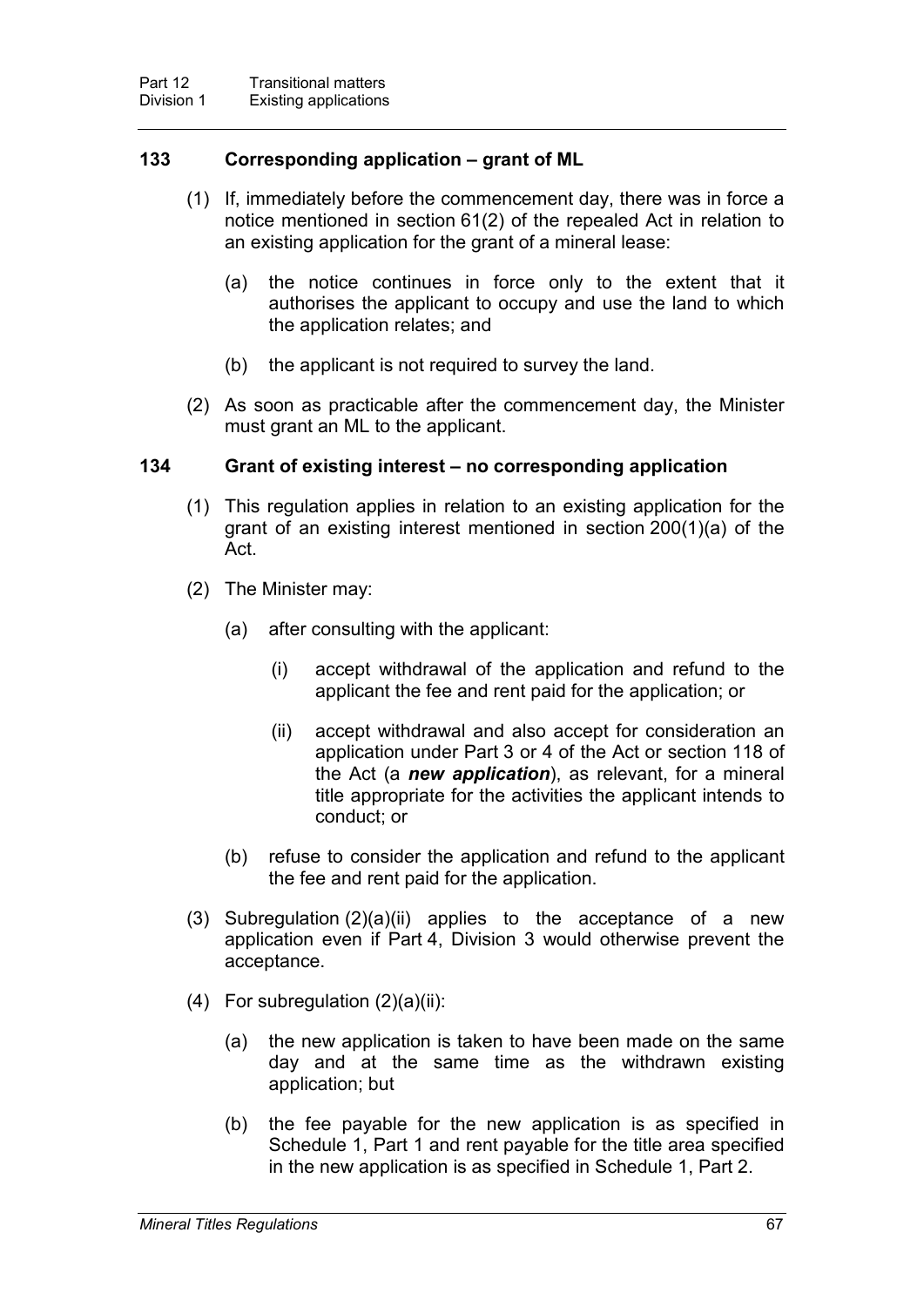### **133 Corresponding application – grant of ML**

- (1) If, immediately before the commencement day, there was in force a notice mentioned in section 61(2) of the repealed Act in relation to an existing application for the grant of a mineral lease:
	- (a) the notice continues in force only to the extent that it authorises the applicant to occupy and use the land to which the application relates; and
	- (b) the applicant is not required to survey the land.
- (2) As soon as practicable after the commencement day, the Minister must grant an ML to the applicant.

### **134 Grant of existing interest – no corresponding application**

- (1) This regulation applies in relation to an existing application for the grant of an existing interest mentioned in section 200(1)(a) of the Act.
- (2) The Minister may:
	- (a) after consulting with the applicant:
		- (i) accept withdrawal of the application and refund to the applicant the fee and rent paid for the application; or
		- (ii) accept withdrawal and also accept for consideration an application under Part 3 or 4 of the Act or section 118 of the Act (a *new application*), as relevant, for a mineral title appropriate for the activities the applicant intends to conduct; or
	- (b) refuse to consider the application and refund to the applicant the fee and rent paid for the application.
- (3) Subregulation  $(2)(a)(ii)$  applies to the acceptance of a new application even if Part 4, Division 3 would otherwise prevent the acceptance.
- $(4)$  For subregulation  $(2)(a)(ii)$ :
	- (a) the new application is taken to have been made on the same day and at the same time as the withdrawn existing application; but
	- (b) the fee payable for the new application is as specified in Schedule 1, Part 1 and rent payable for the title area specified in the new application is as specified in Schedule 1, Part 2.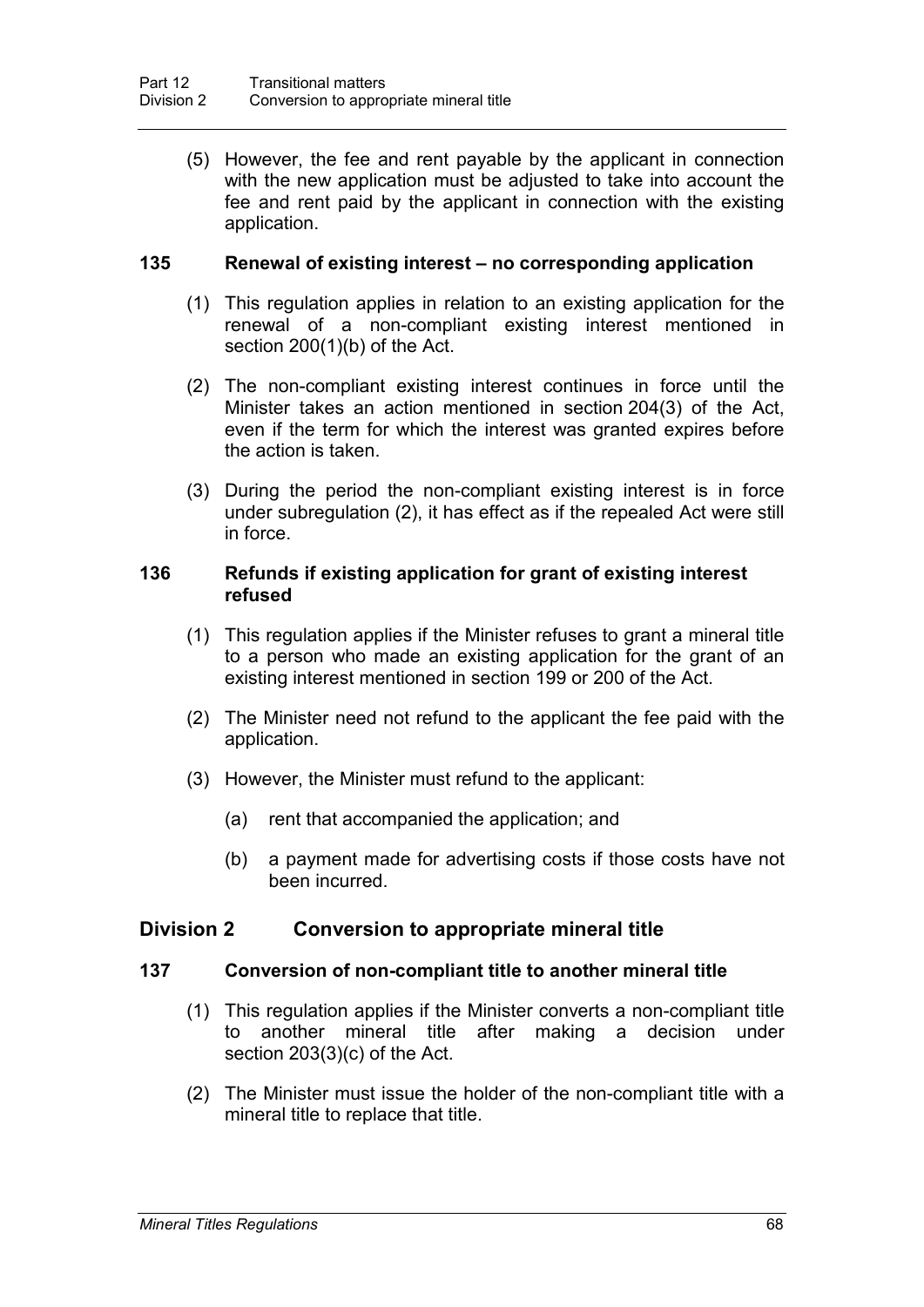(5) However, the fee and rent payable by the applicant in connection with the new application must be adjusted to take into account the fee and rent paid by the applicant in connection with the existing application.

### **135 Renewal of existing interest – no corresponding application**

- (1) This regulation applies in relation to an existing application for the renewal of a non-compliant existing interest mentioned in section 200(1)(b) of the Act.
- (2) The non-compliant existing interest continues in force until the Minister takes an action mentioned in section 204(3) of the Act, even if the term for which the interest was granted expires before the action is taken.
- (3) During the period the non-compliant existing interest is in force under subregulation (2), it has effect as if the repealed Act were still in force.

### **136 Refunds if existing application for grant of existing interest refused**

- (1) This regulation applies if the Minister refuses to grant a mineral title to a person who made an existing application for the grant of an existing interest mentioned in section 199 or 200 of the Act.
- (2) The Minister need not refund to the applicant the fee paid with the application.
- (3) However, the Minister must refund to the applicant:
	- (a) rent that accompanied the application; and
	- (b) a payment made for advertising costs if those costs have not been incurred.

### **Division 2 Conversion to appropriate mineral title**

#### **137 Conversion of non-compliant title to another mineral title**

- (1) This regulation applies if the Minister converts a non-compliant title to another mineral title after making a decision under section 203(3)(c) of the Act.
- (2) The Minister must issue the holder of the non-compliant title with a mineral title to replace that title.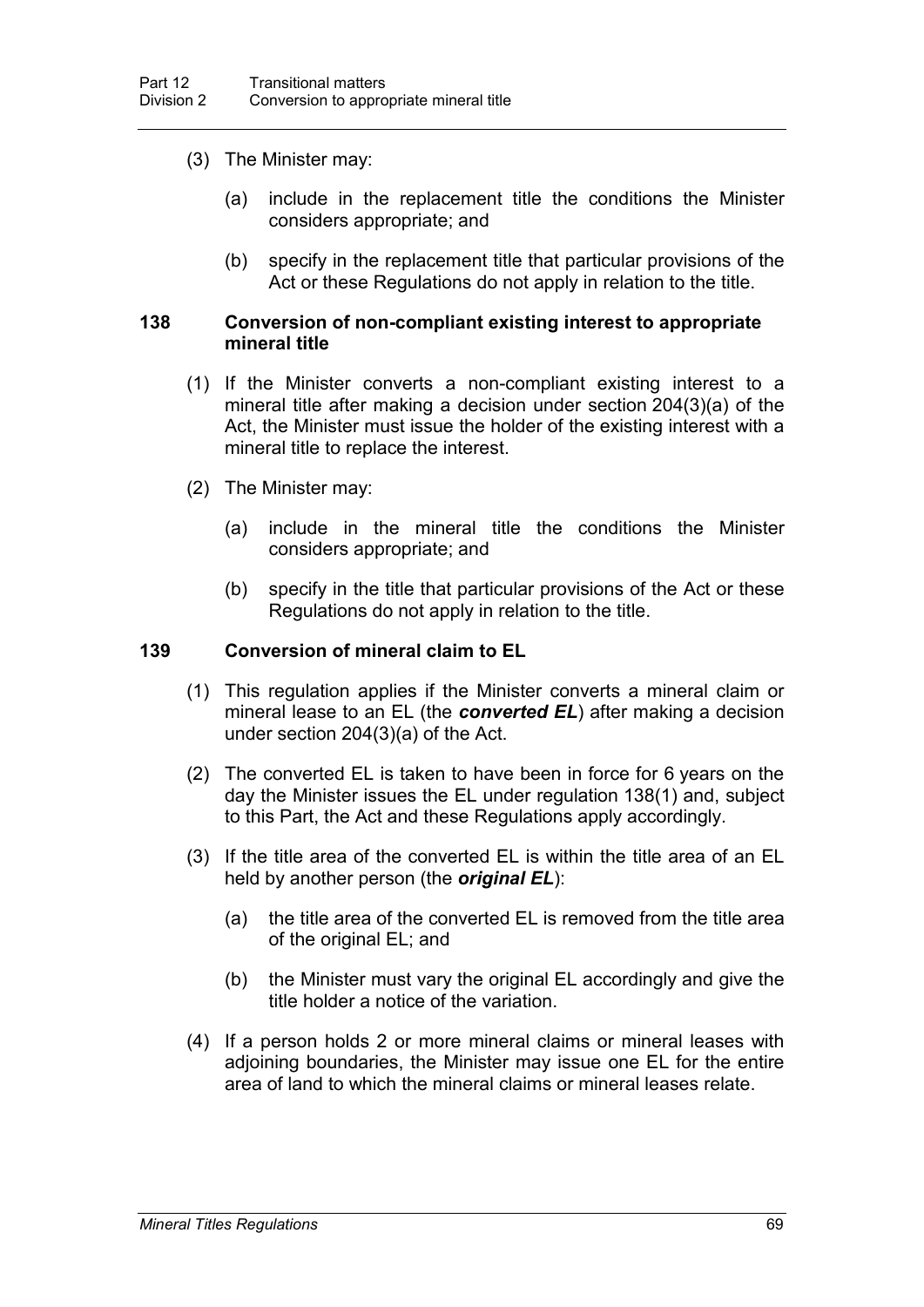- (3) The Minister may:
	- (a) include in the replacement title the conditions the Minister considers appropriate; and
	- (b) specify in the replacement title that particular provisions of the Act or these Regulations do not apply in relation to the title.

### **138 Conversion of non-compliant existing interest to appropriate mineral title**

- (1) If the Minister converts a non-compliant existing interest to a mineral title after making a decision under section 204(3)(a) of the Act, the Minister must issue the holder of the existing interest with a mineral title to replace the interest.
- (2) The Minister may:
	- (a) include in the mineral title the conditions the Minister considers appropriate; and
	- (b) specify in the title that particular provisions of the Act or these Regulations do not apply in relation to the title.

### **139 Conversion of mineral claim to EL**

- (1) This regulation applies if the Minister converts a mineral claim or mineral lease to an EL (the *converted EL*) after making a decision under section 204(3)(a) of the Act.
- (2) The converted EL is taken to have been in force for 6 years on the day the Minister issues the EL under regulation 138(1) and, subject to this Part, the Act and these Regulations apply accordingly.
- (3) If the title area of the converted EL is within the title area of an EL held by another person (the *original EL*):
	- (a) the title area of the converted EL is removed from the title area of the original EL; and
	- (b) the Minister must vary the original EL accordingly and give the title holder a notice of the variation.
- (4) If a person holds 2 or more mineral claims or mineral leases with adjoining boundaries, the Minister may issue one EL for the entire area of land to which the mineral claims or mineral leases relate.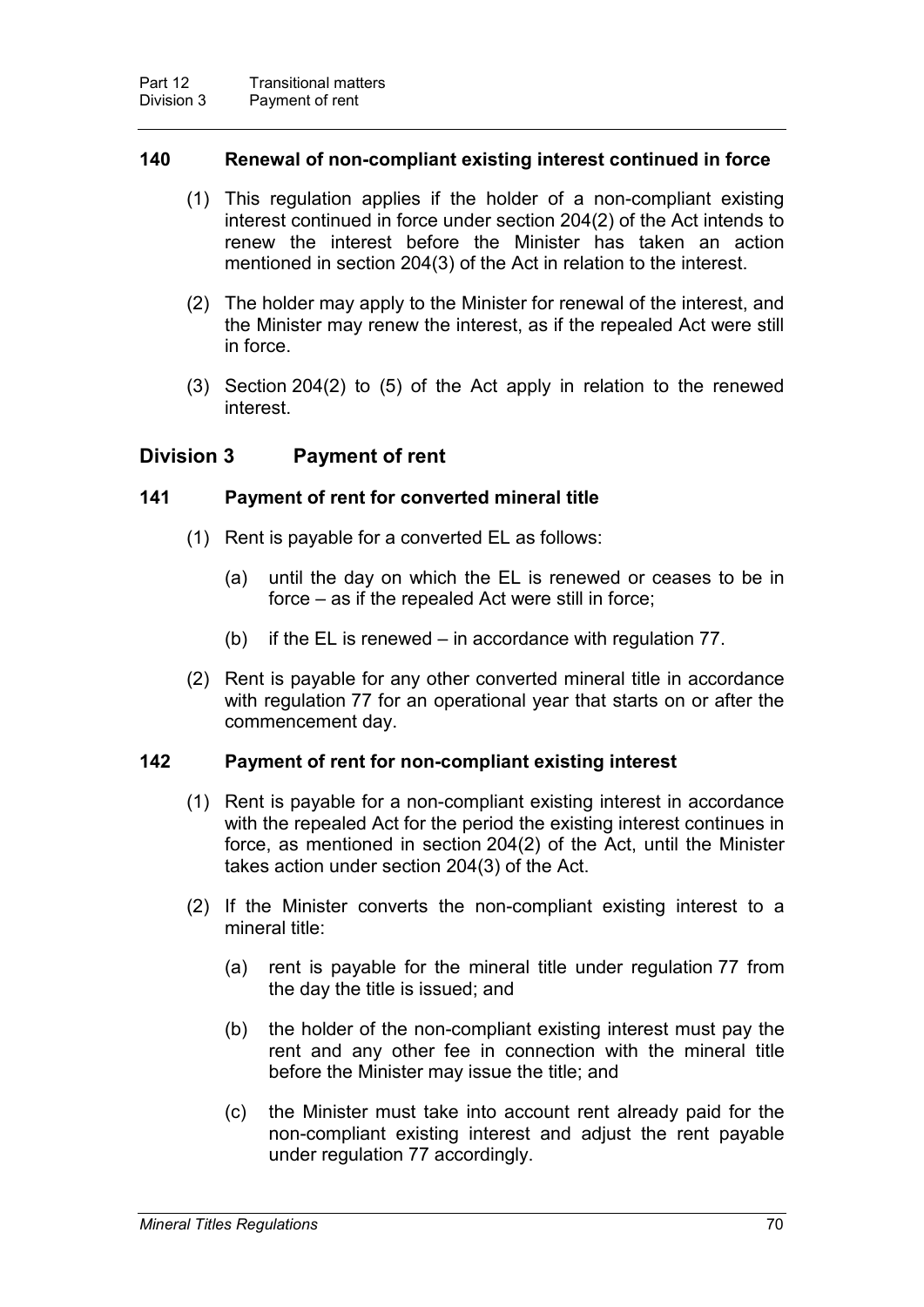### **140 Renewal of non-compliant existing interest continued in force**

- (1) This regulation applies if the holder of a non-compliant existing interest continued in force under section 204(2) of the Act intends to renew the interest before the Minister has taken an action mentioned in section 204(3) of the Act in relation to the interest.
- (2) The holder may apply to the Minister for renewal of the interest, and the Minister may renew the interest, as if the repealed Act were still in force.
- (3) Section 204(2) to (5) of the Act apply in relation to the renewed interest.

### **Division 3 Payment of rent**

### **141 Payment of rent for converted mineral title**

- (1) Rent is payable for a converted EL as follows:
	- (a) until the day on which the EL is renewed or ceases to be in force – as if the repealed Act were still in force;
	- (b) if the EL is renewed in accordance with regulation 77.
- (2) Rent is payable for any other converted mineral title in accordance with regulation 77 for an operational year that starts on or after the commencement day.

### **142 Payment of rent for non-compliant existing interest**

- (1) Rent is payable for a non-compliant existing interest in accordance with the repealed Act for the period the existing interest continues in force, as mentioned in section 204(2) of the Act, until the Minister takes action under section 204(3) of the Act.
- (2) If the Minister converts the non-compliant existing interest to a mineral title:
	- (a) rent is payable for the mineral title under regulation 77 from the day the title is issued; and
	- (b) the holder of the non-compliant existing interest must pay the rent and any other fee in connection with the mineral title before the Minister may issue the title; and
	- (c) the Minister must take into account rent already paid for the non-compliant existing interest and adjust the rent payable under regulation 77 accordingly.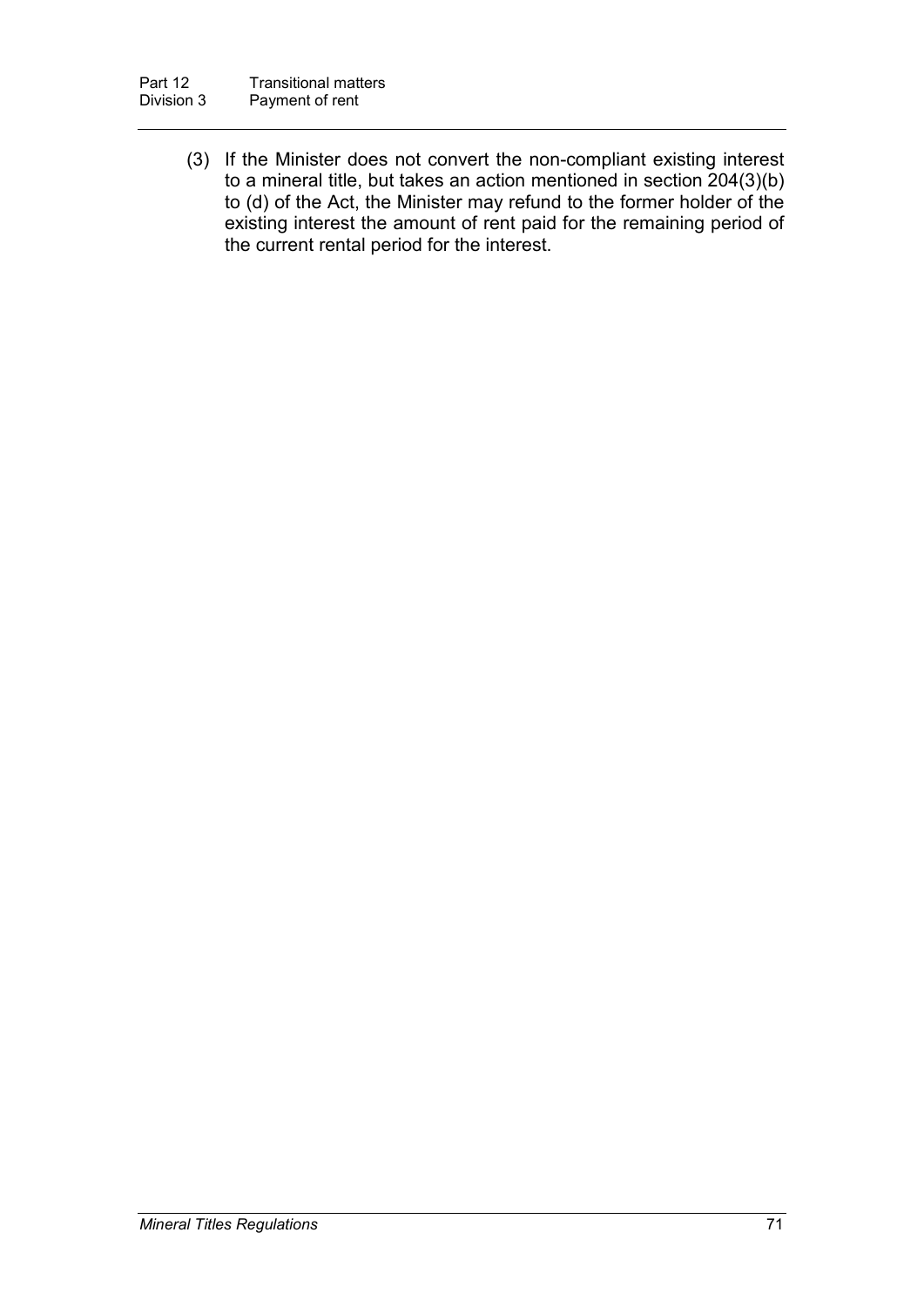(3) If the Minister does not convert the non-compliant existing interest to a mineral title, but takes an action mentioned in section 204(3)(b) to (d) of the Act, the Minister may refund to the former holder of the existing interest the amount of rent paid for the remaining period of the current rental period for the interest.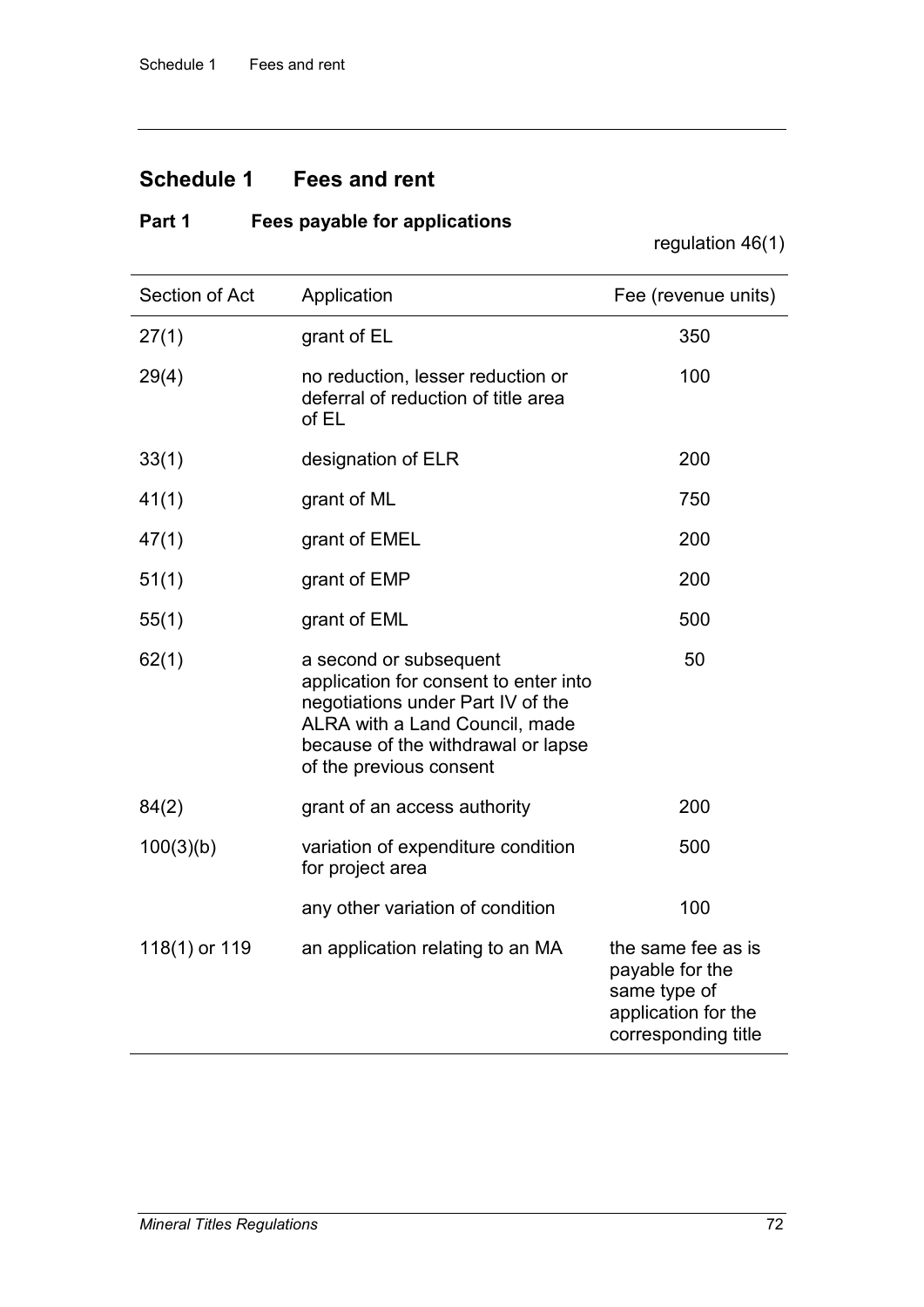### **Schedule 1 Fees and rent**

### **Part 1 Fees payable for applications**

regulation 46(1)

| Section of Act | Application                                                                                                                                                                                             | Fee (revenue units)                                                                                 |
|----------------|---------------------------------------------------------------------------------------------------------------------------------------------------------------------------------------------------------|-----------------------------------------------------------------------------------------------------|
| 27(1)          | grant of EL                                                                                                                                                                                             | 350                                                                                                 |
| 29(4)          | no reduction, lesser reduction or<br>deferral of reduction of title area<br>of EL                                                                                                                       | 100                                                                                                 |
| 33(1)          | designation of ELR                                                                                                                                                                                      | 200                                                                                                 |
| 41(1)          | grant of ML                                                                                                                                                                                             | 750                                                                                                 |
| 47(1)          | grant of EMEL                                                                                                                                                                                           | 200                                                                                                 |
| 51(1)          | grant of EMP                                                                                                                                                                                            | 200                                                                                                 |
| 55(1)          | grant of EML                                                                                                                                                                                            | 500                                                                                                 |
| 62(1)          | a second or subsequent<br>application for consent to enter into<br>negotiations under Part IV of the<br>ALRA with a Land Council, made<br>because of the withdrawal or lapse<br>of the previous consent | 50                                                                                                  |
| 84(2)          | grant of an access authority                                                                                                                                                                            | 200                                                                                                 |
| 100(3)(b)      | variation of expenditure condition<br>for project area                                                                                                                                                  | 500                                                                                                 |
|                | any other variation of condition                                                                                                                                                                        | 100                                                                                                 |
| 118(1) or 119  | an application relating to an MA                                                                                                                                                                        | the same fee as is<br>payable for the<br>same type of<br>application for the<br>corresponding title |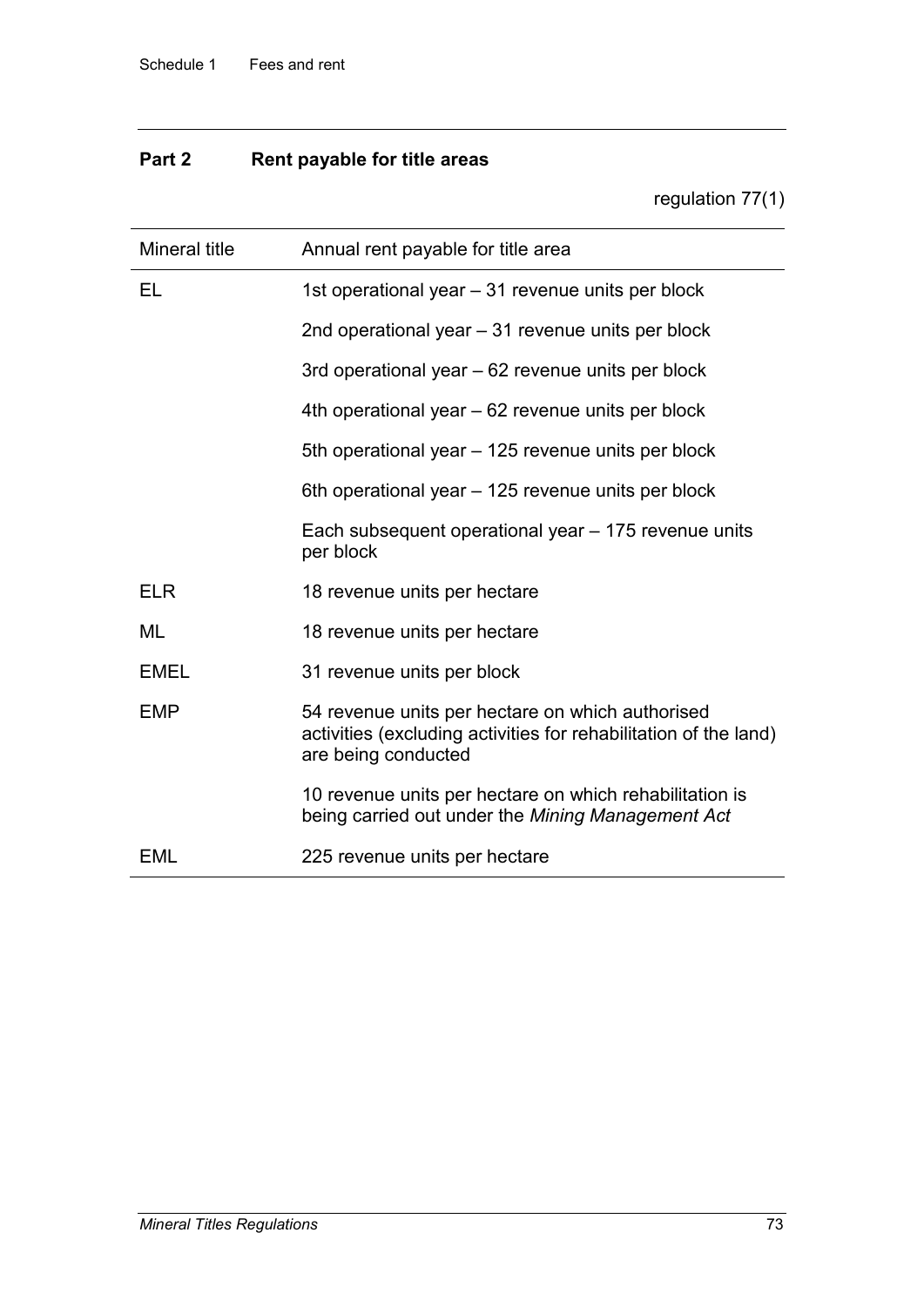# **Part 2 Rent payable for title areas**

regulation 77(1)

| Mineral title | Annual rent payable for title area                                                                                                          |  |
|---------------|---------------------------------------------------------------------------------------------------------------------------------------------|--|
| EL            | 1st operational year - 31 revenue units per block                                                                                           |  |
|               | 2nd operational year - 31 revenue units per block                                                                                           |  |
|               | 3rd operational year – 62 revenue units per block                                                                                           |  |
|               | 4th operational year – 62 revenue units per block                                                                                           |  |
|               | 5th operational year – 125 revenue units per block                                                                                          |  |
|               | 6th operational year - 125 revenue units per block                                                                                          |  |
|               | Each subsequent operational year – 175 revenue units<br>per block                                                                           |  |
| <b>ELR</b>    | 18 revenue units per hectare                                                                                                                |  |
| ML            | 18 revenue units per hectare                                                                                                                |  |
| <b>EMEL</b>   | 31 revenue units per block                                                                                                                  |  |
| <b>EMP</b>    | 54 revenue units per hectare on which authorised<br>activities (excluding activities for rehabilitation of the land)<br>are being conducted |  |
|               | 10 revenue units per hectare on which rehabilitation is<br>being carried out under the Mining Management Act                                |  |
| EML           | 225 revenue units per hectare                                                                                                               |  |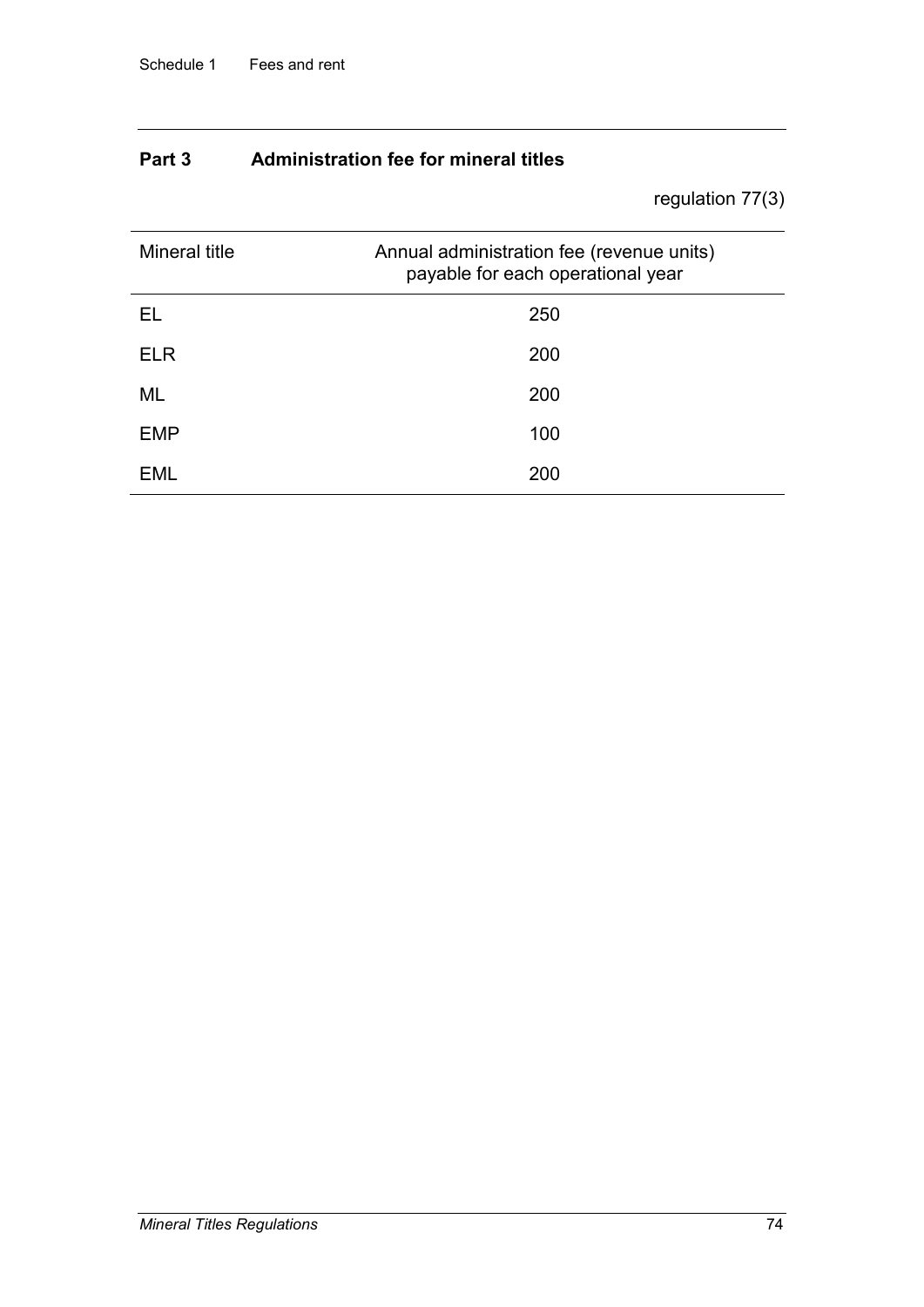## **Part 3 Administration fee for mineral titles**

regulation 77(3)

| Mineral title | Annual administration fee (revenue units)<br>payable for each operational year |  |
|---------------|--------------------------------------------------------------------------------|--|
| EL            | 250                                                                            |  |
| <b>ELR</b>    | 200                                                                            |  |
| ML            | 200                                                                            |  |
| <b>EMP</b>    | 100                                                                            |  |
| EML           | 200                                                                            |  |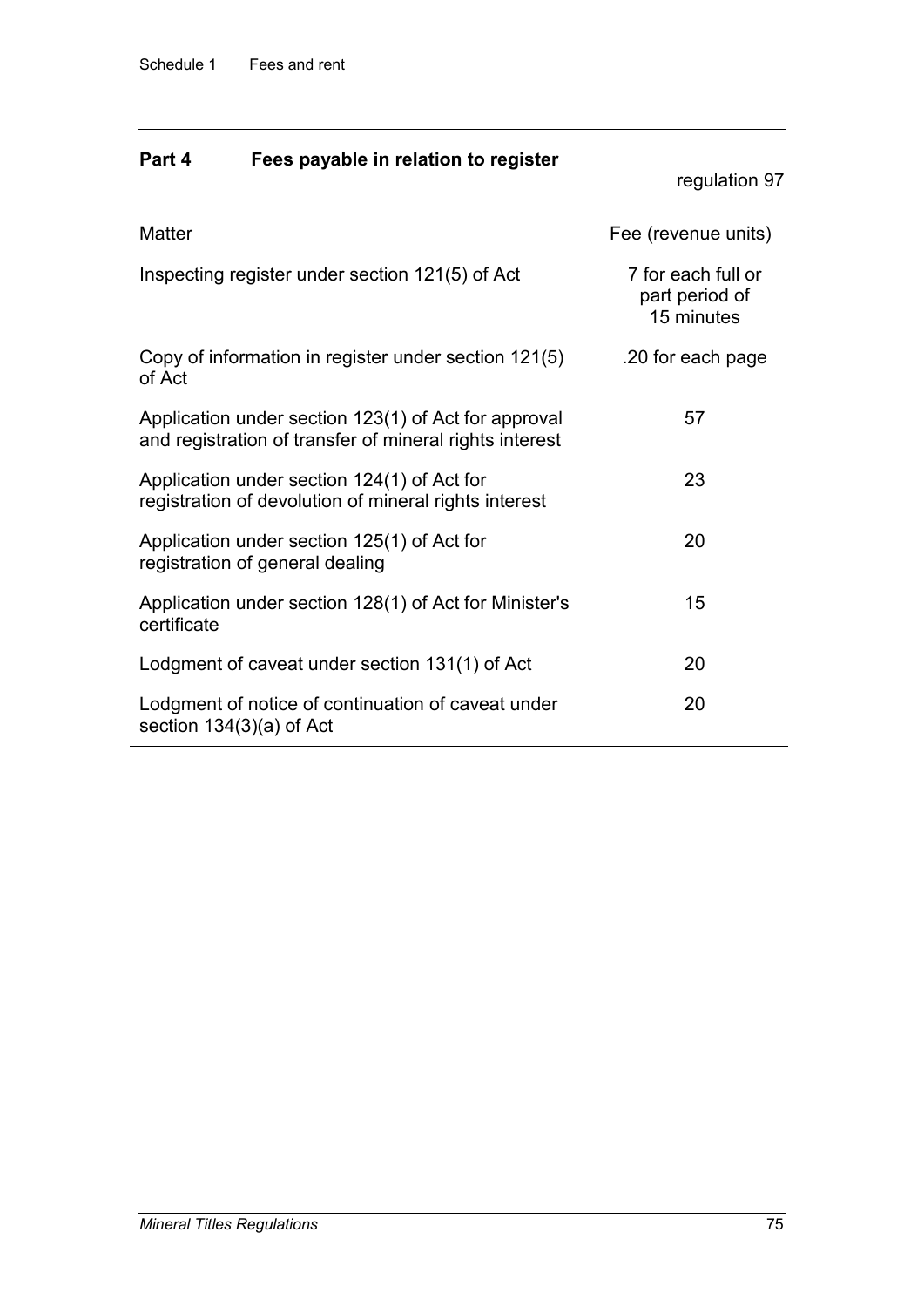# **Part 4 Fees payable in relation to register**

regulation 97

| <b>Matter</b>                                                                                                   | Fee (revenue units)                                |
|-----------------------------------------------------------------------------------------------------------------|----------------------------------------------------|
| Inspecting register under section 121(5) of Act                                                                 | 7 for each full or<br>part period of<br>15 minutes |
| Copy of information in register under section 121(5)<br>of Act                                                  | .20 for each page                                  |
| Application under section 123(1) of Act for approval<br>and registration of transfer of mineral rights interest | 57                                                 |
| Application under section 124(1) of Act for<br>registration of devolution of mineral rights interest            | 23                                                 |
| Application under section 125(1) of Act for<br>registration of general dealing                                  | 20                                                 |
| Application under section 128(1) of Act for Minister's<br>certificate                                           | 15                                                 |
| Lodgment of caveat under section 131(1) of Act                                                                  | 20                                                 |
| Lodgment of notice of continuation of caveat under<br>section $134(3)(a)$ of Act                                | 20                                                 |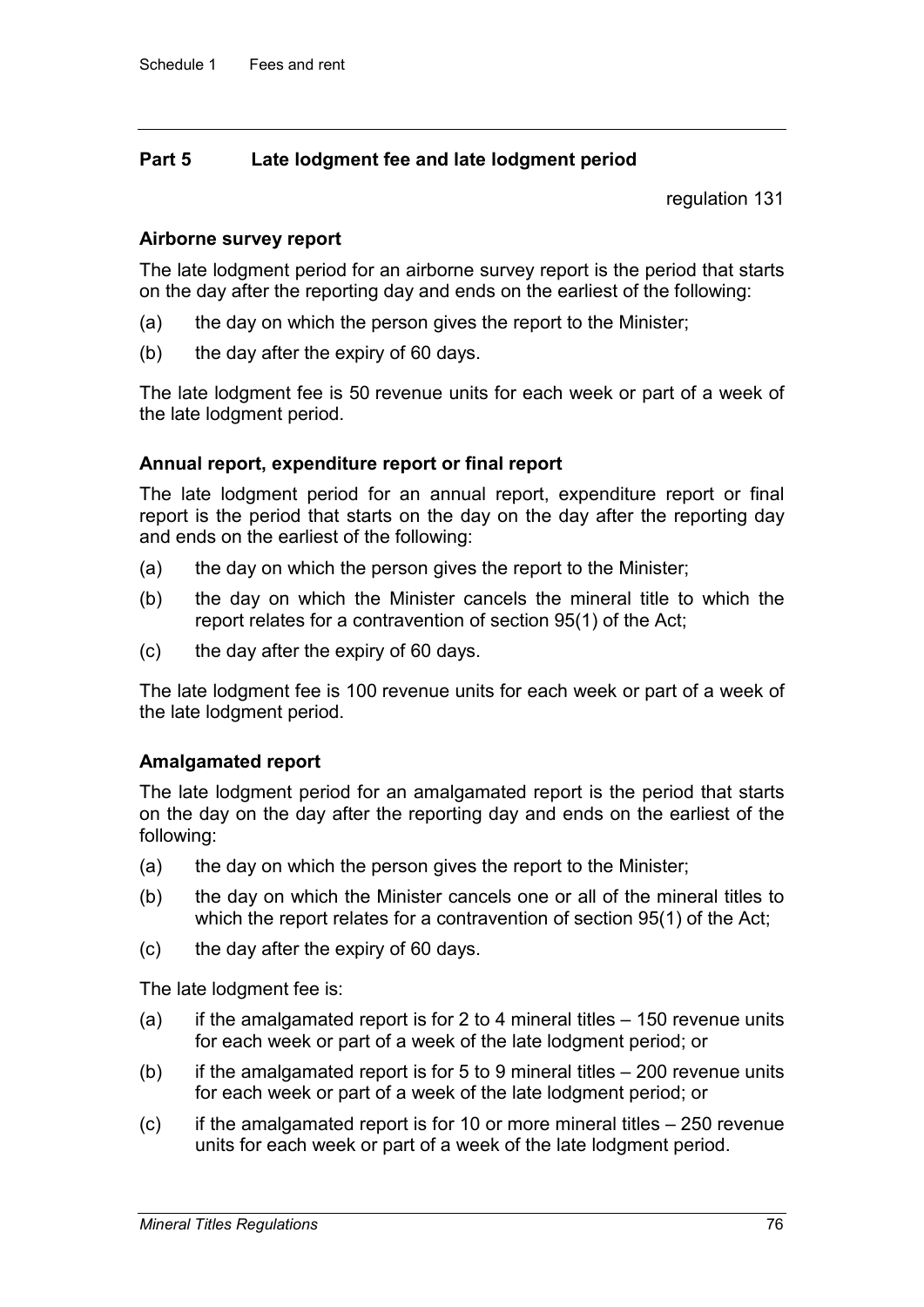### **Part 5 Late lodgment fee and late lodgment period**

regulation 131

### **Airborne survey report**

The late lodgment period for an airborne survey report is the period that starts on the day after the reporting day and ends on the earliest of the following:

- (a) the day on which the person gives the report to the Minister;
- (b) the day after the expiry of 60 days.

The late lodgment fee is 50 revenue units for each week or part of a week of the late lodgment period.

### **Annual report, expenditure report or final report**

The late lodgment period for an annual report, expenditure report or final report is the period that starts on the day on the day after the reporting day and ends on the earliest of the following:

- (a) the day on which the person gives the report to the Minister;
- (b) the day on which the Minister cancels the mineral title to which the report relates for a contravention of section 95(1) of the Act;
- (c) the day after the expiry of 60 days.

The late lodgment fee is 100 revenue units for each week or part of a week of the late lodgment period.

### **Amalgamated report**

The late lodgment period for an amalgamated report is the period that starts on the day on the day after the reporting day and ends on the earliest of the following:

- (a) the day on which the person gives the report to the Minister;
- (b) the day on which the Minister cancels one or all of the mineral titles to which the report relates for a contravention of section 95(1) of the Act;
- (c) the day after the expiry of 60 days.

The late lodgment fee is:

- (a) if the amalgamated report is for 2 to 4 mineral titles  $-150$  revenue units for each week or part of a week of the late lodgment period; or
- (b) if the amalgamated report is for 5 to 9 mineral titles  $-200$  revenue units for each week or part of a week of the late lodgment period; or
- $(c)$  if the amalgamated report is for 10 or more mineral titles 250 revenue units for each week or part of a week of the late lodgment period.